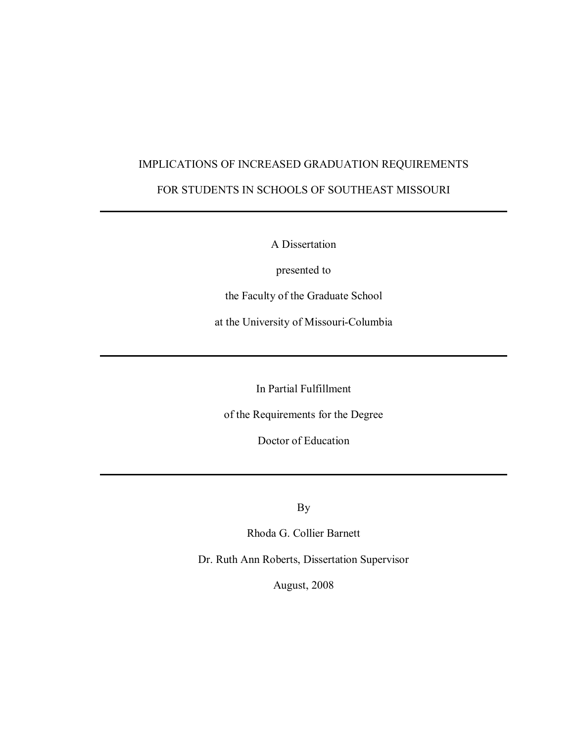## IMPLICATIONS OF INCREASED GRADUATION REQUIREMENTS

### FOR STUDENTS IN SCHOOLS OF SOUTHEAST MISSOURI

A Dissertation

presented to

the Faculty of the Graduate School

at the University of Missouri-Columbia

In Partial Fulfillment

of the Requirements for the Degree

Doctor of Education

By

Rhoda G. Collier Barnett

Dr. Ruth Ann Roberts, Dissertation Supervisor

August, 2008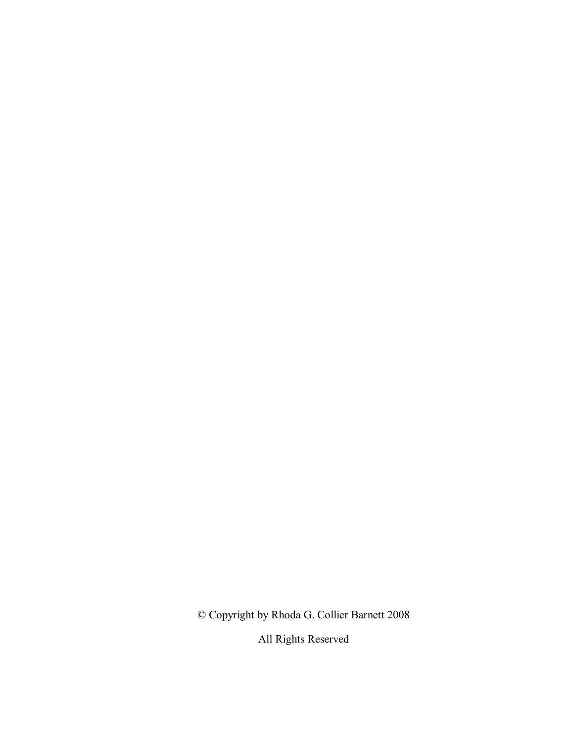© Copyright by Rhoda G. Collier Barnett 2008

All Rights Reserved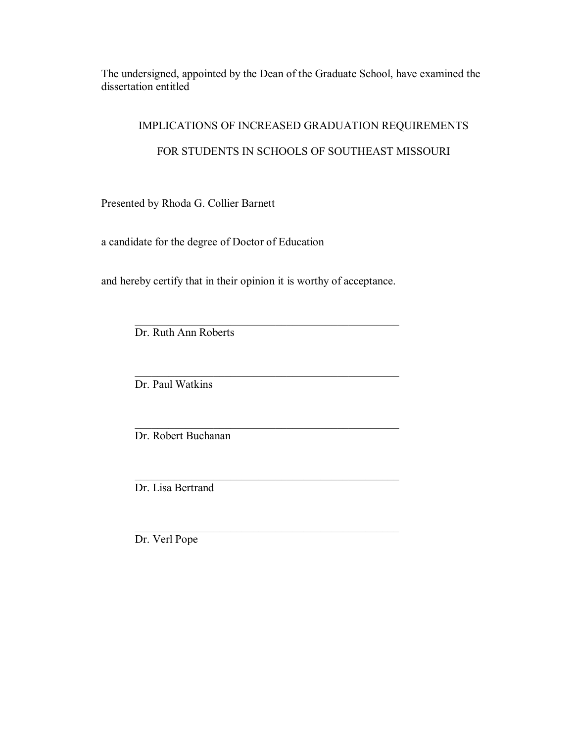The undersigned, appointed by the Dean of the Graduate School, have examined the dissertation entitled

## IMPLICATIONS OF INCREASED GRADUATION REQUIREMENTS

## FOR STUDENTS IN SCHOOLS OF SOUTHEAST MISSOURI

Presented by Rhoda G. Collier Barnett

a candidate for the degree of Doctor of Education

and hereby certify that in their opinion it is worthy of acceptance.

 $\mathcal{L}_\text{max} = \frac{1}{2} \sum_{i=1}^{n} \frac{1}{2} \sum_{i=1}^{n} \frac{1}{2} \sum_{i=1}^{n} \frac{1}{2} \sum_{i=1}^{n} \frac{1}{2} \sum_{i=1}^{n} \frac{1}{2} \sum_{i=1}^{n} \frac{1}{2} \sum_{i=1}^{n} \frac{1}{2} \sum_{i=1}^{n} \frac{1}{2} \sum_{i=1}^{n} \frac{1}{2} \sum_{i=1}^{n} \frac{1}{2} \sum_{i=1}^{n} \frac{1}{2} \sum_{i=1}^{n} \frac{1$ 

 $\mathcal{L}_\text{max} = \frac{1}{2} \sum_{i=1}^{n} \frac{1}{2} \sum_{i=1}^{n} \frac{1}{2} \sum_{i=1}^{n} \frac{1}{2} \sum_{i=1}^{n} \frac{1}{2} \sum_{i=1}^{n} \frac{1}{2} \sum_{i=1}^{n} \frac{1}{2} \sum_{i=1}^{n} \frac{1}{2} \sum_{i=1}^{n} \frac{1}{2} \sum_{i=1}^{n} \frac{1}{2} \sum_{i=1}^{n} \frac{1}{2} \sum_{i=1}^{n} \frac{1}{2} \sum_{i=1}^{n} \frac{1$ 

 $\mathcal{L}_\text{max} = \frac{1}{2} \sum_{i=1}^{n} \frac{1}{2} \sum_{i=1}^{n} \frac{1}{2} \sum_{i=1}^{n} \frac{1}{2} \sum_{i=1}^{n} \frac{1}{2} \sum_{i=1}^{n} \frac{1}{2} \sum_{i=1}^{n} \frac{1}{2} \sum_{i=1}^{n} \frac{1}{2} \sum_{i=1}^{n} \frac{1}{2} \sum_{i=1}^{n} \frac{1}{2} \sum_{i=1}^{n} \frac{1}{2} \sum_{i=1}^{n} \frac{1}{2} \sum_{i=1}^{n} \frac{1$ 

 $\mathcal{L}_\text{max} = \frac{1}{2} \sum_{i=1}^{n} \frac{1}{2} \sum_{i=1}^{n} \frac{1}{2} \sum_{i=1}^{n} \frac{1}{2} \sum_{i=1}^{n} \frac{1}{2} \sum_{i=1}^{n} \frac{1}{2} \sum_{i=1}^{n} \frac{1}{2} \sum_{i=1}^{n} \frac{1}{2} \sum_{i=1}^{n} \frac{1}{2} \sum_{i=1}^{n} \frac{1}{2} \sum_{i=1}^{n} \frac{1}{2} \sum_{i=1}^{n} \frac{1}{2} \sum_{i=1}^{n} \frac{1$ 

 $\mathcal{L}_\text{max}$  and the contract of the contract of the contract of the contract of the contract of the contract of the contract of the contract of the contract of the contract of the contract of the contract of the contrac Dr. Ruth Ann Roberts

Dr. Paul Watkins

Dr. Robert Buchanan

Dr. Lisa Bertrand

Dr. Verl Pope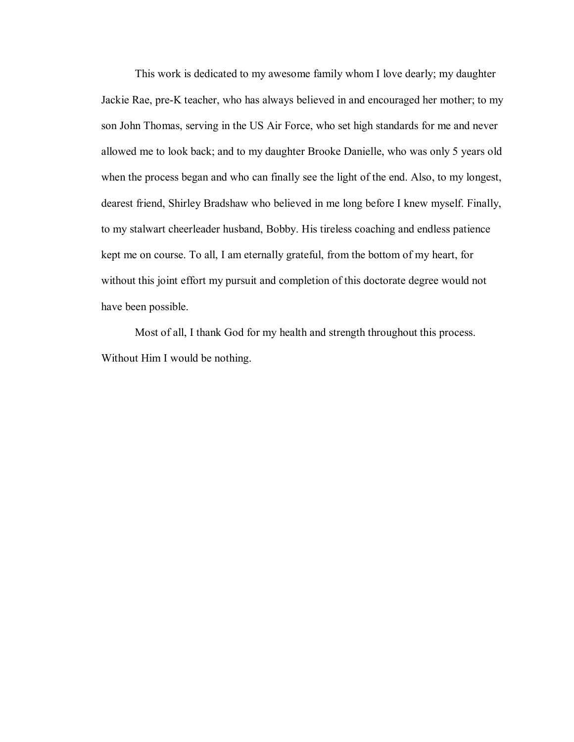This work is dedicated to my awesome family whom I love dearly; my daughter Jackie Rae, pre-K teacher, who has always believed in and encouraged her mother; to my son John Thomas, serving in the US Air Force, who set high standards for me and never allowed me to look back; and to my daughter Brooke Danielle, who was only 5 years old when the process began and who can finally see the light of the end. Also, to my longest, dearest friend, Shirley Bradshaw who believed in me long before I knew myself. Finally, to my stalwart cheerleader husband, Bobby. His tireless coaching and endless patience kept me on course. To all, I am eternally grateful, from the bottom of my heart, for without this joint effort my pursuit and completion of this doctorate degree would not have been possible.

 Most of all, I thank God for my health and strength throughout this process. Without Him I would be nothing.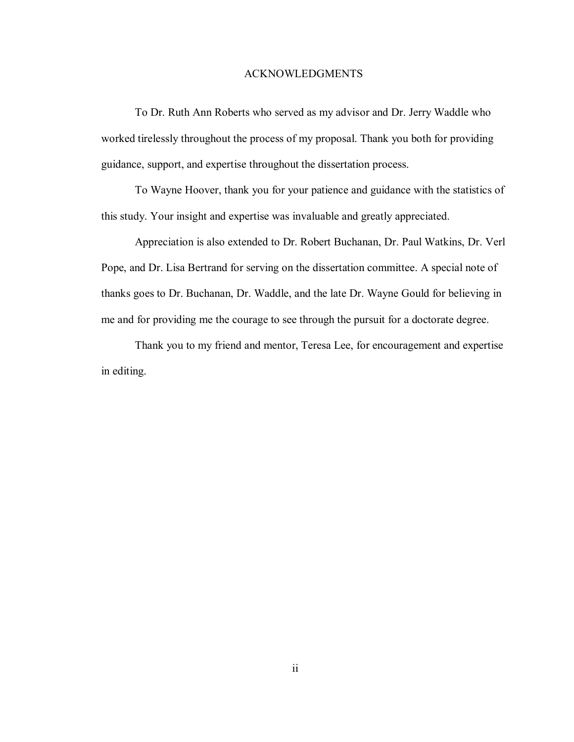#### ACKNOWLEDGMENTS

 To Dr. Ruth Ann Roberts who served as my advisor and Dr. Jerry Waddle who worked tirelessly throughout the process of my proposal. Thank you both for providing guidance, support, and expertise throughout the dissertation process.

 To Wayne Hoover, thank you for your patience and guidance with the statistics of this study. Your insight and expertise was invaluable and greatly appreciated.

 Appreciation is also extended to Dr. Robert Buchanan, Dr. Paul Watkins, Dr. Verl Pope, and Dr. Lisa Bertrand for serving on the dissertation committee. A special note of thanks goes to Dr. Buchanan, Dr. Waddle, and the late Dr. Wayne Gould for believing in me and for providing me the courage to see through the pursuit for a doctorate degree.

 Thank you to my friend and mentor, Teresa Lee, for encouragement and expertise in editing.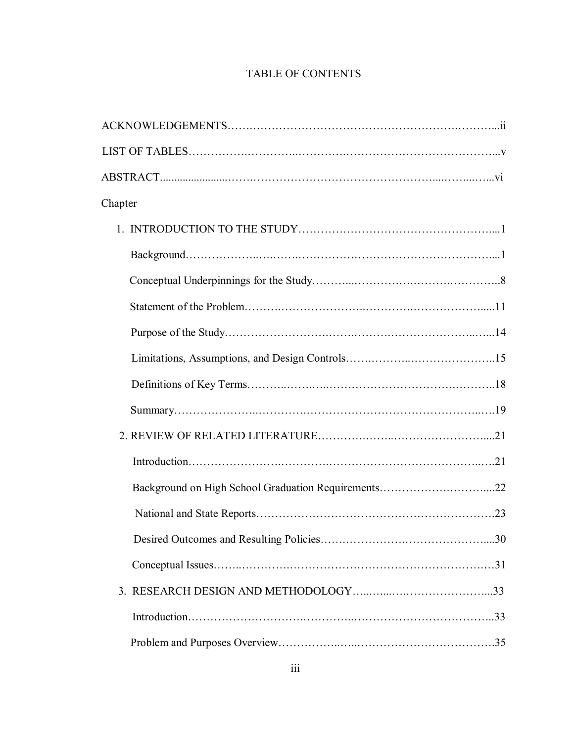## TABLE OF CONTENTS

| Chapter                                             |  |
|-----------------------------------------------------|--|
|                                                     |  |
|                                                     |  |
|                                                     |  |
|                                                     |  |
|                                                     |  |
|                                                     |  |
|                                                     |  |
|                                                     |  |
|                                                     |  |
|                                                     |  |
| Background on High School Graduation Requirements22 |  |
|                                                     |  |
|                                                     |  |
|                                                     |  |
|                                                     |  |
|                                                     |  |
|                                                     |  |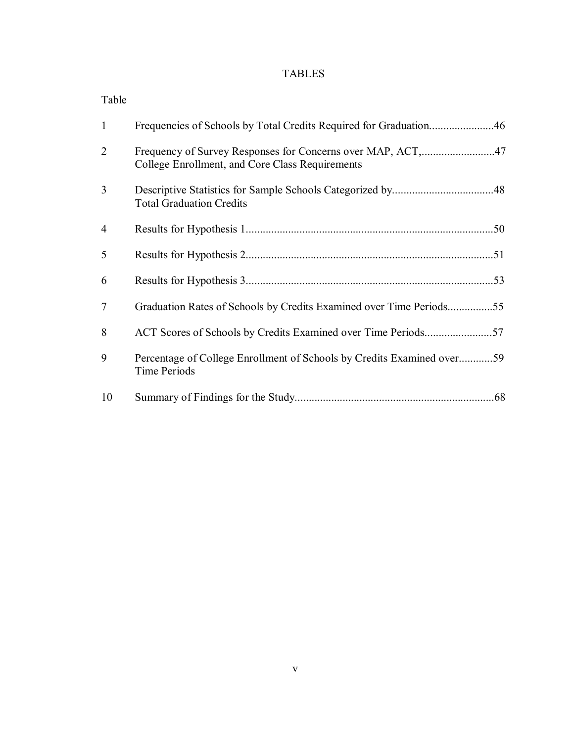## TABLES

| Table          |                                                                                               |
|----------------|-----------------------------------------------------------------------------------------------|
| $\mathbf{1}$   |                                                                                               |
| $\overline{2}$ | College Enrollment, and Core Class Requirements                                               |
| 3              | <b>Total Graduation Credits</b>                                                               |
| $\overline{4}$ |                                                                                               |
| 5              |                                                                                               |
| 6              |                                                                                               |
| 7              | Graduation Rates of Schools by Credits Examined over Time Periods55                           |
| 8              |                                                                                               |
| 9              | Percentage of College Enrollment of Schools by Credits Examined over59<br><b>Time Periods</b> |
| 10             |                                                                                               |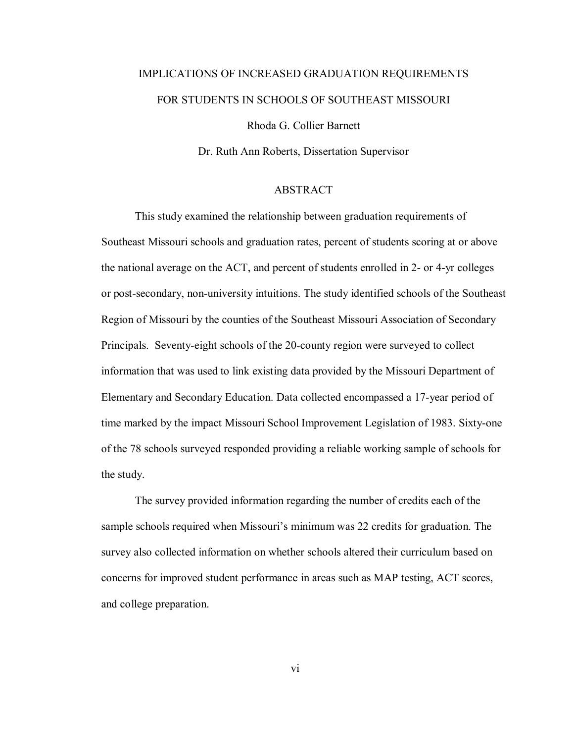# IMPLICATIONS OF INCREASED GRADUATION REQUIREMENTS FOR STUDENTS IN SCHOOLS OF SOUTHEAST MISSOURI

Rhoda G. Collier Barnett

Dr. Ruth Ann Roberts, Dissertation Supervisor

#### ABSTRACT

 This study examined the relationship between graduation requirements of Southeast Missouri schools and graduation rates, percent of students scoring at or above the national average on the ACT, and percent of students enrolled in 2- or 4-yr colleges or post-secondary, non-university intuitions. The study identified schools of the Southeast Region of Missouri by the counties of the Southeast Missouri Association of Secondary Principals. Seventy-eight schools of the 20-county region were surveyed to collect information that was used to link existing data provided by the Missouri Department of Elementary and Secondary Education. Data collected encompassed a 17-year period of time marked by the impact Missouri School Improvement Legislation of 1983. Sixty-one of the 78 schools surveyed responded providing a reliable working sample of schools for the study.

 The survey provided information regarding the number of credits each of the sample schools required when Missouri's minimum was 22 credits for graduation. The survey also collected information on whether schools altered their curriculum based on concerns for improved student performance in areas such as MAP testing, ACT scores, and college preparation.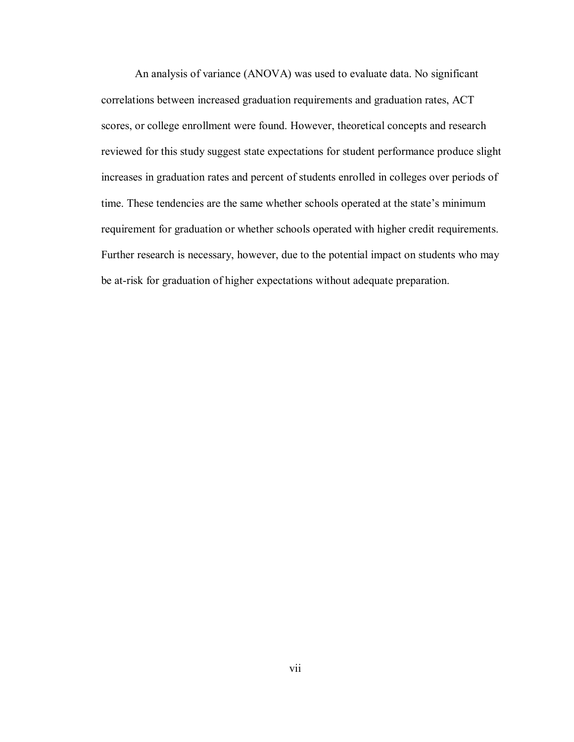An analysis of variance (ANOVA) was used to evaluate data. No significant correlations between increased graduation requirements and graduation rates, ACT scores, or college enrollment were found. However, theoretical concepts and research reviewed for this study suggest state expectations for student performance produce slight increases in graduation rates and percent of students enrolled in colleges over periods of time. These tendencies are the same whether schools operated at the state's minimum requirement for graduation or whether schools operated with higher credit requirements. Further research is necessary, however, due to the potential impact on students who may be at-risk for graduation of higher expectations without adequate preparation.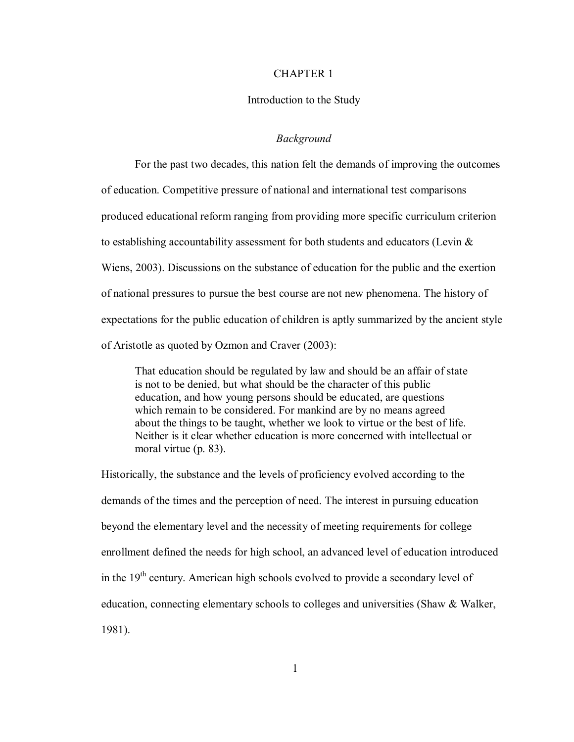#### CHAPTER 1

#### Introduction to the Study

#### *Background*

For the past two decades, this nation felt the demands of improving the outcomes of education. Competitive pressure of national and international test comparisons produced educational reform ranging from providing more specific curriculum criterion to establishing accountability assessment for both students and educators (Levin & Wiens, 2003). Discussions on the substance of education for the public and the exertion of national pressures to pursue the best course are not new phenomena. The history of expectations for the public education of children is aptly summarized by the ancient style of Aristotle as quoted by Ozmon and Craver (2003):

That education should be regulated by law and should be an affair of state is not to be denied, but what should be the character of this public education, and how young persons should be educated, are questions which remain to be considered. For mankind are by no means agreed about the things to be taught, whether we look to virtue or the best of life. Neither is it clear whether education is more concerned with intellectual or moral virtue (p. 83).

Historically, the substance and the levels of proficiency evolved according to the demands of the times and the perception of need. The interest in pursuing education beyond the elementary level and the necessity of meeting requirements for college enrollment defined the needs for high school, an advanced level of education introduced in the 19<sup>th</sup> century. American high schools evolved to provide a secondary level of education, connecting elementary schools to colleges and universities (Shaw & Walker, 1981).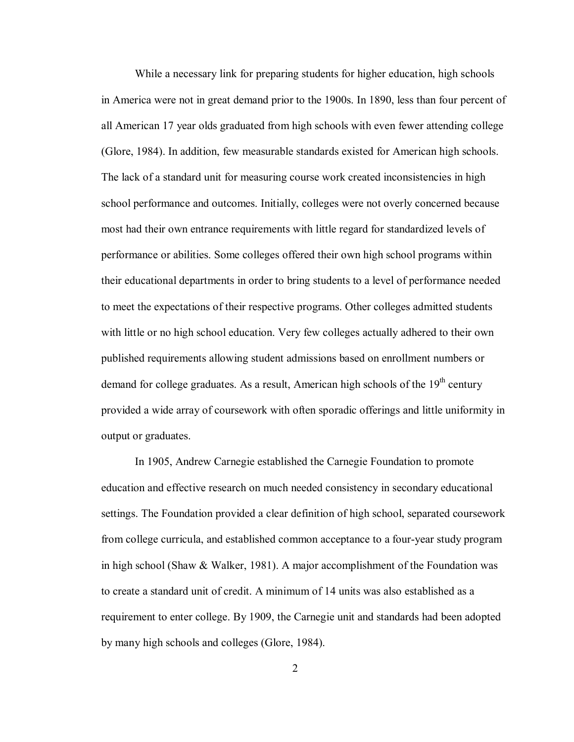While a necessary link for preparing students for higher education, high schools in America were not in great demand prior to the 1900s. In 1890, less than four percent of all American 17 year olds graduated from high schools with even fewer attending college (Glore, 1984). In addition, few measurable standards existed for American high schools. The lack of a standard unit for measuring course work created inconsistencies in high school performance and outcomes. Initially, colleges were not overly concerned because most had their own entrance requirements with little regard for standardized levels of performance or abilities. Some colleges offered their own high school programs within their educational departments in order to bring students to a level of performance needed to meet the expectations of their respective programs. Other colleges admitted students with little or no high school education. Very few colleges actually adhered to their own published requirements allowing student admissions based on enrollment numbers or demand for college graduates. As a result, American high schools of the  $19<sup>th</sup>$  century provided a wide array of coursework with often sporadic offerings and little uniformity in output or graduates.

 In 1905, Andrew Carnegie established the Carnegie Foundation to promote education and effective research on much needed consistency in secondary educational settings. The Foundation provided a clear definition of high school, separated coursework from college curricula, and established common acceptance to a four-year study program in high school (Shaw & Walker, 1981). A major accomplishment of the Foundation was to create a standard unit of credit. A minimum of 14 units was also established as a requirement to enter college. By 1909, the Carnegie unit and standards had been adopted by many high schools and colleges (Glore, 1984).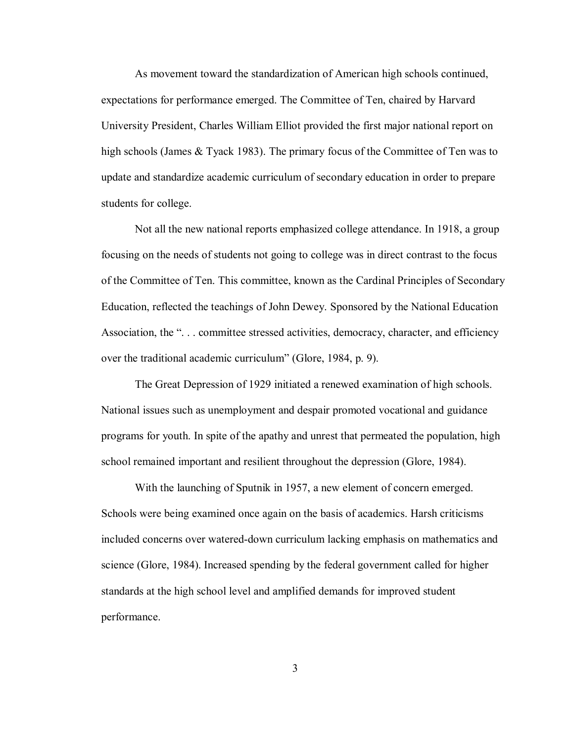As movement toward the standardization of American high schools continued, expectations for performance emerged. The Committee of Ten, chaired by Harvard University President, Charles William Elliot provided the first major national report on high schools (James & Tyack 1983). The primary focus of the Committee of Ten was to update and standardize academic curriculum of secondary education in order to prepare students for college.

Not all the new national reports emphasized college attendance. In 1918, a group focusing on the needs of students not going to college was in direct contrast to the focus of the Committee of Ten. This committee, known as the Cardinal Principles of Secondary Education, reflected the teachings of John Dewey. Sponsored by the National Education Association, the "... committee stressed activities, democracy, character, and efficiency over the traditional academic curriculum" (Glore, 1984, p. 9).

The Great Depression of 1929 initiated a renewed examination of high schools. National issues such as unemployment and despair promoted vocational and guidance programs for youth. In spite of the apathy and unrest that permeated the population, high school remained important and resilient throughout the depression (Glore, 1984).

With the launching of Sputnik in 1957, a new element of concern emerged. Schools were being examined once again on the basis of academics. Harsh criticisms included concerns over watered-down curriculum lacking emphasis on mathematics and science (Glore, 1984). Increased spending by the federal government called for higher standards at the high school level and amplified demands for improved student performance.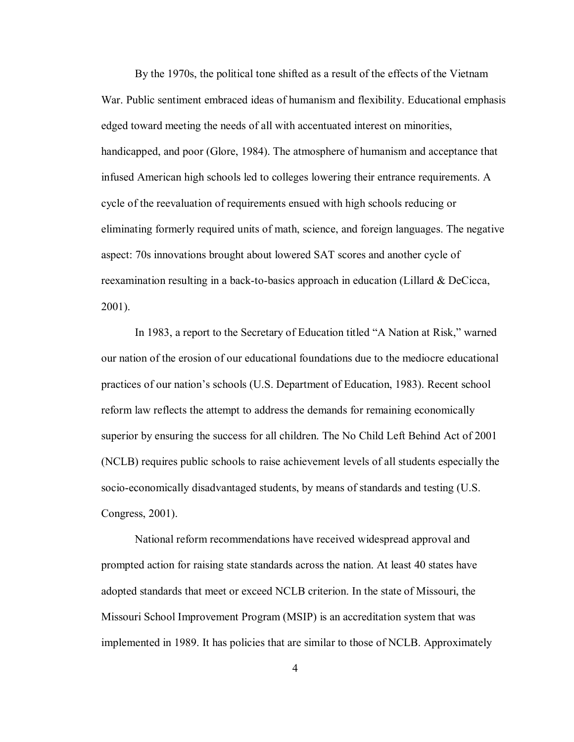By the 1970s, the political tone shifted as a result of the effects of the Vietnam War. Public sentiment embraced ideas of humanism and flexibility. Educational emphasis edged toward meeting the needs of all with accentuated interest on minorities, handicapped, and poor (Glore, 1984). The atmosphere of humanism and acceptance that infused American high schools led to colleges lowering their entrance requirements. A cycle of the reevaluation of requirements ensued with high schools reducing or eliminating formerly required units of math, science, and foreign languages. The negative aspect: 70s innovations brought about lowered SAT scores and another cycle of reexamination resulting in a back-to-basics approach in education (Lillard & DeCicca, 2001).

In 1983, a report to the Secretary of Education titled "A Nation at Risk," warned our nation of the erosion of our educational foundations due to the mediocre educational practices of our nation's schools (U.S. Department of Education, 1983). Recent school reform law reflects the attempt to address the demands for remaining economically superior by ensuring the success for all children. The No Child Left Behind Act of 2001 (NCLB) requires public schools to raise achievement levels of all students especially the socio-economically disadvantaged students, by means of standards and testing (U.S. Congress, 2001).

National reform recommendations have received widespread approval and prompted action for raising state standards across the nation. At least 40 states have adopted standards that meet or exceed NCLB criterion. In the state of Missouri, the Missouri School Improvement Program (MSIP) is an accreditation system that was implemented in 1989. It has policies that are similar to those of NCLB. Approximately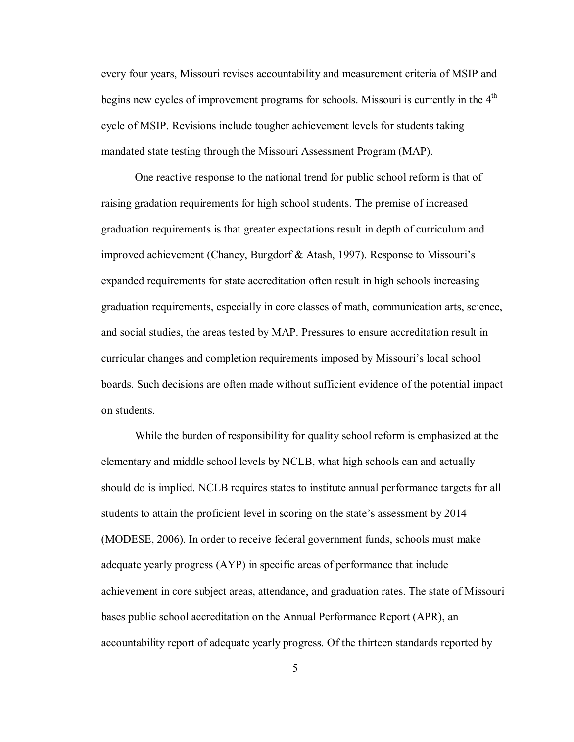every four years, Missouri revises accountability and measurement criteria of MSIP and begins new cycles of improvement programs for schools. Missouri is currently in the 4<sup>th</sup> cycle of MSIP. Revisions include tougher achievement levels for students taking mandated state testing through the Missouri Assessment Program (MAP).

One reactive response to the national trend for public school reform is that of raising gradation requirements for high school students. The premise of increased graduation requirements is that greater expectations result in depth of curriculum and improved achievement (Chaney, Burgdorf & Atash, 1997). Response to Missouri's expanded requirements for state accreditation often result in high schools increasing graduation requirements, especially in core classes of math, communication arts, science, and social studies, the areas tested by MAP. Pressures to ensure accreditation result in curricular changes and completion requirements imposed by Missouri's local school boards. Such decisions are often made without sufficient evidence of the potential impact on students.

While the burden of responsibility for quality school reform is emphasized at the elementary and middle school levels by NCLB, what high schools can and actually should do is implied. NCLB requires states to institute annual performance targets for all students to attain the proficient level in scoring on the state's assessment by 2014 (MODESE, 2006). In order to receive federal government funds, schools must make adequate yearly progress (AYP) in specific areas of performance that include achievement in core subject areas, attendance, and graduation rates. The state of Missouri bases public school accreditation on the Annual Performance Report (APR), an accountability report of adequate yearly progress. Of the thirteen standards reported by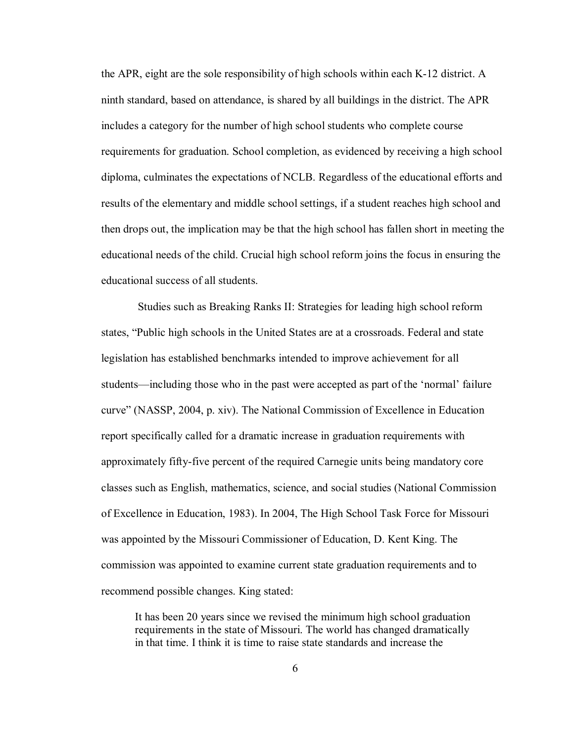the APR, eight are the sole responsibility of high schools within each K-12 district. A ninth standard, based on attendance, is shared by all buildings in the district. The APR includes a category for the number of high school students who complete course requirements for graduation. School completion, as evidenced by receiving a high school diploma, culminates the expectations of NCLB. Regardless of the educational efforts and results of the elementary and middle school settings, if a student reaches high school and then drops out, the implication may be that the high school has fallen short in meeting the educational needs of the child. Crucial high school reform joins the focus in ensuring the educational success of all students.

 Studies such as Breaking Ranks II: Strategies for leading high school reform states, "Public high schools in the United States are at a crossroads. Federal and state legislation has established benchmarks intended to improve achievement for all students—including those who in the past were accepted as part of the 'normal' failure curve" (NASSP, 2004, p. xiv). The National Commission of Excellence in Education report specifically called for a dramatic increase in graduation requirements with approximately fifty-five percent of the required Carnegie units being mandatory core classes such as English, mathematics, science, and social studies (National Commission of Excellence in Education, 1983). In 2004, The High School Task Force for Missouri was appointed by the Missouri Commissioner of Education, D. Kent King. The commission was appointed to examine current state graduation requirements and to recommend possible changes. King stated:

It has been 20 years since we revised the minimum high school graduation requirements in the state of Missouri. The world has changed dramatically in that time. I think it is time to raise state standards and increase the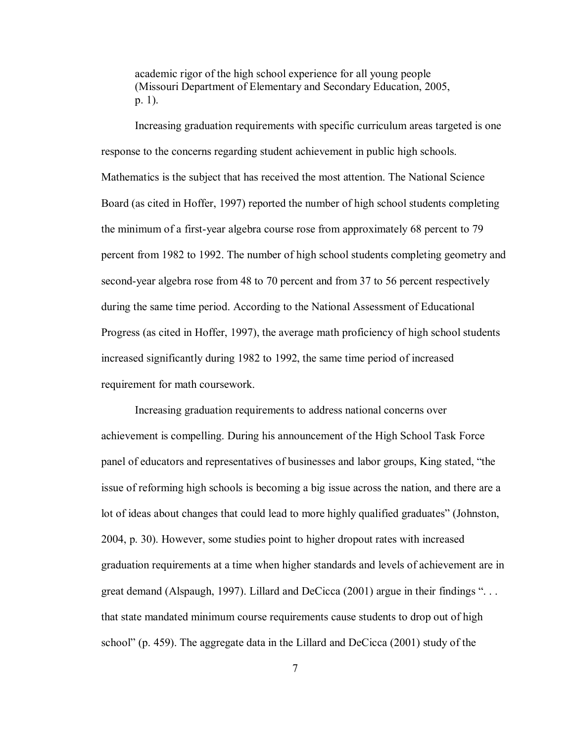academic rigor of the high school experience for all young people (Missouri Department of Elementary and Secondary Education, 2005, p. 1).

Increasing graduation requirements with specific curriculum areas targeted is one response to the concerns regarding student achievement in public high schools. Mathematics is the subject that has received the most attention. The National Science Board (as cited in Hoffer, 1997) reported the number of high school students completing the minimum of a first-year algebra course rose from approximately 68 percent to 79 percent from 1982 to 1992. The number of high school students completing geometry and second-year algebra rose from 48 to 70 percent and from 37 to 56 percent respectively during the same time period. According to the National Assessment of Educational Progress (as cited in Hoffer, 1997), the average math proficiency of high school students increased significantly during 1982 to 1992, the same time period of increased requirement for math coursework.

Increasing graduation requirements to address national concerns over achievement is compelling. During his announcement of the High School Task Force panel of educators and representatives of businesses and labor groups, King stated, "the issue of reforming high schools is becoming a big issue across the nation, and there are a lot of ideas about changes that could lead to more highly qualified graduates" (Johnston, 2004, p. 30). However, some studies point to higher dropout rates with increased graduation requirements at a time when higher standards and levels of achievement are in great demand (Alspaugh, 1997). Lillard and DeCicca (2001) argue in their findings ". . . that state mandated minimum course requirements cause students to drop out of high school" (p. 459). The aggregate data in the Lillard and DeCicca (2001) study of the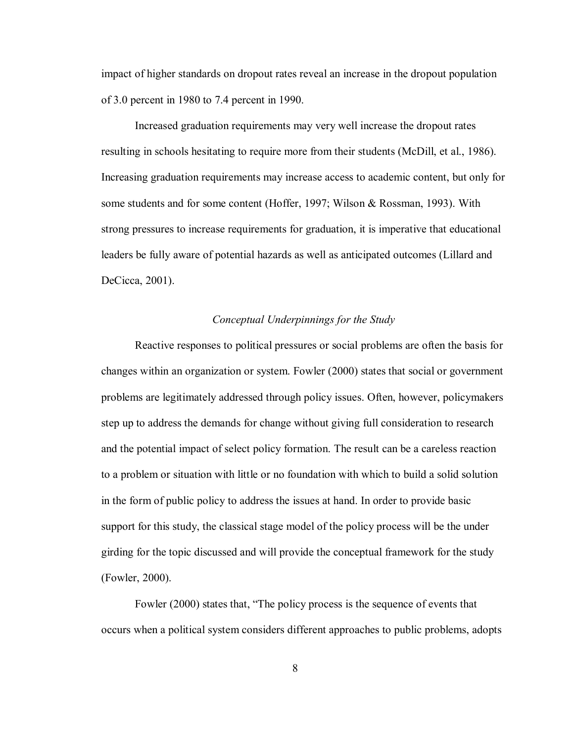impact of higher standards on dropout rates reveal an increase in the dropout population of 3.0 percent in 1980 to 7.4 percent in 1990.

Increased graduation requirements may very well increase the dropout rates resulting in schools hesitating to require more from their students (McDill, et al., 1986). Increasing graduation requirements may increase access to academic content, but only for some students and for some content (Hoffer, 1997; Wilson & Rossman, 1993). With strong pressures to increase requirements for graduation, it is imperative that educational leaders be fully aware of potential hazards as well as anticipated outcomes (Lillard and DeCicca, 2001).

#### *Conceptual Underpinnings for the Study*

 Reactive responses to political pressures or social problems are often the basis for changes within an organization or system. Fowler (2000) states that social or government problems are legitimately addressed through policy issues. Often, however, policymakers step up to address the demands for change without giving full consideration to research and the potential impact of select policy formation. The result can be a careless reaction to a problem or situation with little or no foundation with which to build a solid solution in the form of public policy to address the issues at hand. In order to provide basic support for this study, the classical stage model of the policy process will be the under girding for the topic discussed and will provide the conceptual framework for the study (Fowler, 2000).

 Fowler (2000) states that, "The policy process is the sequence of events that occurs when a political system considers different approaches to public problems, adopts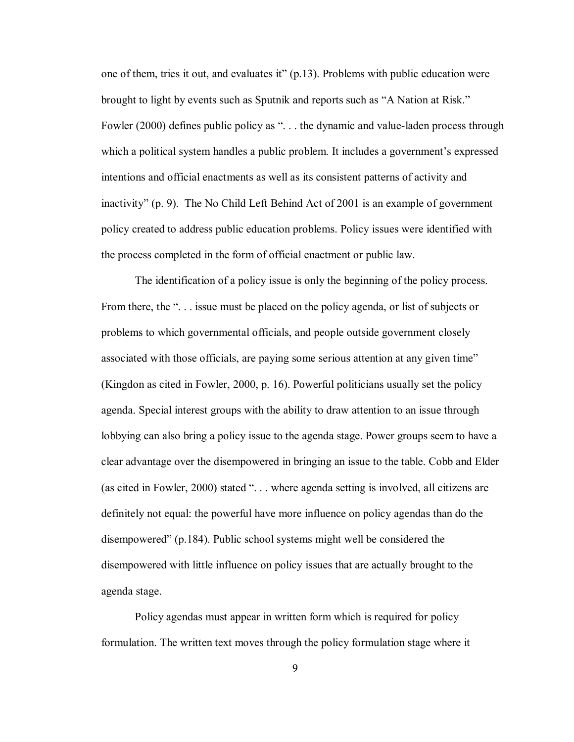one of them, tries it out, and evaluates it" (p.13). Problems with public education were brought to light by events such as Sputnik and reports such as "A Nation at Risk." Fowler (2000) defines public policy as "... the dynamic and value-laden process through which a political system handles a public problem. It includes a government's expressed intentions and official enactments as well as its consistent patterns of activity and inactivity" (p. 9). The No Child Left Behind Act of 2001 is an example of government policy created to address public education problems. Policy issues were identified with the process completed in the form of official enactment or public law.

 The identification of a policy issue is only the beginning of the policy process. From there, the "... issue must be placed on the policy agenda, or list of subjects or problems to which governmental officials, and people outside government closely associated with those officials, are paying some serious attention at any given time" (Kingdon as cited in Fowler, 2000, p. 16). Powerful politicians usually set the policy agenda. Special interest groups with the ability to draw attention to an issue through lobbying can also bring a policy issue to the agenda stage. Power groups seem to have a clear advantage over the disempowered in bringing an issue to the table. Cobb and Elder (as cited in Fowler, 2000) stated ". . . where agenda setting is involved, all citizens are definitely not equal: the powerful have more influence on policy agendas than do the disempowered" (p.184). Public school systems might well be considered the disempowered with little influence on policy issues that are actually brought to the agenda stage.

 Policy agendas must appear in written form which is required for policy formulation. The written text moves through the policy formulation stage where it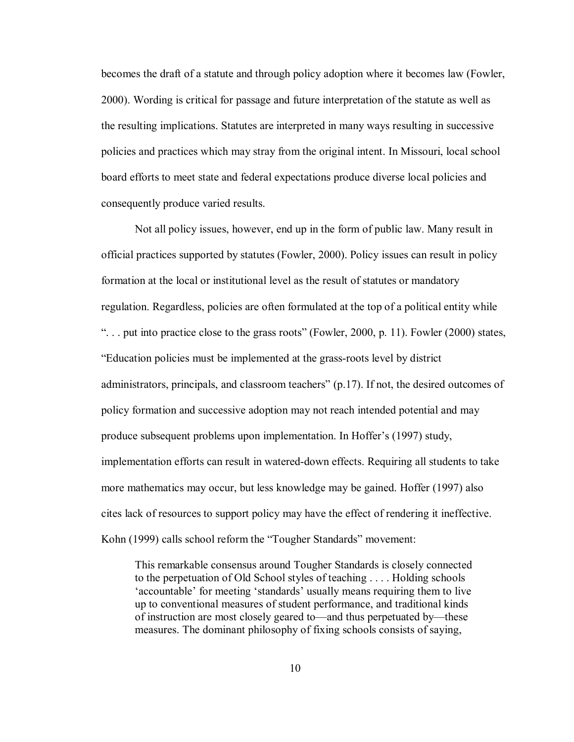becomes the draft of a statute and through policy adoption where it becomes law (Fowler, 2000). Wording is critical for passage and future interpretation of the statute as well as the resulting implications. Statutes are interpreted in many ways resulting in successive policies and practices which may stray from the original intent. In Missouri, local school board efforts to meet state and federal expectations produce diverse local policies and consequently produce varied results.

 Not all policy issues, however, end up in the form of public law. Many result in official practices supported by statutes (Fowler, 2000). Policy issues can result in policy formation at the local or institutional level as the result of statutes or mandatory regulation. Regardless, policies are often formulated at the top of a political entity while ". . . put into practice close to the grass roots" (Fowler, 2000, p. 11). Fowler (2000) states, "Education policies must be implemented at the grass-roots level by district administrators, principals, and classroom teachers" (p.17). If not, the desired outcomes of policy formation and successive adoption may not reach intended potential and may produce subsequent problems upon implementation. In Hoffer's (1997) study, implementation efforts can result in watered-down effects. Requiring all students to take more mathematics may occur, but less knowledge may be gained. Hoffer (1997) also cites lack of resources to support policy may have the effect of rendering it ineffective. Kohn (1999) calls school reform the "Tougher Standards" movement:

This remarkable consensus around Tougher Standards is closely connected to the perpetuation of Old School styles of teaching . . . . Holding schools 'accountable' for meeting 'standards' usually means requiring them to live up to conventional measures of student performance, and traditional kinds of instruction are most closely geared to—and thus perpetuated by—these measures. The dominant philosophy of fixing schools consists of saying,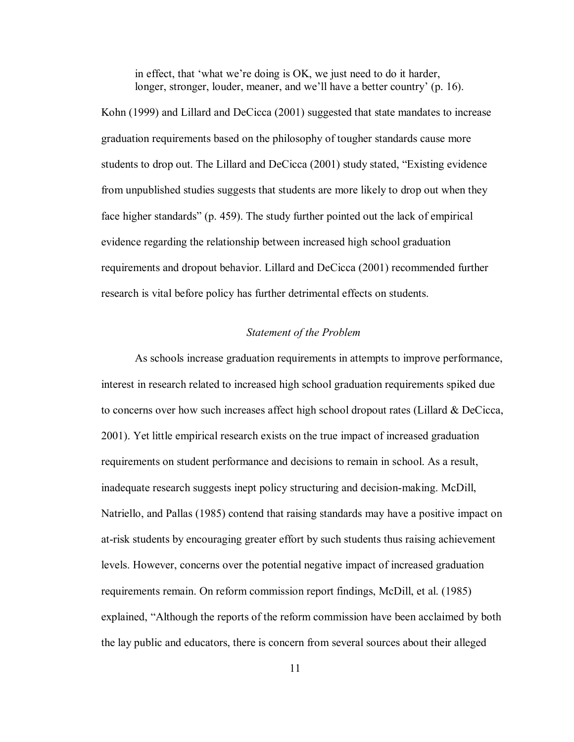in effect, that 'what we're doing is OK, we just need to do it harder, longer, stronger, louder, meaner, and we'll have a better country' (p. 16).

Kohn (1999) and Lillard and DeCicca (2001) suggested that state mandates to increase graduation requirements based on the philosophy of tougher standards cause more students to drop out. The Lillard and DeCicca (2001) study stated, "Existing evidence from unpublished studies suggests that students are more likely to drop out when they face higher standards" (p. 459). The study further pointed out the lack of empirical evidence regarding the relationship between increased high school graduation requirements and dropout behavior. Lillard and DeCicca (2001) recommended further research is vital before policy has further detrimental effects on students.

#### *Statement of the Problem*

 As schools increase graduation requirements in attempts to improve performance, interest in research related to increased high school graduation requirements spiked due to concerns over how such increases affect high school dropout rates (Lillard & DeCicca, 2001). Yet little empirical research exists on the true impact of increased graduation requirements on student performance and decisions to remain in school. As a result, inadequate research suggests inept policy structuring and decision-making. McDill, Natriello, and Pallas (1985) contend that raising standards may have a positive impact on at-risk students by encouraging greater effort by such students thus raising achievement levels. However, concerns over the potential negative impact of increased graduation requirements remain. On reform commission report findings, McDill, et al. (1985) explained, "Although the reports of the reform commission have been acclaimed by both the lay public and educators, there is concern from several sources about their alleged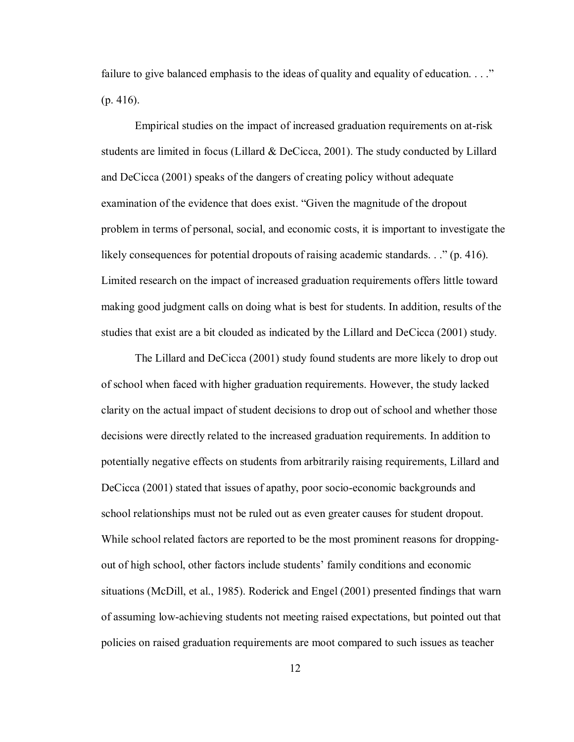failure to give balanced emphasis to the ideas of quality and equality of education.  $\ldots$ ." (p. 416).

 Empirical studies on the impact of increased graduation requirements on at-risk students are limited in focus (Lillard  $&$  DeCicca, 2001). The study conducted by Lillard and DeCicca (2001) speaks of the dangers of creating policy without adequate examination of the evidence that does exist. "Given the magnitude of the dropout problem in terms of personal, social, and economic costs, it is important to investigate the likely consequences for potential dropouts of raising academic standards. . ." (p. 416). Limited research on the impact of increased graduation requirements offers little toward making good judgment calls on doing what is best for students. In addition, results of the studies that exist are a bit clouded as indicated by the Lillard and DeCicca (2001) study.

The Lillard and DeCicca (2001) study found students are more likely to drop out of school when faced with higher graduation requirements. However, the study lacked clarity on the actual impact of student decisions to drop out of school and whether those decisions were directly related to the increased graduation requirements. In addition to potentially negative effects on students from arbitrarily raising requirements, Lillard and DeCicca (2001) stated that issues of apathy, poor socio-economic backgrounds and school relationships must not be ruled out as even greater causes for student dropout. While school related factors are reported to be the most prominent reasons for droppingout of high school, other factors include students' family conditions and economic situations (McDill, et al., 1985). Roderick and Engel (2001) presented findings that warn of assuming low-achieving students not meeting raised expectations, but pointed out that policies on raised graduation requirements are moot compared to such issues as teacher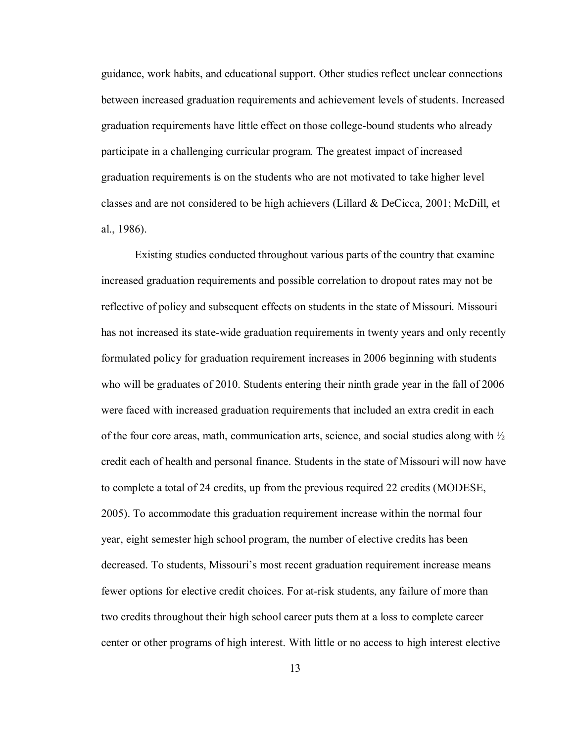guidance, work habits, and educational support. Other studies reflect unclear connections between increased graduation requirements and achievement levels of students. Increased graduation requirements have little effect on those college-bound students who already participate in a challenging curricular program. The greatest impact of increased graduation requirements is on the students who are not motivated to take higher level classes and are not considered to be high achievers (Lillard & DeCicca, 2001; McDill, et al., 1986).

 Existing studies conducted throughout various parts of the country that examine increased graduation requirements and possible correlation to dropout rates may not be reflective of policy and subsequent effects on students in the state of Missouri. Missouri has not increased its state-wide graduation requirements in twenty years and only recently formulated policy for graduation requirement increases in 2006 beginning with students who will be graduates of 2010. Students entering their ninth grade year in the fall of 2006 were faced with increased graduation requirements that included an extra credit in each of the four core areas, math, communication arts, science, and social studies along with  $\frac{1}{2}$ credit each of health and personal finance. Students in the state of Missouri will now have to complete a total of 24 credits, up from the previous required 22 credits (MODESE, 2005). To accommodate this graduation requirement increase within the normal four year, eight semester high school program, the number of elective credits has been decreased. To students, Missouri's most recent graduation requirement increase means fewer options for elective credit choices. For at-risk students, any failure of more than two credits throughout their high school career puts them at a loss to complete career center or other programs of high interest. With little or no access to high interest elective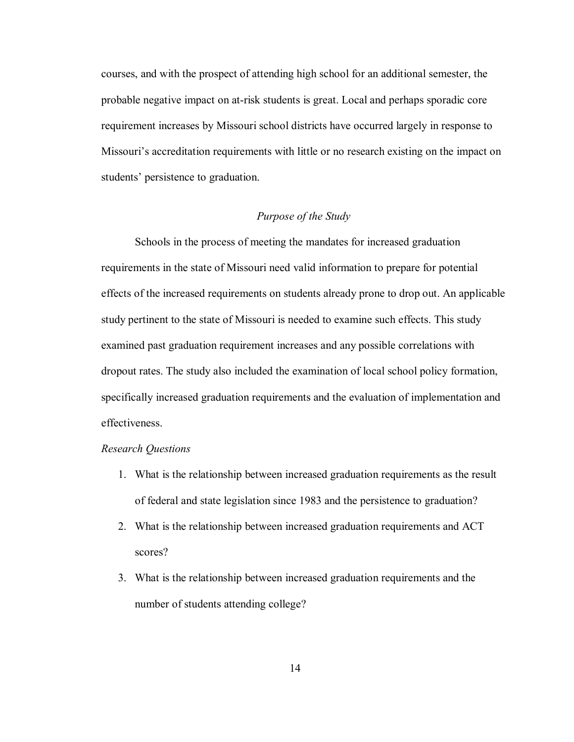courses, and with the prospect of attending high school for an additional semester, the probable negative impact on at-risk students is great. Local and perhaps sporadic core requirement increases by Missouri school districts have occurred largely in response to Missouri's accreditation requirements with little or no research existing on the impact on students' persistence to graduation.

#### *Purpose of the Study*

 Schools in the process of meeting the mandates for increased graduation requirements in the state of Missouri need valid information to prepare for potential effects of the increased requirements on students already prone to drop out. An applicable study pertinent to the state of Missouri is needed to examine such effects. This study examined past graduation requirement increases and any possible correlations with dropout rates. The study also included the examination of local school policy formation, specifically increased graduation requirements and the evaluation of implementation and effectiveness.

#### *Research Questions*

- 1. What is the relationship between increased graduation requirements as the result of federal and state legislation since 1983 and the persistence to graduation?
- 2. What is the relationship between increased graduation requirements and ACT scores?
- 3. What is the relationship between increased graduation requirements and the number of students attending college?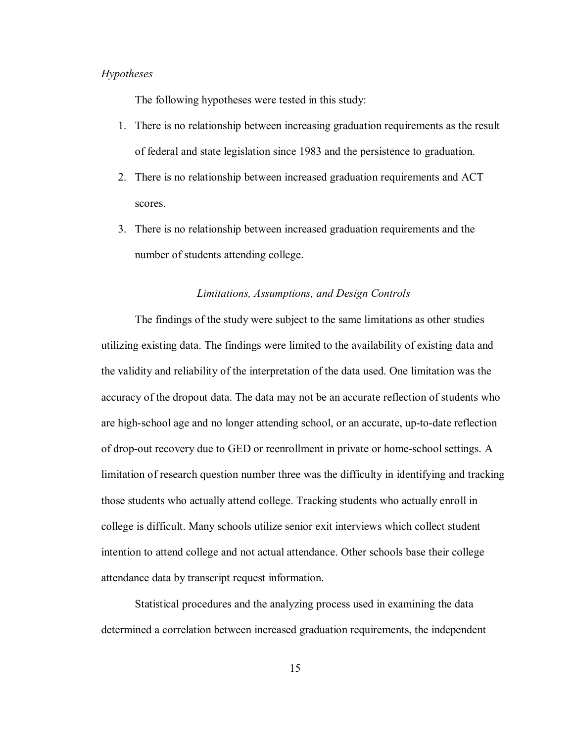#### *Hypotheses*

The following hypotheses were tested in this study:

- 1. There is no relationship between increasing graduation requirements as the result of federal and state legislation since 1983 and the persistence to graduation.
- 2. There is no relationship between increased graduation requirements and ACT scores.
- 3. There is no relationship between increased graduation requirements and the number of students attending college.

#### *Limitations, Assumptions, and Design Controls*

The findings of the study were subject to the same limitations as other studies utilizing existing data. The findings were limited to the availability of existing data and the validity and reliability of the interpretation of the data used. One limitation was the accuracy of the dropout data. The data may not be an accurate reflection of students who are high-school age and no longer attending school, or an accurate, up-to-date reflection of drop-out recovery due to GED or reenrollment in private or home-school settings. A limitation of research question number three was the difficulty in identifying and tracking those students who actually attend college. Tracking students who actually enroll in college is difficult. Many schools utilize senior exit interviews which collect student intention to attend college and not actual attendance. Other schools base their college attendance data by transcript request information.

 Statistical procedures and the analyzing process used in examining the data determined a correlation between increased graduation requirements, the independent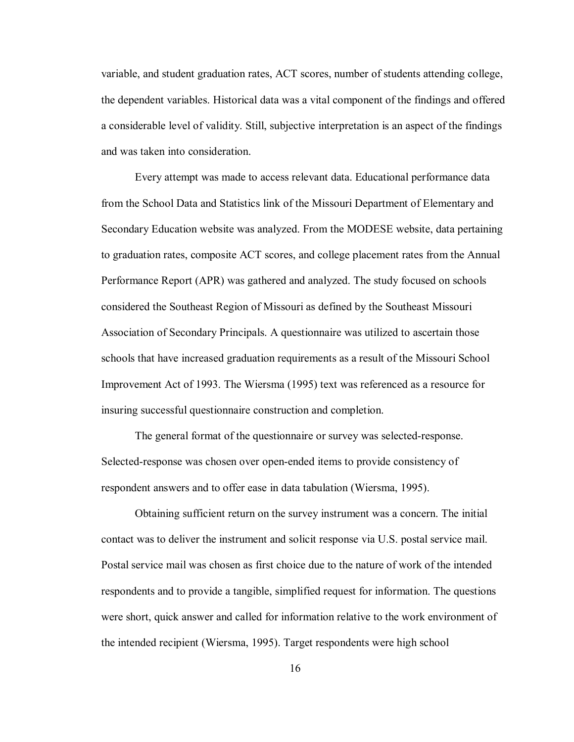variable, and student graduation rates, ACT scores, number of students attending college, the dependent variables. Historical data was a vital component of the findings and offered a considerable level of validity. Still, subjective interpretation is an aspect of the findings and was taken into consideration.

Every attempt was made to access relevant data. Educational performance data from the School Data and Statistics link of the Missouri Department of Elementary and Secondary Education website was analyzed. From the MODESE website, data pertaining to graduation rates, composite ACT scores, and college placement rates from the Annual Performance Report (APR) was gathered and analyzed. The study focused on schools considered the Southeast Region of Missouri as defined by the Southeast Missouri Association of Secondary Principals. A questionnaire was utilized to ascertain those schools that have increased graduation requirements as a result of the Missouri School Improvement Act of 1993. The Wiersma (1995) text was referenced as a resource for insuring successful questionnaire construction and completion.

The general format of the questionnaire or survey was selected-response. Selected-response was chosen over open-ended items to provide consistency of respondent answers and to offer ease in data tabulation (Wiersma, 1995).

Obtaining sufficient return on the survey instrument was a concern. The initial contact was to deliver the instrument and solicit response via U.S. postal service mail. Postal service mail was chosen as first choice due to the nature of work of the intended respondents and to provide a tangible, simplified request for information. The questions were short, quick answer and called for information relative to the work environment of the intended recipient (Wiersma, 1995). Target respondents were high school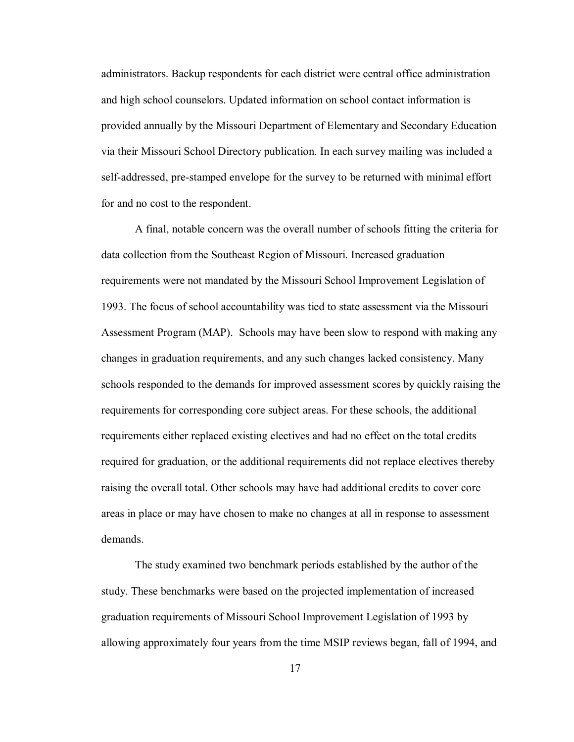administrators. Backup respondents for each district were central office administration and high school counselors. Updated information on school contact information is provided annually by the Missouri Department of Elementary and Secondary Education via their Missouri School Directory publication. In each survey mailing was included a self-addressed, pre-stamped envelope for the survey to be returned with minimal effort for and no cost to the respondent.

A final, notable concern was the overall number of schools fitting the criteria for data collection from the Southeast Region of Missouri. Increased graduation requirements were not mandated by the Missouri School Improvement Legislation of 1993. The focus of school accountability was tied to state assessment via the Missouri Assessment Program (MAP). Schools may have been slow to respond with making any changes in graduation requirements, and any such changes lacked consistency. Many schools responded to the demands for improved assessment scores by quickly raising the requirements for corresponding core subject areas. For these schools, the additional requirements either replaced existing electives and had no effect on the total credits required for graduation, or the additional requirements did not replace electives thereby raising the overall total. Other schools may have had additional credits to cover core areas in place or may have chosen to make no changes at all in response to assessment demands.

The study examined two benchmark periods established by the author of the study. These benchmarks were based on the projected implementation of increased graduation requirements of Missouri School Improvement Legislation of 1993 by allowing approximately four years from the time MSIP reviews began, fall of 1994, and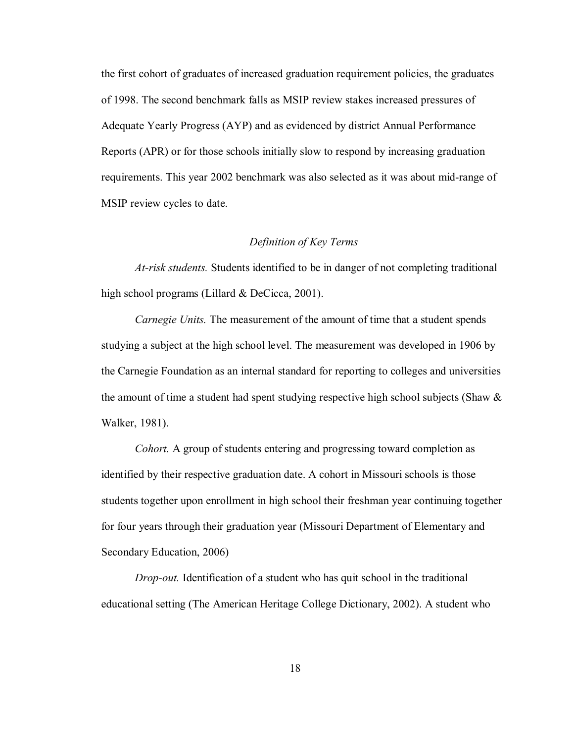the first cohort of graduates of increased graduation requirement policies, the graduates of 1998. The second benchmark falls as MSIP review stakes increased pressures of Adequate Yearly Progress (AYP) and as evidenced by district Annual Performance Reports (APR) or for those schools initially slow to respond by increasing graduation requirements. This year 2002 benchmark was also selected as it was about mid-range of MSIP review cycles to date.

#### *Definition of Key Terms*

*At-risk students.* Students identified to be in danger of not completing traditional high school programs (Lillard & DeCicca, 2001).

*Carnegie Units.* The measurement of the amount of time that a student spends studying a subject at the high school level. The measurement was developed in 1906 by the Carnegie Foundation as an internal standard for reporting to colleges and universities the amount of time a student had spent studying respective high school subjects (Shaw & Walker, 1981).

*Cohort.* A group of students entering and progressing toward completion as identified by their respective graduation date. A cohort in Missouri schools is those students together upon enrollment in high school their freshman year continuing together for four years through their graduation year (Missouri Department of Elementary and Secondary Education, 2006)

*Drop-out.* Identification of a student who has quit school in the traditional educational setting (The American Heritage College Dictionary, 2002). A student who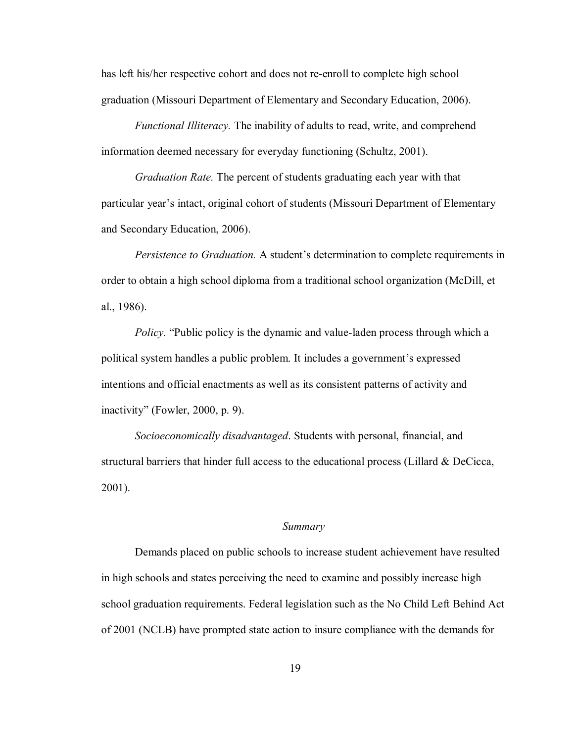has left his/her respective cohort and does not re-enroll to complete high school graduation (Missouri Department of Elementary and Secondary Education, 2006).

*Functional Illiteracy.* The inability of adults to read, write, and comprehend information deemed necessary for everyday functioning (Schultz, 2001).

*Graduation Rate.* The percent of students graduating each year with that particular year's intact, original cohort of students (Missouri Department of Elementary and Secondary Education, 2006).

*Persistence to Graduation.* A student's determination to complete requirements in order to obtain a high school diploma from a traditional school organization (McDill, et al., 1986).

*Policy.* "Public policy is the dynamic and value-laden process through which a political system handles a public problem. It includes a government's expressed intentions and official enactments as well as its consistent patterns of activity and inactivity" (Fowler, 2000, p. 9).

*Socioeconomically disadvantaged*. Students with personal, financial, and structural barriers that hinder full access to the educational process (Lillard & DeCicca, 2001).

#### *Summary*

Demands placed on public schools to increase student achievement have resulted in high schools and states perceiving the need to examine and possibly increase high school graduation requirements. Federal legislation such as the No Child Left Behind Act of 2001 (NCLB) have prompted state action to insure compliance with the demands for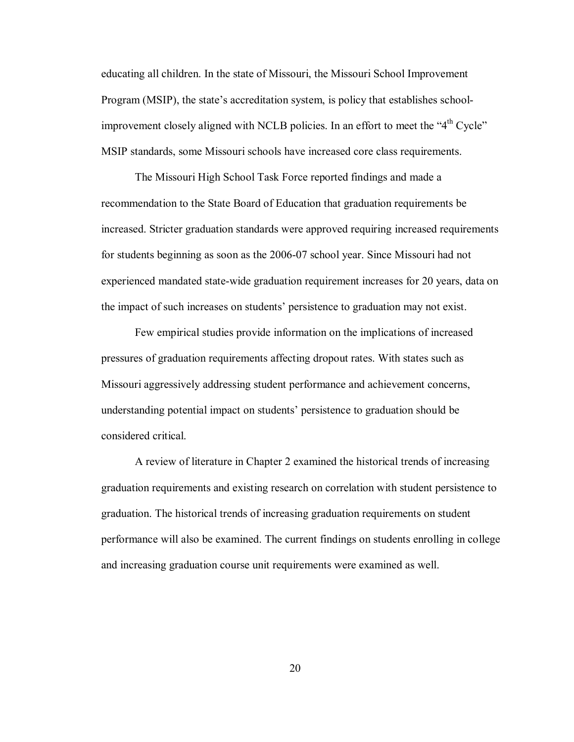educating all children. In the state of Missouri, the Missouri School Improvement Program (MSIP), the state's accreditation system, is policy that establishes schoolimprovement closely aligned with NCLB policies. In an effort to meet the " $4<sup>th</sup>$  Cycle" MSIP standards, some Missouri schools have increased core class requirements.

 The Missouri High School Task Force reported findings and made a recommendation to the State Board of Education that graduation requirements be increased. Stricter graduation standards were approved requiring increased requirements for students beginning as soon as the 2006-07 school year. Since Missouri had not experienced mandated state-wide graduation requirement increases for 20 years, data on the impact of such increases on students' persistence to graduation may not exist.

 Few empirical studies provide information on the implications of increased pressures of graduation requirements affecting dropout rates. With states such as Missouri aggressively addressing student performance and achievement concerns, understanding potential impact on students' persistence to graduation should be considered critical.

 A review of literature in Chapter 2 examined the historical trends of increasing graduation requirements and existing research on correlation with student persistence to graduation. The historical trends of increasing graduation requirements on student performance will also be examined. The current findings on students enrolling in college and increasing graduation course unit requirements were examined as well.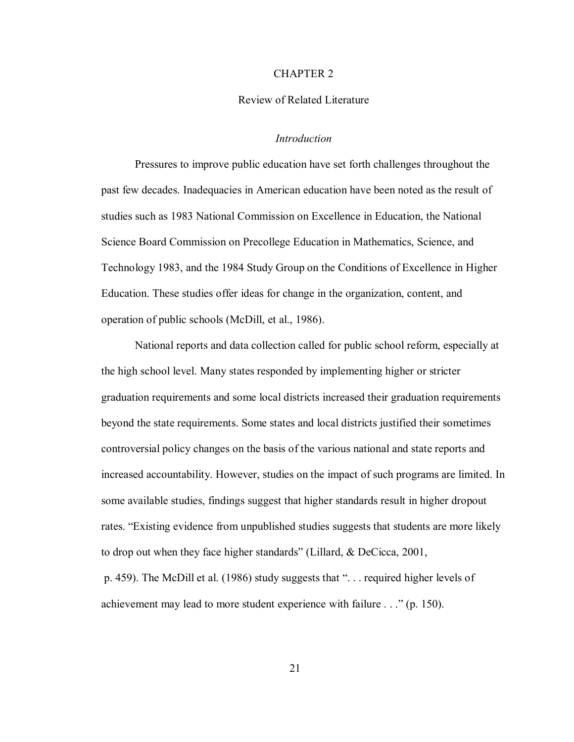#### CHAPTER 2

#### Review of Related Literature

#### *Introduction*

Pressures to improve public education have set forth challenges throughout the past few decades. Inadequacies in American education have been noted as the result of studies such as 1983 National Commission on Excellence in Education, the National Science Board Commission on Precollege Education in Mathematics, Science, and Technology 1983, and the 1984 Study Group on the Conditions of Excellence in Higher Education. These studies offer ideas for change in the organization, content, and operation of public schools (McDill, et al., 1986).

 National reports and data collection called for public school reform, especially at the high school level. Many states responded by implementing higher or stricter graduation requirements and some local districts increased their graduation requirements beyond the state requirements. Some states and local districts justified their sometimes controversial policy changes on the basis of the various national and state reports and increased accountability. However, studies on the impact of such programs are limited. In some available studies, findings suggest that higher standards result in higher dropout rates. "Existing evidence from unpublished studies suggests that students are more likely to drop out when they face higher standards" (Lillard, & DeCicca, 2001, p. 459). The McDill et al. (1986) study suggests that ". . . required higher levels of

achievement may lead to more student experience with failure . . ." (p. 150).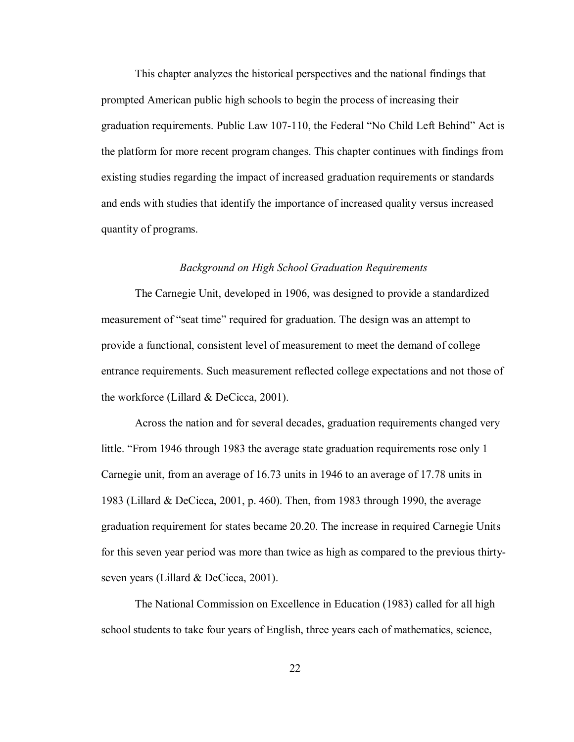This chapter analyzes the historical perspectives and the national findings that prompted American public high schools to begin the process of increasing their graduation requirements. Public Law 107-110, the Federal "No Child Left Behind" Act is the platform for more recent program changes. This chapter continues with findings from existing studies regarding the impact of increased graduation requirements or standards and ends with studies that identify the importance of increased quality versus increased quantity of programs.

#### *Background on High School Graduation Requirements*

 The Carnegie Unit, developed in 1906, was designed to provide a standardized measurement of "seat time" required for graduation. The design was an attempt to provide a functional, consistent level of measurement to meet the demand of college entrance requirements. Such measurement reflected college expectations and not those of the workforce (Lillard & DeCicca, 2001).

 Across the nation and for several decades, graduation requirements changed very little. "From 1946 through 1983 the average state graduation requirements rose only 1 Carnegie unit, from an average of 16.73 units in 1946 to an average of 17.78 units in 1983 (Lillard & DeCicca, 2001, p. 460). Then, from 1983 through 1990, the average graduation requirement for states became 20.20. The increase in required Carnegie Units for this seven year period was more than twice as high as compared to the previous thirtyseven years (Lillard & DeCicca, 2001).

 The National Commission on Excellence in Education (1983) called for all high school students to take four years of English, three years each of mathematics, science,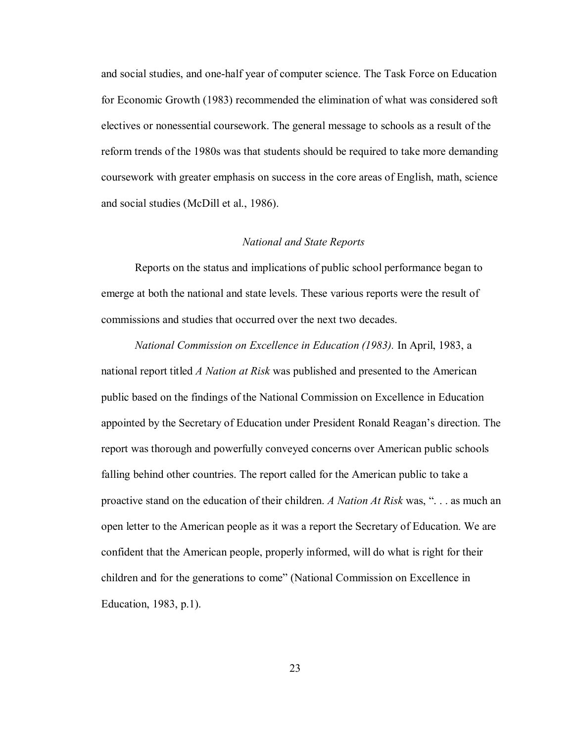and social studies, and one-half year of computer science. The Task Force on Education for Economic Growth (1983) recommended the elimination of what was considered soft electives or nonessential coursework. The general message to schools as a result of the reform trends of the 1980s was that students should be required to take more demanding coursework with greater emphasis on success in the core areas of English, math, science and social studies (McDill et al., 1986).

#### *National and State Reports*

 Reports on the status and implications of public school performance began to emerge at both the national and state levels. These various reports were the result of commissions and studies that occurred over the next two decades.

*National Commission on Excellence in Education (1983).* In April, 1983, a national report titled *A Nation at Risk* was published and presented to the American public based on the findings of the National Commission on Excellence in Education appointed by the Secretary of Education under President Ronald Reagan's direction. The report was thorough and powerfully conveyed concerns over American public schools falling behind other countries. The report called for the American public to take a proactive stand on the education of their children. *A Nation At Risk* was, ". . . as much an open letter to the American people as it was a report the Secretary of Education. We are confident that the American people, properly informed, will do what is right for their children and for the generations to come" (National Commission on Excellence in Education, 1983, p.1).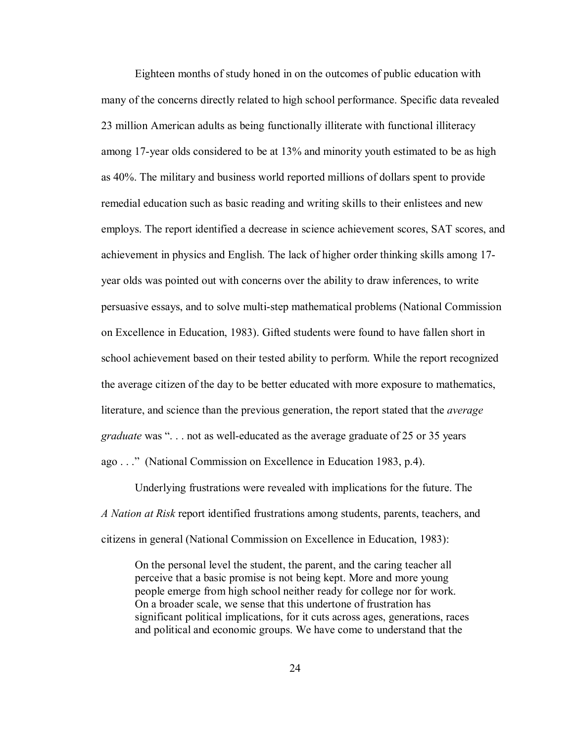Eighteen months of study honed in on the outcomes of public education with many of the concerns directly related to high school performance. Specific data revealed 23 million American adults as being functionally illiterate with functional illiteracy among 17-year olds considered to be at 13% and minority youth estimated to be as high as 40%. The military and business world reported millions of dollars spent to provide remedial education such as basic reading and writing skills to their enlistees and new employs. The report identified a decrease in science achievement scores, SAT scores, and achievement in physics and English. The lack of higher order thinking skills among 17 year olds was pointed out with concerns over the ability to draw inferences, to write persuasive essays, and to solve multi-step mathematical problems (National Commission on Excellence in Education, 1983). Gifted students were found to have fallen short in school achievement based on their tested ability to perform. While the report recognized the average citizen of the day to be better educated with more exposure to mathematics, literature, and science than the previous generation, the report stated that the *average graduate* was ". . . not as well-educated as the average graduate of 25 or 35 years ago . . ." (National Commission on Excellence in Education 1983, p.4).

Underlying frustrations were revealed with implications for the future. The *A Nation at Risk* report identified frustrations among students, parents, teachers, and citizens in general (National Commission on Excellence in Education, 1983):

On the personal level the student, the parent, and the caring teacher all perceive that a basic promise is not being kept. More and more young people emerge from high school neither ready for college nor for work. On a broader scale, we sense that this undertone of frustration has significant political implications, for it cuts across ages, generations, races and political and economic groups. We have come to understand that the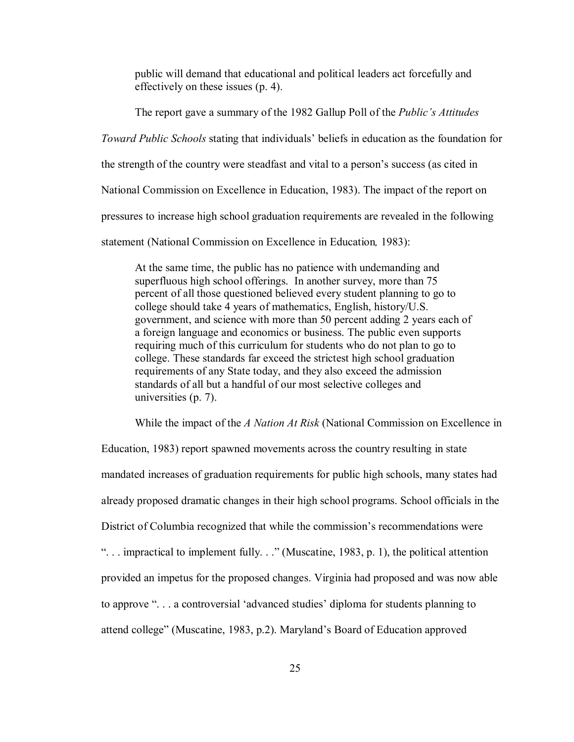public will demand that educational and political leaders act forcefully and effectively on these issues (p. 4).

The report gave a summary of the 1982 Gallup Poll of the *Public's Attitudes* 

*Toward Public Schools* stating that individuals' beliefs in education as the foundation for

the strength of the country were steadfast and vital to a person's success (as cited in

National Commission on Excellence in Education, 1983). The impact of the report on

pressures to increase high school graduation requirements are revealed in the following

statement (National Commission on Excellence in Education*,* 1983):

At the same time, the public has no patience with undemanding and superfluous high school offerings. In another survey, more than 75 percent of all those questioned believed every student planning to go to college should take 4 years of mathematics, English, history/U.S. government, and science with more than 50 percent adding 2 years each of a foreign language and economics or business. The public even supports requiring much of this curriculum for students who do not plan to go to college. These standards far exceed the strictest high school graduation requirements of any State today, and they also exceed the admission standards of all but a handful of our most selective colleges and universities (p. 7).

While the impact of the *A Nation At Risk* (National Commission on Excellence in

Education, 1983) report spawned movements across the country resulting in state mandated increases of graduation requirements for public high schools, many states had already proposed dramatic changes in their high school programs. School officials in the District of Columbia recognized that while the commission's recommendations were ". . . impractical to implement fully. . ." (Muscatine, 1983, p. 1), the political attention provided an impetus for the proposed changes. Virginia had proposed and was now able to approve ". . . a controversial 'advanced studies' diploma for students planning to attend college" (Muscatine, 1983, p.2). Maryland's Board of Education approved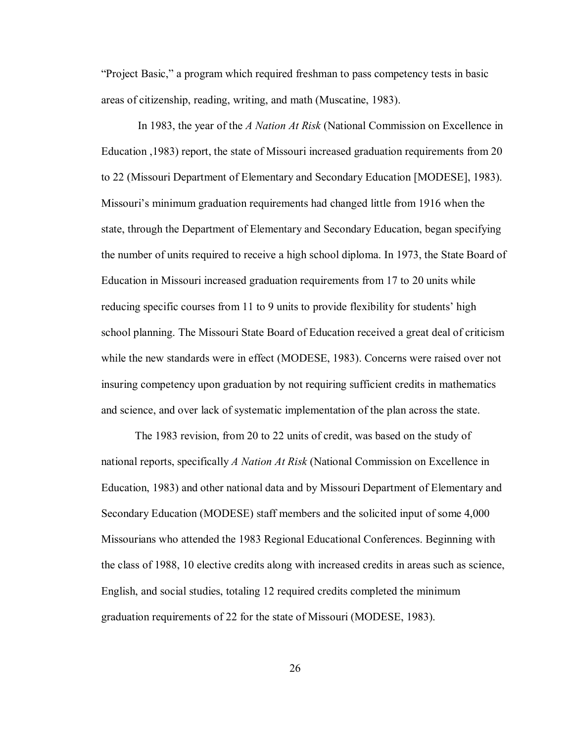"Project Basic," a program which required freshman to pass competency tests in basic areas of citizenship, reading, writing, and math (Muscatine, 1983).

 In 1983, the year of the *A Nation At Risk* (National Commission on Excellence in Education ,1983) report, the state of Missouri increased graduation requirements from 20 to 22 (Missouri Department of Elementary and Secondary Education [MODESE], 1983). Missouri's minimum graduation requirements had changed little from 1916 when the state, through the Department of Elementary and Secondary Education, began specifying the number of units required to receive a high school diploma. In 1973, the State Board of Education in Missouri increased graduation requirements from 17 to 20 units while reducing specific courses from 11 to 9 units to provide flexibility for students' high school planning. The Missouri State Board of Education received a great deal of criticism while the new standards were in effect (MODESE, 1983). Concerns were raised over not insuring competency upon graduation by not requiring sufficient credits in mathematics and science, and over lack of systematic implementation of the plan across the state.

The 1983 revision, from 20 to 22 units of credit, was based on the study of national reports, specifically *A Nation At Risk* (National Commission on Excellence in Education, 1983) and other national data and by Missouri Department of Elementary and Secondary Education (MODESE) staff members and the solicited input of some 4,000 Missourians who attended the 1983 Regional Educational Conferences. Beginning with the class of 1988, 10 elective credits along with increased credits in areas such as science, English, and social studies, totaling 12 required credits completed the minimum graduation requirements of 22 for the state of Missouri (MODESE, 1983).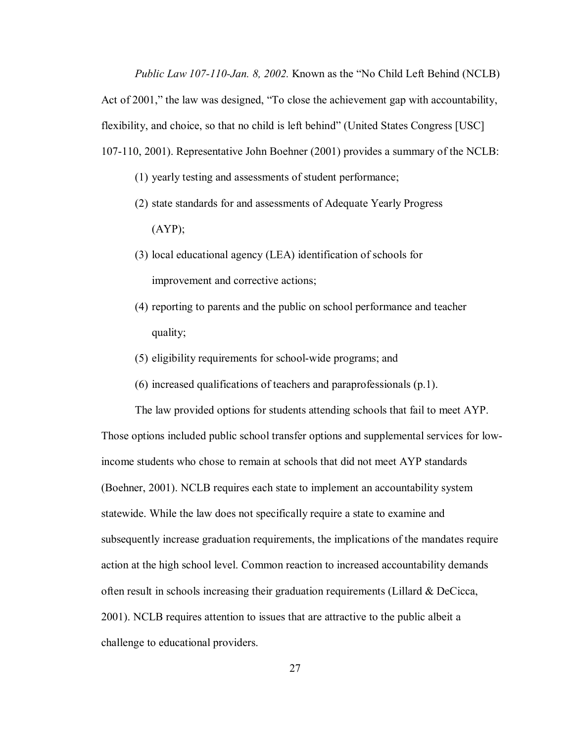*Public Law 107-110-Jan. 8, 2002.* Known as the "No Child Left Behind (NCLB)

Act of 2001," the law was designed, "To close the achievement gap with accountability,

flexibility, and choice, so that no child is left behind" (United States Congress [USC]

107-110, 2001). Representative John Boehner (2001) provides a summary of the NCLB:

- (1) yearly testing and assessments of student performance;
- (2) state standards for and assessments of Adequate Yearly Progress  $(AYP)$ ;
- (3) local educational agency (LEA) identification of schools for improvement and corrective actions;
- (4) reporting to parents and the public on school performance and teacher quality;
- (5) eligibility requirements for school-wide programs; and
- (6) increased qualifications of teachers and paraprofessionals (p.1).

The law provided options for students attending schools that fail to meet AYP. Those options included public school transfer options and supplemental services for lowincome students who chose to remain at schools that did not meet AYP standards (Boehner, 2001). NCLB requires each state to implement an accountability system statewide. While the law does not specifically require a state to examine and subsequently increase graduation requirements, the implications of the mandates require action at the high school level. Common reaction to increased accountability demands often result in schools increasing their graduation requirements (Lillard & DeCicca, 2001). NCLB requires attention to issues that are attractive to the public albeit a challenge to educational providers.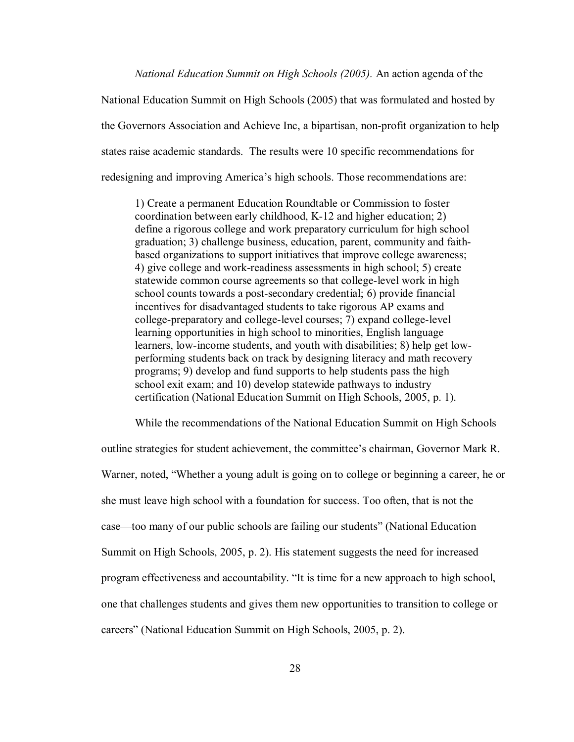*National Education Summit on High Schools (2005).* An action agenda of the

National Education Summit on High Schools (2005) that was formulated and hosted by the Governors Association and Achieve Inc, a bipartisan, non-profit organization to help states raise academic standards. The results were 10 specific recommendations for redesigning and improving America's high schools. Those recommendations are:

1) Create a permanent Education Roundtable or Commission to foster coordination between early childhood, K-12 and higher education; 2) define a rigorous college and work preparatory curriculum for high school graduation; 3) challenge business, education, parent, community and faithbased organizations to support initiatives that improve college awareness; 4) give college and work-readiness assessments in high school; 5) create statewide common course agreements so that college-level work in high school counts towards a post-secondary credential; 6) provide financial incentives for disadvantaged students to take rigorous AP exams and college-preparatory and college-level courses; 7) expand college-level learning opportunities in high school to minorities, English language learners, low-income students, and youth with disabilities; 8) help get lowperforming students back on track by designing literacy and math recovery programs; 9) develop and fund supports to help students pass the high school exit exam; and 10) develop statewide pathways to industry certification (National Education Summit on High Schools, 2005, p. 1).

While the recommendations of the National Education Summit on High Schools

outline strategies for student achievement, the committee's chairman, Governor Mark R. Warner, noted, "Whether a young adult is going on to college or beginning a career, he or she must leave high school with a foundation for success. Too often, that is not the case—too many of our public schools are failing our students" (National Education Summit on High Schools, 2005, p. 2). His statement suggests the need for increased program effectiveness and accountability. "It is time for a new approach to high school, one that challenges students and gives them new opportunities to transition to college or careers" (National Education Summit on High Schools, 2005, p. 2).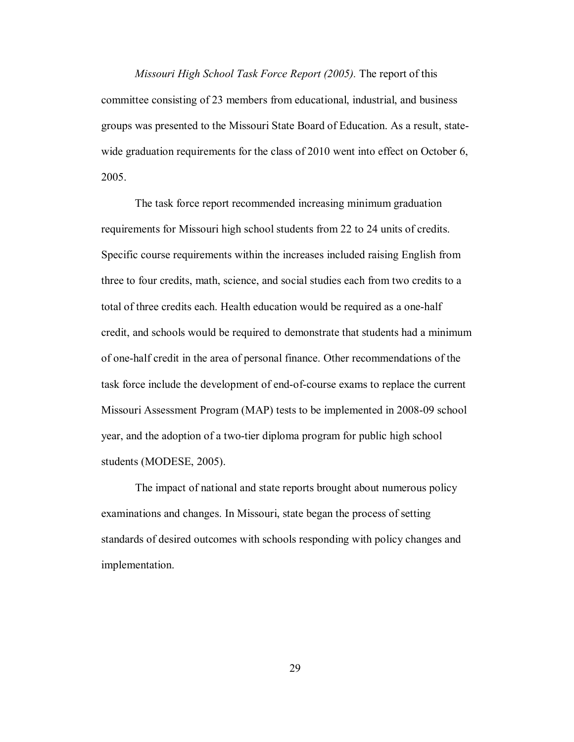*Missouri High School Task Force Report (2005).* The report of this committee consisting of 23 members from educational, industrial, and business groups was presented to the Missouri State Board of Education. As a result, statewide graduation requirements for the class of 2010 went into effect on October 6, 2005.

The task force report recommended increasing minimum graduation requirements for Missouri high school students from 22 to 24 units of credits. Specific course requirements within the increases included raising English from three to four credits, math, science, and social studies each from two credits to a total of three credits each. Health education would be required as a one-half credit, and schools would be required to demonstrate that students had a minimum of one-half credit in the area of personal finance. Other recommendations of the task force include the development of end-of-course exams to replace the current Missouri Assessment Program (MAP) tests to be implemented in 2008-09 school year, and the adoption of a two-tier diploma program for public high school students (MODESE, 2005).

 The impact of national and state reports brought about numerous policy examinations and changes. In Missouri, state began the process of setting standards of desired outcomes with schools responding with policy changes and implementation.

29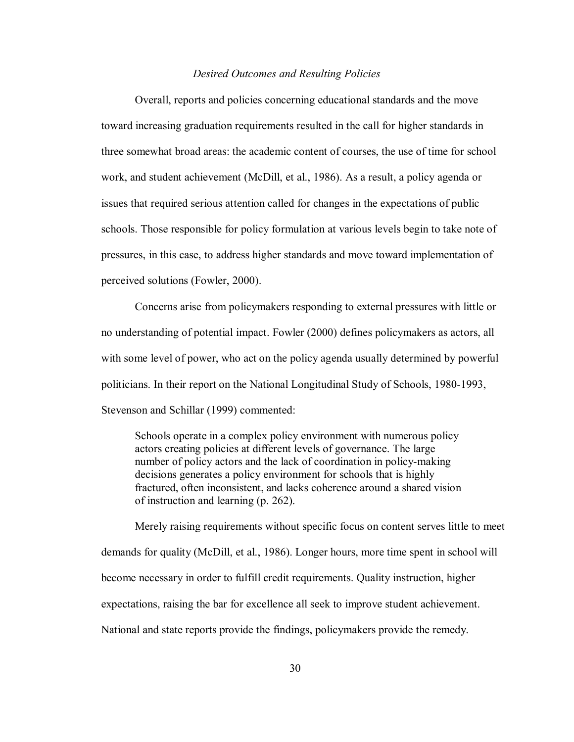#### *Desired Outcomes and Resulting Policies*

Overall, reports and policies concerning educational standards and the move toward increasing graduation requirements resulted in the call for higher standards in three somewhat broad areas: the academic content of courses, the use of time for school work, and student achievement (McDill, et al., 1986). As a result, a policy agenda or issues that required serious attention called for changes in the expectations of public schools. Those responsible for policy formulation at various levels begin to take note of pressures, in this case, to address higher standards and move toward implementation of perceived solutions (Fowler, 2000).

Concerns arise from policymakers responding to external pressures with little or no understanding of potential impact. Fowler (2000) defines policymakers as actors, all with some level of power, who act on the policy agenda usually determined by powerful politicians. In their report on the National Longitudinal Study of Schools, 1980-1993, Stevenson and Schillar (1999) commented:

Schools operate in a complex policy environment with numerous policy actors creating policies at different levels of governance. The large number of policy actors and the lack of coordination in policy-making decisions generates a policy environment for schools that is highly fractured, often inconsistent, and lacks coherence around a shared vision of instruction and learning (p. 262).

Merely raising requirements without specific focus on content serves little to meet demands for quality (McDill, et al., 1986). Longer hours, more time spent in school will become necessary in order to fulfill credit requirements. Quality instruction, higher expectations, raising the bar for excellence all seek to improve student achievement. National and state reports provide the findings, policymakers provide the remedy.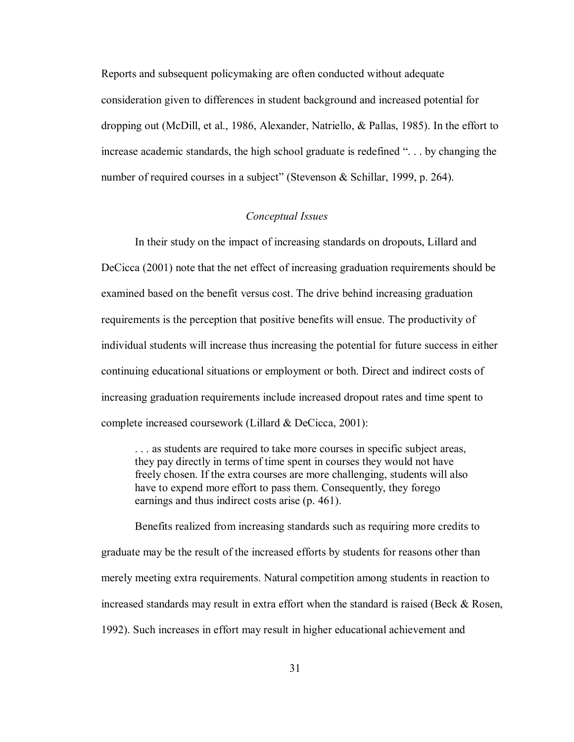Reports and subsequent policymaking are often conducted without adequate consideration given to differences in student background and increased potential for dropping out (McDill, et al., 1986, Alexander, Natriello, & Pallas, 1985). In the effort to increase academic standards, the high school graduate is redefined ". . . by changing the number of required courses in a subject" (Stevenson & Schillar, 1999, p. 264).

# *Conceptual Issues*

 In their study on the impact of increasing standards on dropouts, Lillard and DeCicca (2001) note that the net effect of increasing graduation requirements should be examined based on the benefit versus cost. The drive behind increasing graduation requirements is the perception that positive benefits will ensue. The productivity of individual students will increase thus increasing the potential for future success in either continuing educational situations or employment or both. Direct and indirect costs of increasing graduation requirements include increased dropout rates and time spent to complete increased coursework (Lillard & DeCicca, 2001):

. . . as students are required to take more courses in specific subject areas, they pay directly in terms of time spent in courses they would not have freely chosen. If the extra courses are more challenging, students will also have to expend more effort to pass them. Consequently, they forego earnings and thus indirect costs arise (p. 461).

 Benefits realized from increasing standards such as requiring more credits to graduate may be the result of the increased efforts by students for reasons other than merely meeting extra requirements. Natural competition among students in reaction to increased standards may result in extra effort when the standard is raised (Beck  $\&$  Rosen, 1992). Such increases in effort may result in higher educational achievement and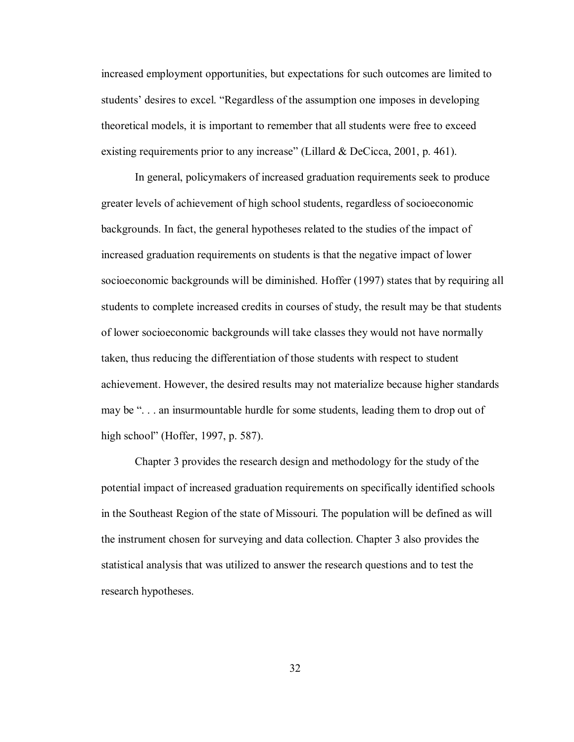increased employment opportunities, but expectations for such outcomes are limited to students' desires to excel. "Regardless of the assumption one imposes in developing theoretical models, it is important to remember that all students were free to exceed existing requirements prior to any increase" (Lillard & DeCicca, 2001, p. 461).

 In general, policymakers of increased graduation requirements seek to produce greater levels of achievement of high school students, regardless of socioeconomic backgrounds. In fact, the general hypotheses related to the studies of the impact of increased graduation requirements on students is that the negative impact of lower socioeconomic backgrounds will be diminished. Hoffer (1997) states that by requiring all students to complete increased credits in courses of study, the result may be that students of lower socioeconomic backgrounds will take classes they would not have normally taken, thus reducing the differentiation of those students with respect to student achievement. However, the desired results may not materialize because higher standards may be ". . . an insurmountable hurdle for some students, leading them to drop out of high school" (Hoffer, 1997, p. 587).

 Chapter 3 provides the research design and methodology for the study of the potential impact of increased graduation requirements on specifically identified schools in the Southeast Region of the state of Missouri. The population will be defined as will the instrument chosen for surveying and data collection. Chapter 3 also provides the statistical analysis that was utilized to answer the research questions and to test the research hypotheses.

32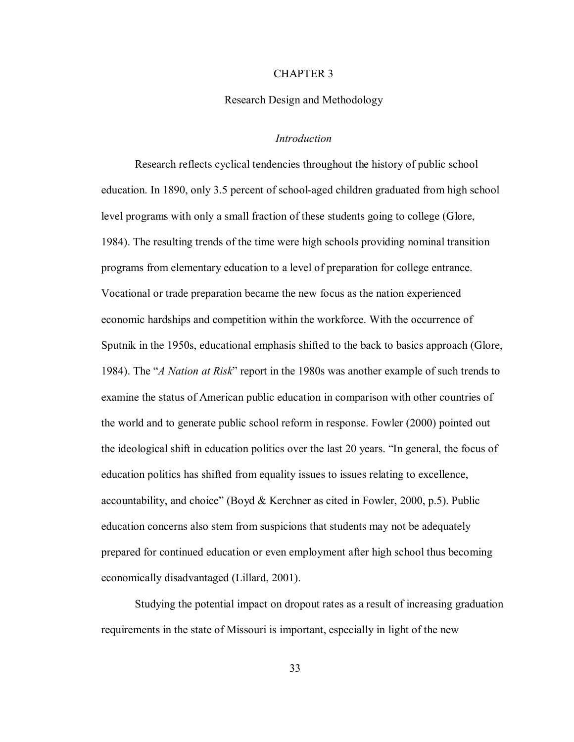## CHAPTER 3

#### Research Design and Methodology

### *Introduction*

 Research reflects cyclical tendencies throughout the history of public school education. In 1890, only 3.5 percent of school-aged children graduated from high school level programs with only a small fraction of these students going to college (Glore, 1984). The resulting trends of the time were high schools providing nominal transition programs from elementary education to a level of preparation for college entrance. Vocational or trade preparation became the new focus as the nation experienced economic hardships and competition within the workforce. With the occurrence of Sputnik in the 1950s, educational emphasis shifted to the back to basics approach (Glore, 1984). The "*A Nation at Risk*" report in the 1980s was another example of such trends to examine the status of American public education in comparison with other countries of the world and to generate public school reform in response. Fowler (2000) pointed out the ideological shift in education politics over the last 20 years. "In general, the focus of education politics has shifted from equality issues to issues relating to excellence, accountability, and choice" (Boyd & Kerchner as cited in Fowler, 2000, p.5). Public education concerns also stem from suspicions that students may not be adequately prepared for continued education or even employment after high school thus becoming economically disadvantaged (Lillard, 2001).

 Studying the potential impact on dropout rates as a result of increasing graduation requirements in the state of Missouri is important, especially in light of the new

33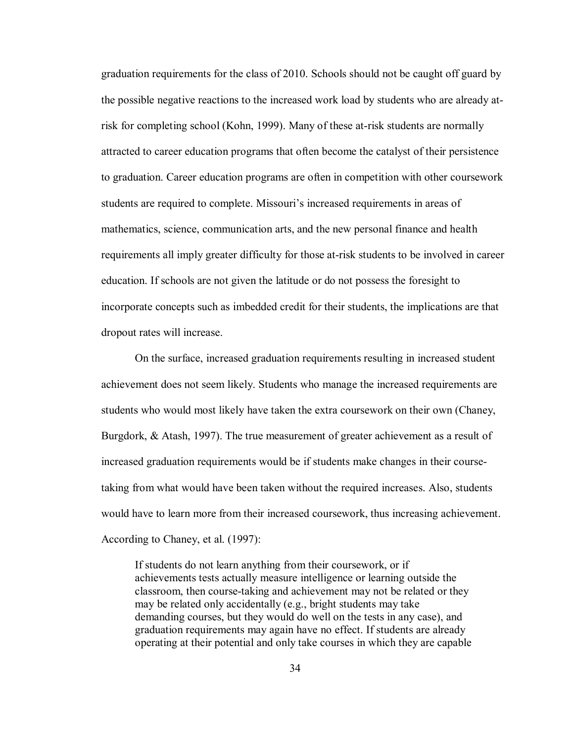graduation requirements for the class of 2010. Schools should not be caught off guard by the possible negative reactions to the increased work load by students who are already atrisk for completing school (Kohn, 1999). Many of these at-risk students are normally attracted to career education programs that often become the catalyst of their persistence to graduation. Career education programs are often in competition with other coursework students are required to complete. Missouri's increased requirements in areas of mathematics, science, communication arts, and the new personal finance and health requirements all imply greater difficulty for those at-risk students to be involved in career education. If schools are not given the latitude or do not possess the foresight to incorporate concepts such as imbedded credit for their students, the implications are that dropout rates will increase.

 On the surface, increased graduation requirements resulting in increased student achievement does not seem likely. Students who manage the increased requirements are students who would most likely have taken the extra coursework on their own (Chaney, Burgdork, & Atash, 1997). The true measurement of greater achievement as a result of increased graduation requirements would be if students make changes in their coursetaking from what would have been taken without the required increases. Also, students would have to learn more from their increased coursework, thus increasing achievement. According to Chaney, et al. (1997):

If students do not learn anything from their coursework, or if achievements tests actually measure intelligence or learning outside the classroom, then course-taking and achievement may not be related or they may be related only accidentally (e.g., bright students may take demanding courses, but they would do well on the tests in any case), and graduation requirements may again have no effect. If students are already operating at their potential and only take courses in which they are capable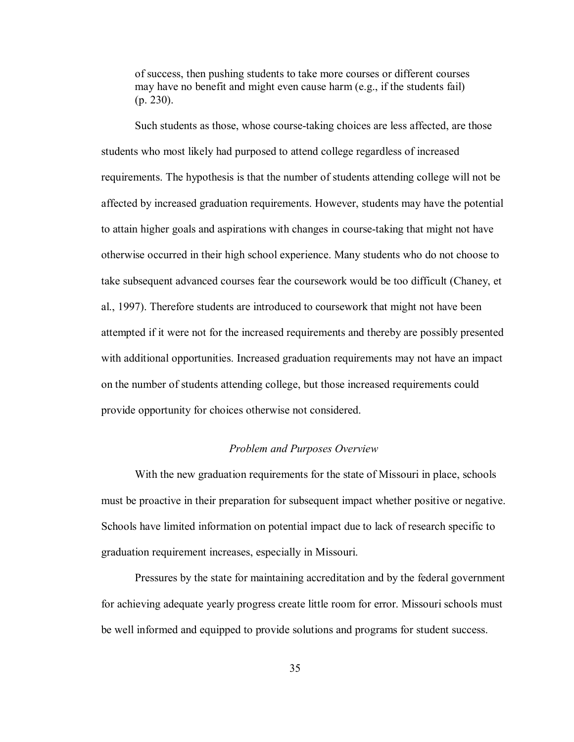of success, then pushing students to take more courses or different courses may have no benefit and might even cause harm (e.g., if the students fail) (p. 230).

Such students as those, whose course-taking choices are less affected, are those students who most likely had purposed to attend college regardless of increased requirements. The hypothesis is that the number of students attending college will not be affected by increased graduation requirements. However, students may have the potential to attain higher goals and aspirations with changes in course-taking that might not have otherwise occurred in their high school experience. Many students who do not choose to take subsequent advanced courses fear the coursework would be too difficult (Chaney, et al., 1997). Therefore students are introduced to coursework that might not have been attempted if it were not for the increased requirements and thereby are possibly presented with additional opportunities. Increased graduation requirements may not have an impact on the number of students attending college, but those increased requirements could provide opportunity for choices otherwise not considered.

### *Problem and Purposes Overview*

 With the new graduation requirements for the state of Missouri in place, schools must be proactive in their preparation for subsequent impact whether positive or negative. Schools have limited information on potential impact due to lack of research specific to graduation requirement increases, especially in Missouri.

Pressures by the state for maintaining accreditation and by the federal government for achieving adequate yearly progress create little room for error. Missouri schools must be well informed and equipped to provide solutions and programs for student success.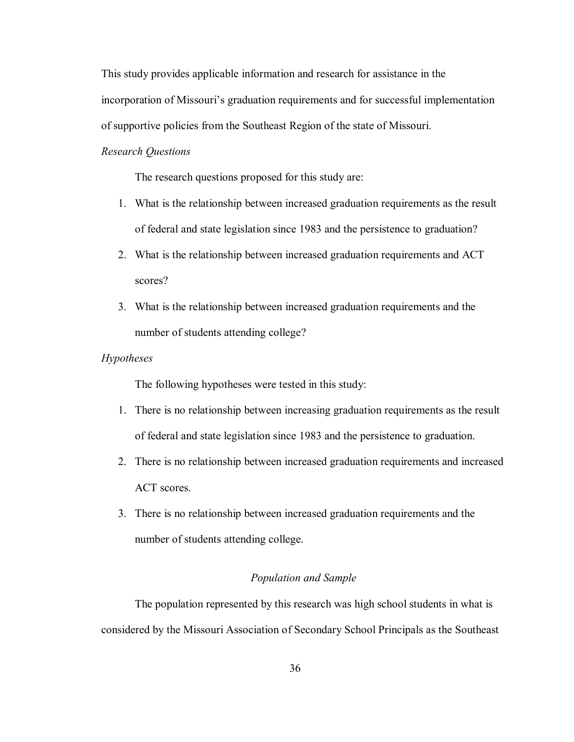This study provides applicable information and research for assistance in the incorporation of Missouri's graduation requirements and for successful implementation of supportive policies from the Southeast Region of the state of Missouri.

# *Research Questions*

The research questions proposed for this study are:

- 1. What is the relationship between increased graduation requirements as the result of federal and state legislation since 1983 and the persistence to graduation?
- 2. What is the relationship between increased graduation requirements and ACT scores?
- 3. What is the relationship between increased graduation requirements and the number of students attending college?

# *Hypotheses*

The following hypotheses were tested in this study:

- 1. There is no relationship between increasing graduation requirements as the result of federal and state legislation since 1983 and the persistence to graduation.
- 2. There is no relationship between increased graduation requirements and increased ACT scores.
- 3. There is no relationship between increased graduation requirements and the number of students attending college.

# *Population and Sample*

 The population represented by this research was high school students in what is considered by the Missouri Association of Secondary School Principals as the Southeast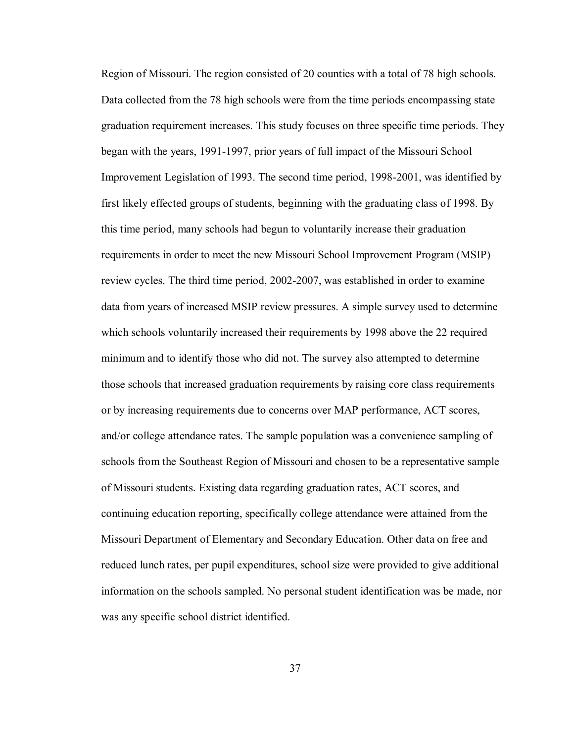Region of Missouri. The region consisted of 20 counties with a total of 78 high schools. Data collected from the 78 high schools were from the time periods encompassing state graduation requirement increases. This study focuses on three specific time periods. They began with the years, 1991-1997, prior years of full impact of the Missouri School Improvement Legislation of 1993. The second time period, 1998-2001, was identified by first likely effected groups of students, beginning with the graduating class of 1998. By this time period, many schools had begun to voluntarily increase their graduation requirements in order to meet the new Missouri School Improvement Program (MSIP) review cycles. The third time period, 2002-2007, was established in order to examine data from years of increased MSIP review pressures. A simple survey used to determine which schools voluntarily increased their requirements by 1998 above the 22 required minimum and to identify those who did not. The survey also attempted to determine those schools that increased graduation requirements by raising core class requirements or by increasing requirements due to concerns over MAP performance, ACT scores, and/or college attendance rates. The sample population was a convenience sampling of schools from the Southeast Region of Missouri and chosen to be a representative sample of Missouri students. Existing data regarding graduation rates, ACT scores, and continuing education reporting, specifically college attendance were attained from the Missouri Department of Elementary and Secondary Education. Other data on free and reduced lunch rates, per pupil expenditures, school size were provided to give additional information on the schools sampled. No personal student identification was be made, nor was any specific school district identified.

37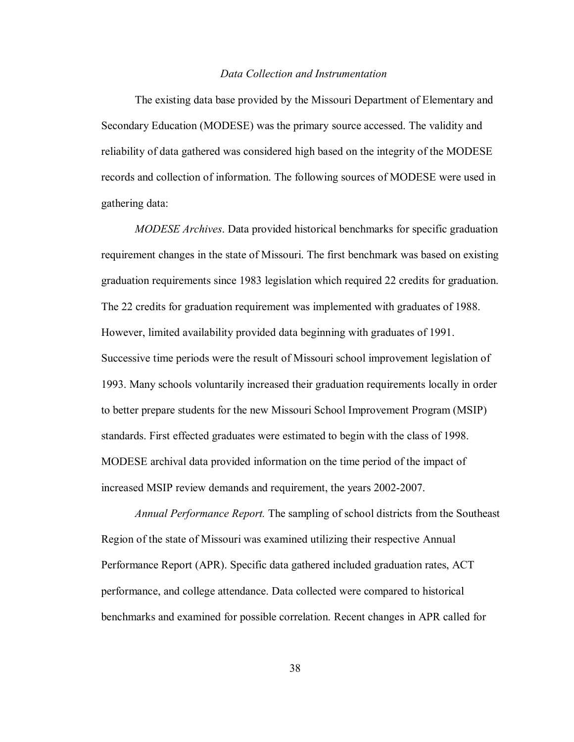## *Data Collection and Instrumentation*

 The existing data base provided by the Missouri Department of Elementary and Secondary Education (MODESE) was the primary source accessed. The validity and reliability of data gathered was considered high based on the integrity of the MODESE records and collection of information. The following sources of MODESE were used in gathering data:

 *MODESE Archives*. Data provided historical benchmarks for specific graduation requirement changes in the state of Missouri. The first benchmark was based on existing graduation requirements since 1983 legislation which required 22 credits for graduation. The 22 credits for graduation requirement was implemented with graduates of 1988. However, limited availability provided data beginning with graduates of 1991. Successive time periods were the result of Missouri school improvement legislation of 1993. Many schools voluntarily increased their graduation requirements locally in order to better prepare students for the new Missouri School Improvement Program (MSIP) standards. First effected graduates were estimated to begin with the class of 1998. MODESE archival data provided information on the time period of the impact of increased MSIP review demands and requirement, the years 2002-2007.

 *Annual Performance Report.* The sampling of school districts from the Southeast Region of the state of Missouri was examined utilizing their respective Annual Performance Report (APR). Specific data gathered included graduation rates, ACT performance, and college attendance. Data collected were compared to historical benchmarks and examined for possible correlation. Recent changes in APR called for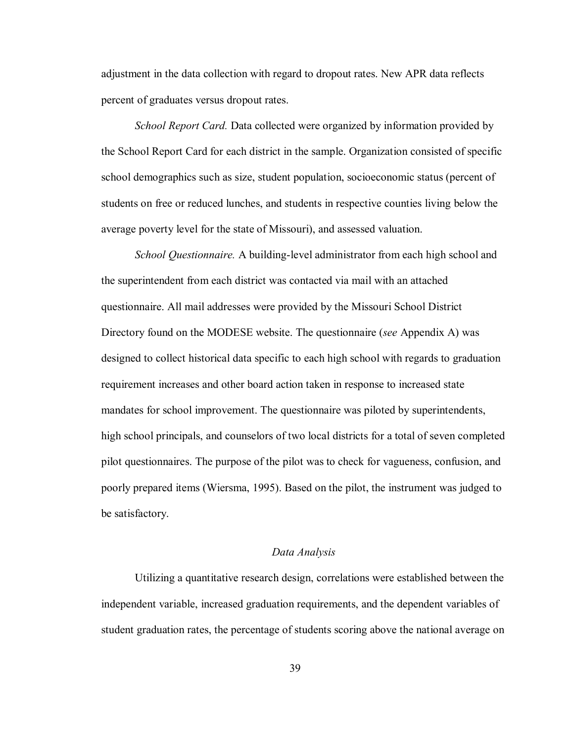adjustment in the data collection with regard to dropout rates. New APR data reflects percent of graduates versus dropout rates.

 *School Report Card.* Data collected were organized by information provided by the School Report Card for each district in the sample. Organization consisted of specific school demographics such as size, student population, socioeconomic status (percent of students on free or reduced lunches, and students in respective counties living below the average poverty level for the state of Missouri), and assessed valuation.

 *School Questionnaire.* A building-level administrator from each high school and the superintendent from each district was contacted via mail with an attached questionnaire. All mail addresses were provided by the Missouri School District Directory found on the MODESE website. The questionnaire (*see* Appendix A) was designed to collect historical data specific to each high school with regards to graduation requirement increases and other board action taken in response to increased state mandates for school improvement. The questionnaire was piloted by superintendents, high school principals, and counselors of two local districts for a total of seven completed pilot questionnaires. The purpose of the pilot was to check for vagueness, confusion, and poorly prepared items (Wiersma, 1995). Based on the pilot, the instrument was judged to be satisfactory.

## *Data Analysis*

 Utilizing a quantitative research design, correlations were established between the independent variable, increased graduation requirements, and the dependent variables of student graduation rates, the percentage of students scoring above the national average on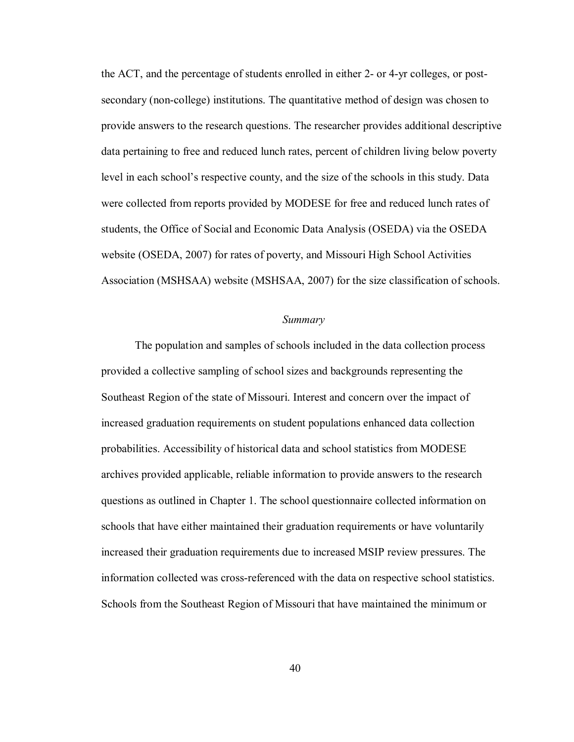the ACT, and the percentage of students enrolled in either 2- or 4-yr colleges, or postsecondary (non-college) institutions. The quantitative method of design was chosen to provide answers to the research questions. The researcher provides additional descriptive data pertaining to free and reduced lunch rates, percent of children living below poverty level in each school's respective county, and the size of the schools in this study. Data were collected from reports provided by MODESE for free and reduced lunch rates of students, the Office of Social and Economic Data Analysis (OSEDA) via the OSEDA website (OSEDA, 2007) for rates of poverty, and Missouri High School Activities Association (MSHSAA) website (MSHSAA, 2007) for the size classification of schools.

## *Summary*

 The population and samples of schools included in the data collection process provided a collective sampling of school sizes and backgrounds representing the Southeast Region of the state of Missouri. Interest and concern over the impact of increased graduation requirements on student populations enhanced data collection probabilities. Accessibility of historical data and school statistics from MODESE archives provided applicable, reliable information to provide answers to the research questions as outlined in Chapter 1. The school questionnaire collected information on schools that have either maintained their graduation requirements or have voluntarily increased their graduation requirements due to increased MSIP review pressures. The information collected was cross-referenced with the data on respective school statistics. Schools from the Southeast Region of Missouri that have maintained the minimum or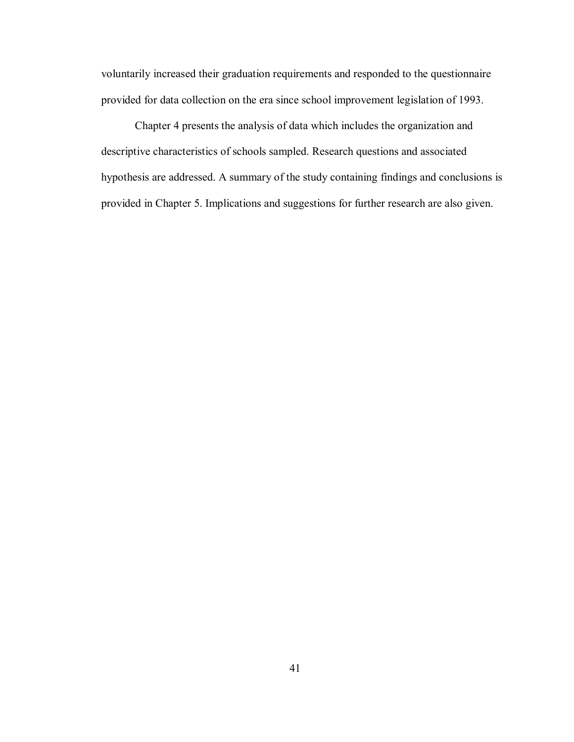voluntarily increased their graduation requirements and responded to the questionnaire provided for data collection on the era since school improvement legislation of 1993.

 Chapter 4 presents the analysis of data which includes the organization and descriptive characteristics of schools sampled. Research questions and associated hypothesis are addressed. A summary of the study containing findings and conclusions is provided in Chapter 5. Implications and suggestions for further research are also given.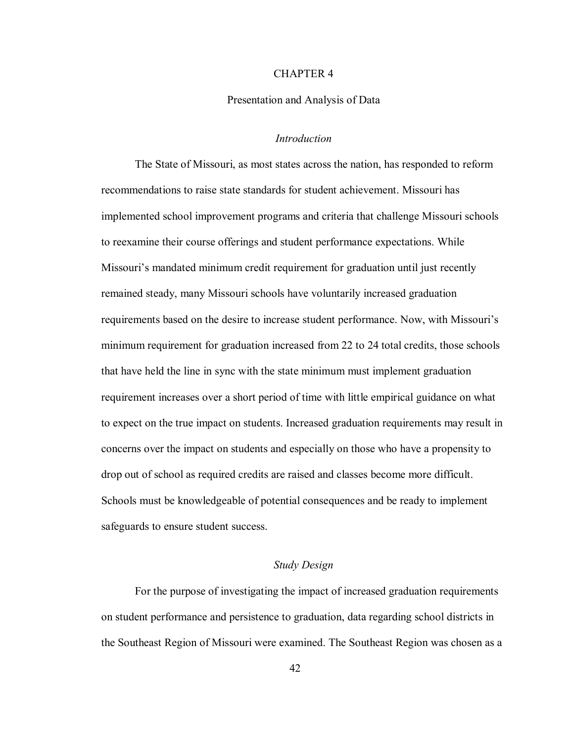## CHAPTER 4

#### Presentation and Analysis of Data

### *Introduction*

 The State of Missouri, as most states across the nation, has responded to reform recommendations to raise state standards for student achievement. Missouri has implemented school improvement programs and criteria that challenge Missouri schools to reexamine their course offerings and student performance expectations. While Missouri's mandated minimum credit requirement for graduation until just recently remained steady, many Missouri schools have voluntarily increased graduation requirements based on the desire to increase student performance. Now, with Missouri's minimum requirement for graduation increased from 22 to 24 total credits, those schools that have held the line in sync with the state minimum must implement graduation requirement increases over a short period of time with little empirical guidance on what to expect on the true impact on students. Increased graduation requirements may result in concerns over the impact on students and especially on those who have a propensity to drop out of school as required credits are raised and classes become more difficult. Schools must be knowledgeable of potential consequences and be ready to implement safeguards to ensure student success.

## *Study Design*

 For the purpose of investigating the impact of increased graduation requirements on student performance and persistence to graduation, data regarding school districts in the Southeast Region of Missouri were examined. The Southeast Region was chosen as a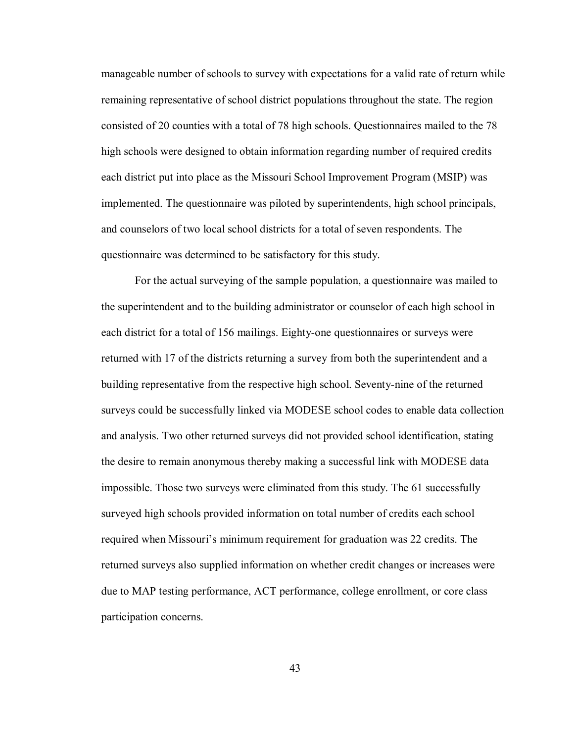manageable number of schools to survey with expectations for a valid rate of return while remaining representative of school district populations throughout the state. The region consisted of 20 counties with a total of 78 high schools. Questionnaires mailed to the 78 high schools were designed to obtain information regarding number of required credits each district put into place as the Missouri School Improvement Program (MSIP) was implemented. The questionnaire was piloted by superintendents, high school principals, and counselors of two local school districts for a total of seven respondents. The questionnaire was determined to be satisfactory for this study.

For the actual surveying of the sample population, a questionnaire was mailed to the superintendent and to the building administrator or counselor of each high school in each district for a total of 156 mailings. Eighty-one questionnaires or surveys were returned with 17 of the districts returning a survey from both the superintendent and a building representative from the respective high school. Seventy-nine of the returned surveys could be successfully linked via MODESE school codes to enable data collection and analysis. Two other returned surveys did not provided school identification, stating the desire to remain anonymous thereby making a successful link with MODESE data impossible. Those two surveys were eliminated from this study. The 61 successfully surveyed high schools provided information on total number of credits each school required when Missouri's minimum requirement for graduation was 22 credits. The returned surveys also supplied information on whether credit changes or increases were due to MAP testing performance, ACT performance, college enrollment, or core class participation concerns.

43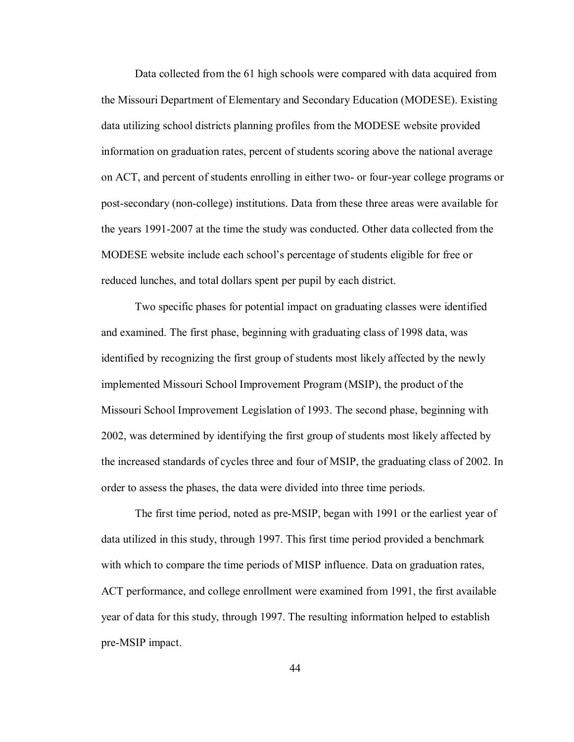Data collected from the 61 high schools were compared with data acquired from the Missouri Department of Elementary and Secondary Education (MODESE). Existing data utilizing school districts planning profiles from the MODESE website provided information on graduation rates, percent of students scoring above the national average on ACT, and percent of students enrolling in either two- or four-year college programs or post-secondary (non-college) institutions. Data from these three areas were available for the years 1991-2007 at the time the study was conducted. Other data collected from the MODESE website include each school's percentage of students eligible for free or reduced lunches, and total dollars spent per pupil by each district.

Two specific phases for potential impact on graduating classes were identified and examined. The first phase, beginning with graduating class of 1998 data, was identified by recognizing the first group of students most likely affected by the newly implemented Missouri School Improvement Program (MSIP), the product of the Missouri School Improvement Legislation of 1993. The second phase, beginning with 2002, was determined by identifying the first group of students most likely affected by the increased standards of cycles three and four of MSIP, the graduating class of 2002. In order to assess the phases, the data were divided into three time periods.

The first time period, noted as pre-MSIP, began with 1991 or the earliest year of data utilized in this study, through 1997. This first time period provided a benchmark with which to compare the time periods of MISP influence. Data on graduation rates, ACT performance, and college enrollment were examined from 1991, the first available year of data for this study, through 1997. The resulting information helped to establish pre-MSIP impact.

44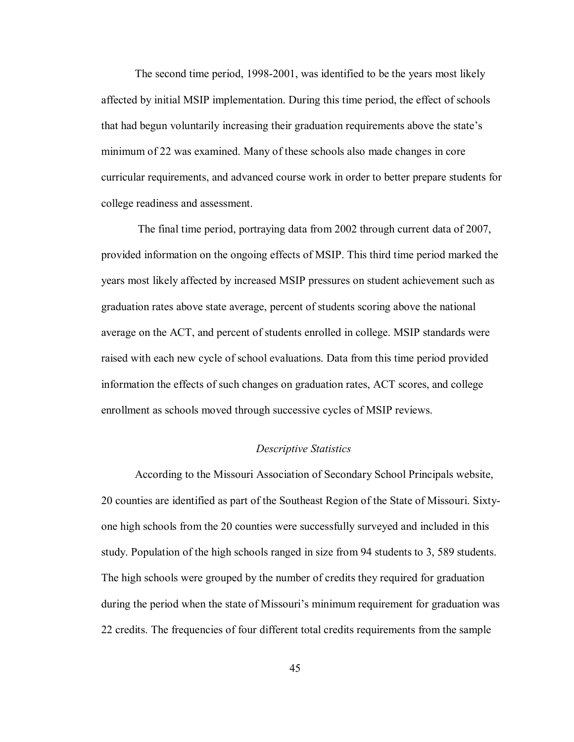The second time period, 1998-2001, was identified to be the years most likely affected by initial MSIP implementation. During this time period, the effect of schools that had begun voluntarily increasing their graduation requirements above the state's minimum of 22 was examined. Many of these schools also made changes in core curricular requirements, and advanced course work in order to better prepare students for college readiness and assessment.

 The final time period, portraying data from 2002 through current data of 2007, provided information on the ongoing effects of MSIP. This third time period marked the years most likely affected by increased MSIP pressures on student achievement such as graduation rates above state average, percent of students scoring above the national average on the ACT, and percent of students enrolled in college. MSIP standards were raised with each new cycle of school evaluations. Data from this time period provided information the effects of such changes on graduation rates, ACT scores, and college enrollment as schools moved through successive cycles of MSIP reviews.

### *Descriptive Statistics*

 According to the Missouri Association of Secondary School Principals website, 20 counties are identified as part of the Southeast Region of the State of Missouri. Sixtyone high schools from the 20 counties were successfully surveyed and included in this study. Population of the high schools ranged in size from 94 students to 3, 589 students. The high schools were grouped by the number of credits they required for graduation during the period when the state of Missouri's minimum requirement for graduation was 22 credits. The frequencies of four different total credits requirements from the sample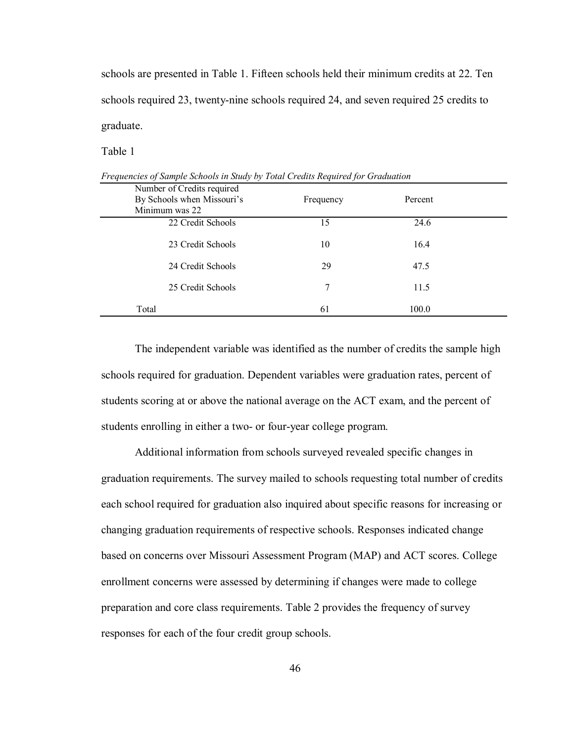schools are presented in Table 1. Fifteen schools held their minimum credits at 22. Ten schools required 23, twenty-nine schools required 24, and seven required 25 credits to graduate.

Table 1

| Number of Credits required |           |         |  |
|----------------------------|-----------|---------|--|
| By Schools when Missouri's | Frequency | Percent |  |
| Minimum was 22             |           |         |  |
| 22 Credit Schools          | 15        | 24.6    |  |
| 23 Credit Schools          | 10        | 16.4    |  |
| 24 Credit Schools          | 29        | 47.5    |  |
| 25 Credit Schools          | 7         | 11.5    |  |
| Total                      | 61        | 100.0   |  |

*Frequencies of Sample Schools in Study by Total Credits Required for Graduation* 

The independent variable was identified as the number of credits the sample high schools required for graduation. Dependent variables were graduation rates, percent of students scoring at or above the national average on the ACT exam, and the percent of students enrolling in either a two- or four-year college program.

Additional information from schools surveyed revealed specific changes in graduation requirements. The survey mailed to schools requesting total number of credits each school required for graduation also inquired about specific reasons for increasing or changing graduation requirements of respective schools. Responses indicated change based on concerns over Missouri Assessment Program (MAP) and ACT scores. College enrollment concerns were assessed by determining if changes were made to college preparation and core class requirements. Table 2 provides the frequency of survey responses for each of the four credit group schools.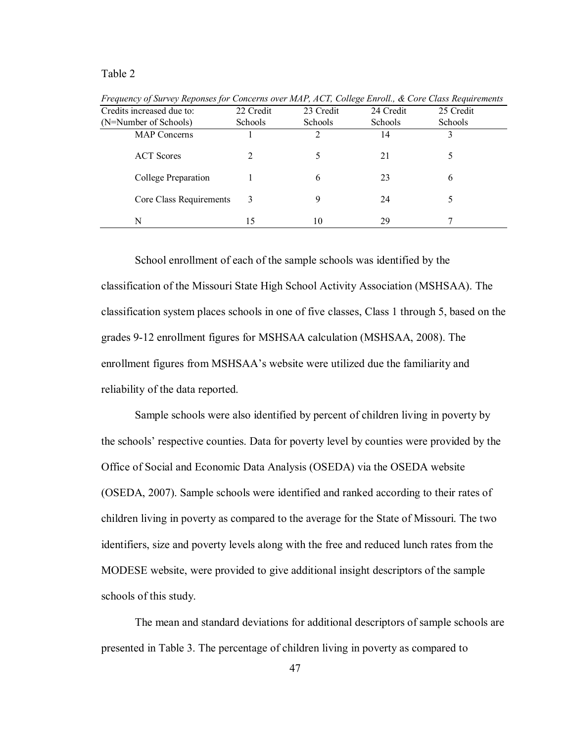Table 2

| Credits increased due to: | 22 Credit      | 23 Credit      | 24 Credit      | 25 Credit      |
|---------------------------|----------------|----------------|----------------|----------------|
| (N=Number of Schools)     | <b>Schools</b> | <b>Schools</b> | <b>Schools</b> | <b>Schools</b> |
| <b>MAP</b> Concerns       |                | ∍              | 14             |                |
| <b>ACT</b> Scores         |                | 5.             | 21             |                |
| College Preparation       |                | 6              | 23             | 6              |
| Core Class Requirements   | 3              | 9              | 24             |                |
| N                         | 15             | 10             | 29             |                |

*Frequency of Survey Reponses for Concerns over MAP, ACT, College Enroll., & Core Class Requirements* 

 School enrollment of each of the sample schools was identified by the classification of the Missouri State High School Activity Association (MSHSAA). The classification system places schools in one of five classes, Class 1 through 5, based on the grades 9-12 enrollment figures for MSHSAA calculation (MSHSAA, 2008). The enrollment figures from MSHSAA's website were utilized due the familiarity and reliability of the data reported.

 Sample schools were also identified by percent of children living in poverty by the schools' respective counties. Data for poverty level by counties were provided by the Office of Social and Economic Data Analysis (OSEDA) via the OSEDA website (OSEDA, 2007). Sample schools were identified and ranked according to their rates of children living in poverty as compared to the average for the State of Missouri. The two identifiers, size and poverty levels along with the free and reduced lunch rates from the MODESE website, were provided to give additional insight descriptors of the sample schools of this study.

 The mean and standard deviations for additional descriptors of sample schools are presented in Table 3. The percentage of children living in poverty as compared to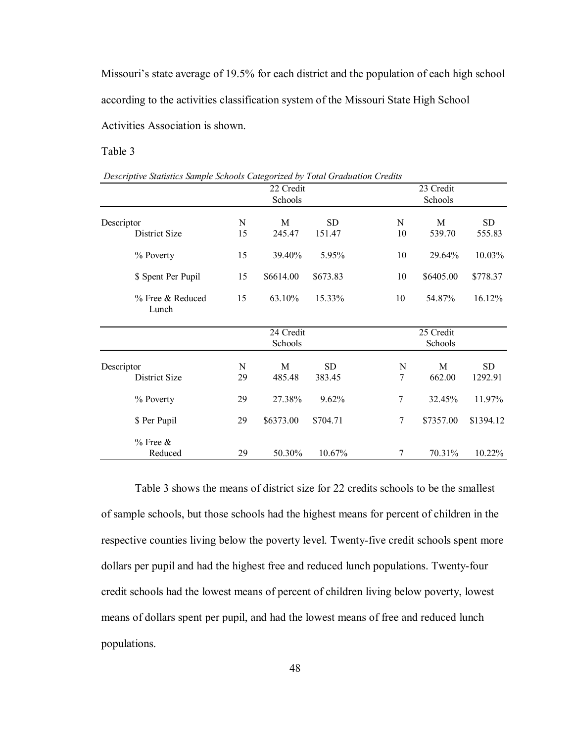Missouri's state average of 19.5% for each district and the population of each high school according to the activities classification system of the Missouri State High School Activities Association is shown.

Table 3

| Descriptive Statistics Sample Schools Categorized by Total Graduation Credits |  |  |
|-------------------------------------------------------------------------------|--|--|
|                                                                               |  |  |

|                             |         | 22 Credit<br>Schools |                     |                     | 23 Credit<br>Schools |                      |
|-----------------------------|---------|----------------------|---------------------|---------------------|----------------------|----------------------|
| Descriptor<br>District Size | N<br>15 | M<br>245.47          | <b>SD</b><br>151.47 | N<br>10             | M<br>539.70          | <b>SD</b><br>555.83  |
| % Poverty                   | 15      | 39.40%               | 5.95%               | 10                  | 29.64%               | 10.03%               |
| \$ Spent Per Pupil          | 15      | \$6614.00            | \$673.83            | 10                  | \$6405.00            | \$778.37             |
| % Free & Reduced<br>Lunch   | 15      | 63.10%               | 15.33%              | 10                  | 54.87%               | 16.12%               |
|                             |         | 24 Credit<br>Schools |                     |                     | 25 Credit<br>Schools |                      |
| Descriptor<br>District Size | N<br>29 | M<br>485.48          | <b>SD</b><br>383.45 | N<br>$\overline{7}$ | M<br>662.00          | <b>SD</b><br>1292.91 |
| % Poverty                   | 29      | 27.38%               | 9.62%               | 7                   | 32.45%               | 11.97%               |
| \$ Per Pupil                | 29      | \$6373.00            | \$704.71            | $\overline{7}$      | \$7357.00            | \$1394.12            |
| $%$ Free $&$<br>Reduced     | 29      | 50.30%               | 10.67%              | 7                   | 70.31%               | 10.22%               |

 Table 3 shows the means of district size for 22 credits schools to be the smallest of sample schools, but those schools had the highest means for percent of children in the respective counties living below the poverty level. Twenty-five credit schools spent more dollars per pupil and had the highest free and reduced lunch populations. Twenty-four credit schools had the lowest means of percent of children living below poverty, lowest means of dollars spent per pupil, and had the lowest means of free and reduced lunch populations.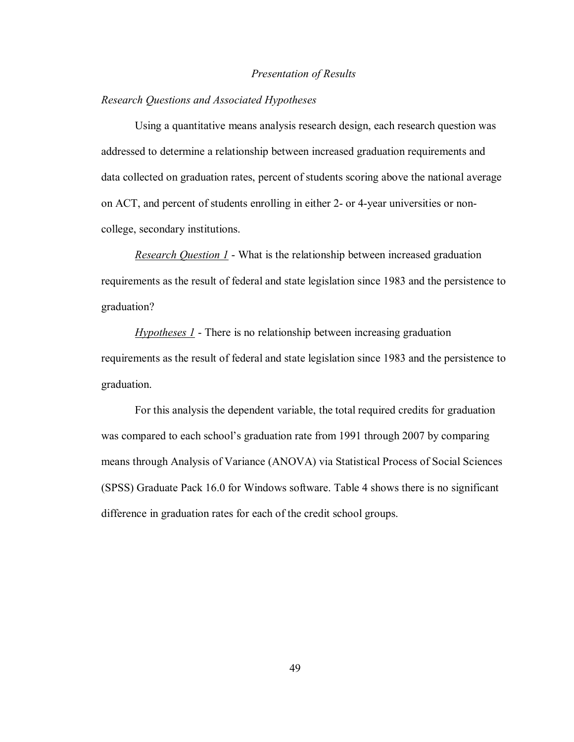#### *Presentation of Results*

### *Research Questions and Associated Hypotheses*

 Using a quantitative means analysis research design, each research question was addressed to determine a relationship between increased graduation requirements and data collected on graduation rates, percent of students scoring above the national average on ACT, and percent of students enrolling in either 2- or 4-year universities or noncollege, secondary institutions.

*Research Question 1* - What is the relationship between increased graduation requirements as the result of federal and state legislation since 1983 and the persistence to graduation?

*Hypotheses 1* - There is no relationship between increasing graduation requirements as the result of federal and state legislation since 1983 and the persistence to graduation.

For this analysis the dependent variable, the total required credits for graduation was compared to each school's graduation rate from 1991 through 2007 by comparing means through Analysis of Variance (ANOVA) via Statistical Process of Social Sciences (SPSS) Graduate Pack 16.0 for Windows software. Table 4 shows there is no significant difference in graduation rates for each of the credit school groups.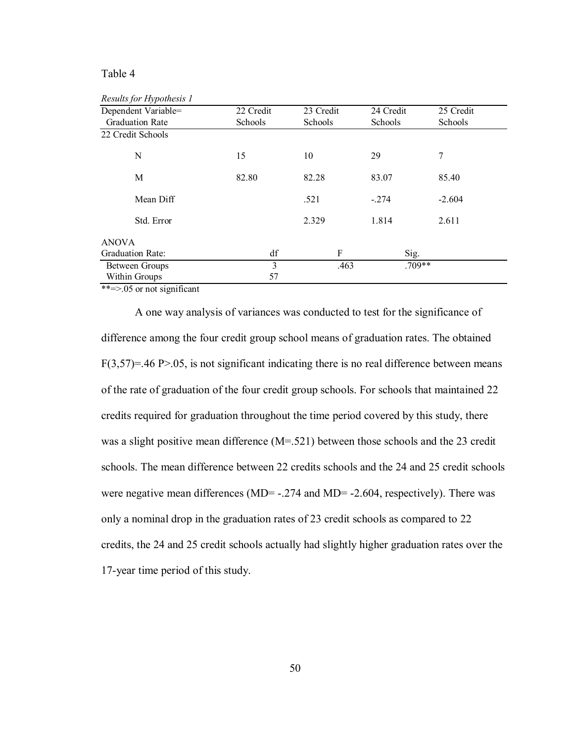# Table 4

| Results for Hypothesis 1 |           |           |           |           |
|--------------------------|-----------|-----------|-----------|-----------|
| Dependent Variable=      | 22 Credit | 23 Credit | 24 Credit | 25 Credit |
| <b>Graduation Rate</b>   | Schools   | Schools   | Schools   | Schools   |
| 22 Credit Schools        |           |           |           |           |
| N                        | 15        | 10        | 29        | 7         |
| M                        | 82.80     | 82.28     | 83.07     | 85.40     |
| Mean Diff                |           | .521      | $-.274$   | $-2.604$  |
| Std. Error               |           | 2.329     | 1.814     | 2.611     |
| <b>ANOVA</b>             |           |           |           |           |
| <b>Graduation Rate:</b>  | df        | F         | Sig.      |           |
| <b>Between Groups</b>    | 3         | .463      | $.709**$  |           |
| Within Groups            | 57        |           |           |           |

\*\*=>.05 or not significant

A one way analysis of variances was conducted to test for the significance of difference among the four credit group school means of graduation rates. The obtained  $F(3,57)=.46 \text{ P}$  > 0.05, is not significant indicating there is no real difference between means of the rate of graduation of the four credit group schools. For schools that maintained 22 credits required for graduation throughout the time period covered by this study, there was a slight positive mean difference (M=.521) between those schools and the 23 credit schools. The mean difference between 22 credits schools and the 24 and 25 credit schools were negative mean differences (MD=  $-.274$  and MD=  $-2.604$ , respectively). There was only a nominal drop in the graduation rates of 23 credit schools as compared to 22 credits, the 24 and 25 credit schools actually had slightly higher graduation rates over the 17-year time period of this study.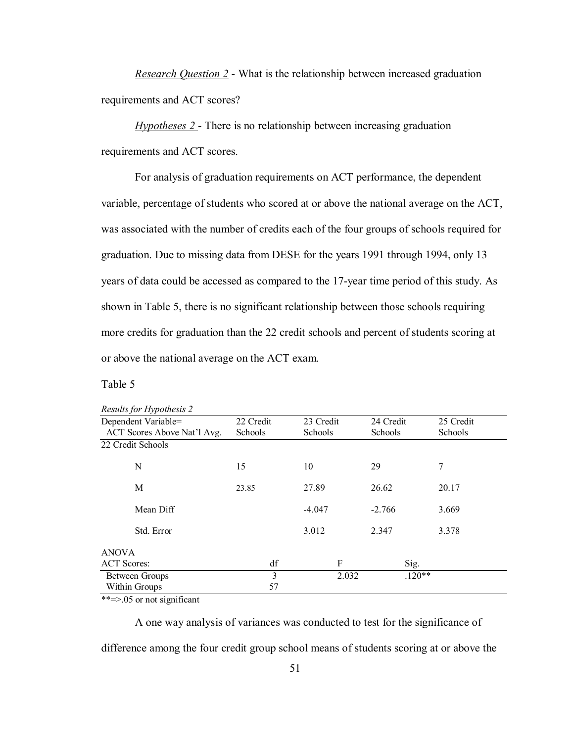*Research Question 2* - What is the relationship between increased graduation requirements and ACT scores?

*Hypotheses 2* - There is no relationship between increasing graduation requirements and ACT scores.

 For analysis of graduation requirements on ACT performance, the dependent variable, percentage of students who scored at or above the national average on the ACT, was associated with the number of credits each of the four groups of schools required for graduation. Due to missing data from DESE for the years 1991 through 1994, only 13 years of data could be accessed as compared to the 17-year time period of this study. As shown in Table 5, there is no significant relationship between those schools requiring more credits for graduation than the 22 credit schools and percent of students scoring at or above the national average on the ACT exam.

Table 5

| <i>Results for Hypothesis 2</i> |           |           |           |           |  |
|---------------------------------|-----------|-----------|-----------|-----------|--|
| Dependent Variable=             | 22 Credit | 23 Credit | 24 Credit | 25 Credit |  |
| ACT Scores Above Nat'l Avg.     | Schools   | Schools   | Schools   | Schools   |  |
| 22 Credit Schools               |           |           |           |           |  |
| N                               | 15        | 10        | 29        | 7         |  |
| M                               | 23.85     | 27.89     | 26.62     | 20.17     |  |
| Mean Diff                       |           | $-4.047$  | $-2.766$  | 3.669     |  |
| Std. Error                      |           | 3.012     | 2.347     | 3.378     |  |
| <b>ANOVA</b>                    |           |           |           |           |  |
| <b>ACT</b> Scores:              | df        | F         | Sig.      |           |  |
| <b>Between Groups</b>           | 3         | 2.032     |           | $.120**$  |  |
| Within Groups                   | 57        |           |           |           |  |

*Results for Hypothesis 2* 

\*\*=>.05 or not significant

A one way analysis of variances was conducted to test for the significance of difference among the four credit group school means of students scoring at or above the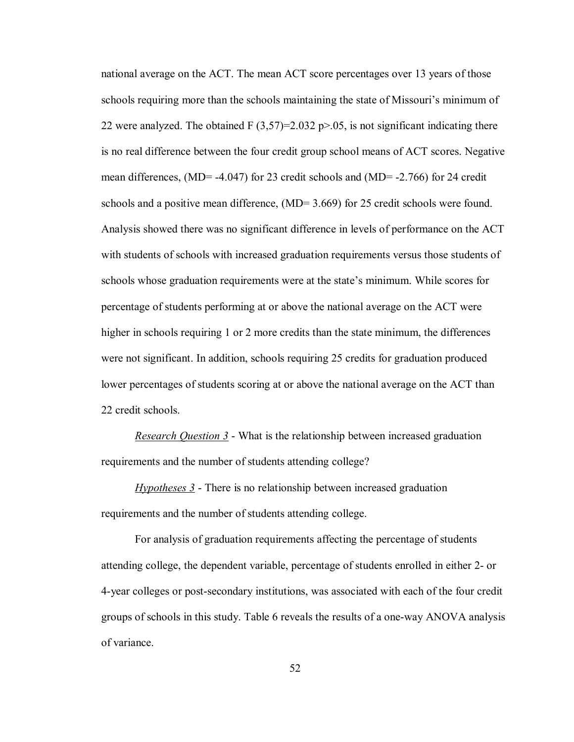national average on the ACT. The mean ACT score percentages over 13 years of those schools requiring more than the schools maintaining the state of Missouri's minimum of 22 were analyzed. The obtained F  $(3,57)=2.032$  p $>0.05$ , is not significant indicating there is no real difference between the four credit group school means of ACT scores. Negative mean differences, (MD= -4.047) for 23 credit schools and (MD= -2.766) for 24 credit schools and a positive mean difference, (MD= 3.669) for 25 credit schools were found. Analysis showed there was no significant difference in levels of performance on the ACT with students of schools with increased graduation requirements versus those students of schools whose graduation requirements were at the state's minimum. While scores for percentage of students performing at or above the national average on the ACT were higher in schools requiring 1 or 2 more credits than the state minimum, the differences were not significant. In addition, schools requiring 25 credits for graduation produced lower percentages of students scoring at or above the national average on the ACT than 22 credit schools.

*Research Question 3* - What is the relationship between increased graduation requirements and the number of students attending college?

*Hypotheses 3* - There is no relationship between increased graduation requirements and the number of students attending college.

 For analysis of graduation requirements affecting the percentage of students attending college, the dependent variable, percentage of students enrolled in either 2- or 4-year colleges or post-secondary institutions, was associated with each of the four credit groups of schools in this study. Table 6 reveals the results of a one-way ANOVA analysis of variance.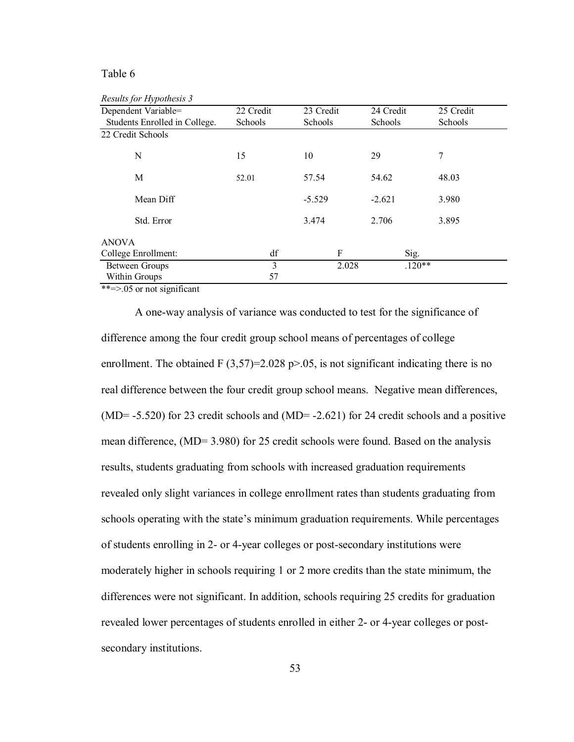### Table 6

*Results for Hypothesis 3* 

| Dependent Variable=           | 22 Credit | 23 Credit | 24 Credit | 25 Credit |
|-------------------------------|-----------|-----------|-----------|-----------|
| Students Enrolled in College. | Schools   | Schools   | Schools   | Schools   |
| 22 Credit Schools             |           |           |           |           |
| N                             | 15        | 10        | 29        | 7         |
| M                             | 52.01     | 57.54     | 54.62     | 48.03     |
| Mean Diff                     |           | $-5.529$  | $-2.621$  | 3.980     |
| Std. Error                    |           | 3.474     | 2.706     | 3.895     |
| <b>ANOVA</b>                  |           |           |           |           |
| College Enrollment:           | df        | F         | Sig.      |           |
| <b>Between Groups</b>         | 3         | 2.028     | $.120**$  |           |
| Within Groups                 | 57        |           |           |           |

\*\*=>.05 or not significant

A one-way analysis of variance was conducted to test for the significance of difference among the four credit group school means of percentages of college enrollment. The obtained F  $(3,57)=2.028$  p $> 0.05$ , is not significant indicating there is no real difference between the four credit group school means. Negative mean differences,  $(MD= -5.520)$  for 23 credit schools and  $(MD= -2.621)$  for 24 credit schools and a positive mean difference, (MD= 3.980) for 25 credit schools were found. Based on the analysis results, students graduating from schools with increased graduation requirements revealed only slight variances in college enrollment rates than students graduating from schools operating with the state's minimum graduation requirements. While percentages of students enrolling in 2- or 4-year colleges or post-secondary institutions were moderately higher in schools requiring 1 or 2 more credits than the state minimum, the differences were not significant. In addition, schools requiring 25 credits for graduation revealed lower percentages of students enrolled in either 2- or 4-year colleges or postsecondary institutions.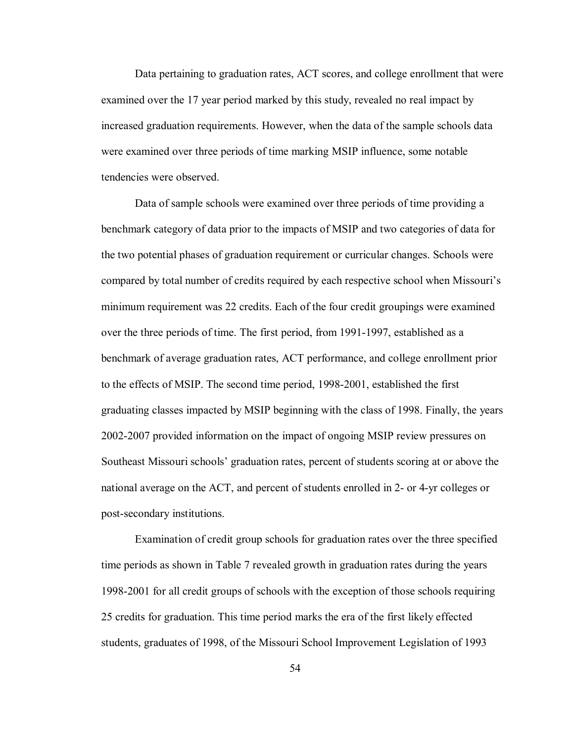Data pertaining to graduation rates, ACT scores, and college enrollment that were examined over the 17 year period marked by this study, revealed no real impact by increased graduation requirements. However, when the data of the sample schools data were examined over three periods of time marking MSIP influence, some notable tendencies were observed.

 Data of sample schools were examined over three periods of time providing a benchmark category of data prior to the impacts of MSIP and two categories of data for the two potential phases of graduation requirement or curricular changes. Schools were compared by total number of credits required by each respective school when Missouri's minimum requirement was 22 credits. Each of the four credit groupings were examined over the three periods of time. The first period, from 1991-1997, established as a benchmark of average graduation rates, ACT performance, and college enrollment prior to the effects of MSIP. The second time period, 1998-2001, established the first graduating classes impacted by MSIP beginning with the class of 1998. Finally, the years 2002-2007 provided information on the impact of ongoing MSIP review pressures on Southeast Missouri schools' graduation rates, percent of students scoring at or above the national average on the ACT, and percent of students enrolled in 2- or 4-yr colleges or post-secondary institutions.

Examination of credit group schools for graduation rates over the three specified time periods as shown in Table 7 revealed growth in graduation rates during the years 1998-2001 for all credit groups of schools with the exception of those schools requiring 25 credits for graduation. This time period marks the era of the first likely effected students, graduates of 1998, of the Missouri School Improvement Legislation of 1993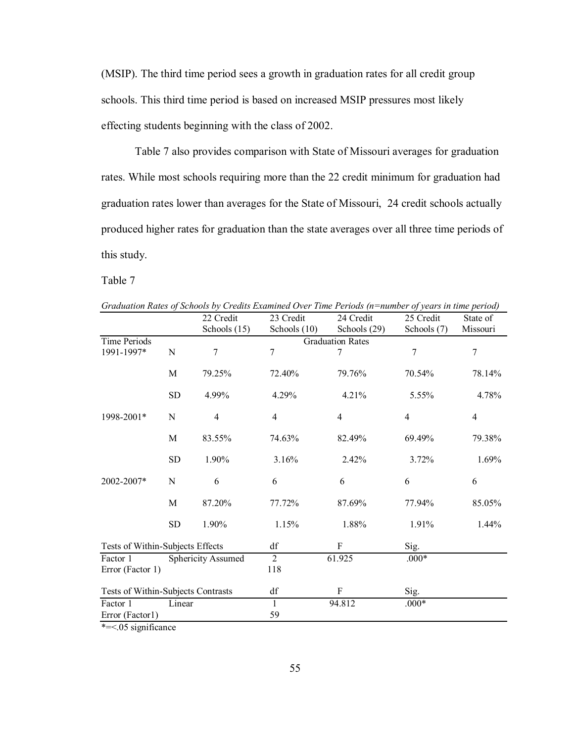(MSIP). The third time period sees a growth in graduation rates for all credit group schools. This third time period is based on increased MSIP pressures most likely effecting students beginning with the class of 2002.

 Table 7 also provides comparison with State of Missouri averages for graduation rates. While most schools requiring more than the 22 credit minimum for graduation had graduation rates lower than averages for the State of Missouri, 24 credit schools actually produced higher rates for graduation than the state averages over all three time periods of this study.

Table 7

|                                    |             |                           |                | Graduation Rates of Schoots by Creatis Examined Over Time Perioas (n=humber of years in time period) |                |                |
|------------------------------------|-------------|---------------------------|----------------|------------------------------------------------------------------------------------------------------|----------------|----------------|
|                                    |             | 22 Credit                 | 23 Credit      | 24 Credit                                                                                            | 25 Credit      | State of       |
|                                    |             | Schools $(15)$            | Schools $(10)$ | Schools (29)                                                                                         | Schools (7)    | Missouri       |
| Time Periods                       |             |                           |                | <b>Graduation Rates</b>                                                                              |                |                |
| 1991-1997*                         | N           | $\overline{7}$            | $\overline{7}$ |                                                                                                      | 7              | $\overline{7}$ |
|                                    | $\mathbf M$ | 79.25%                    | 72.40%         | 79.76%                                                                                               | 70.54%         | 78.14%         |
|                                    | <b>SD</b>   | 4.99%                     | 4.29%          | 4.21%                                                                                                | 5.55%          | 4.78%          |
| 1998-2001*                         | N           | $\overline{4}$            | $\overline{4}$ | $\overline{4}$                                                                                       | $\overline{4}$ | $\overline{4}$ |
|                                    | M           | 83.55%                    | 74.63%         | 82.49%                                                                                               | 69.49%         | 79.38%         |
|                                    | <b>SD</b>   | 1.90%                     | 3.16%          | 2.42%                                                                                                | 3.72%          | 1.69%          |
| 2002-2007*                         | N           | 6                         | 6              | 6                                                                                                    | 6              | 6              |
|                                    | M           | 87.20%                    | 77.72%         | 87.69%                                                                                               | 77.94%         | 85.05%         |
|                                    | <b>SD</b>   | 1.90%                     | 1.15%          | 1.88%                                                                                                | 1.91%          | $1.44\%$       |
| Tests of Within-Subjects Effects   |             |                           | df             | F                                                                                                    | Sig.           |                |
| Factor 1<br>Error (Factor 1)       |             | <b>Sphericity Assumed</b> | 2<br>118       | 61.925                                                                                               | $.000*$        |                |
| Tests of Within-Subjects Contrasts |             |                           | df             | F                                                                                                    | Sig.           |                |
| Factor 1                           | Linear      |                           | 1              | 94.812                                                                                               | $.000*$        |                |
| Error (Factor1)                    |             |                           | 59             |                                                                                                      |                |                |

*Graduation Rates of Schools by Credits Examined Over Time Periods (n=number of years in time period)* 

\*=<.05 significance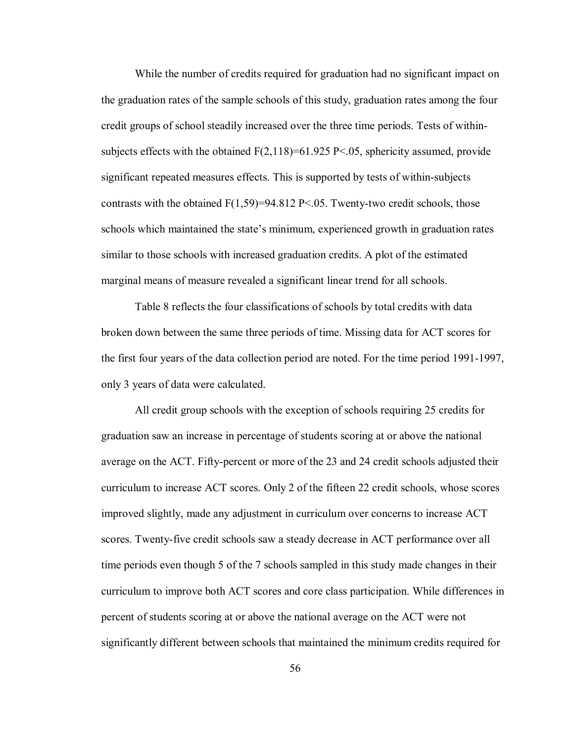While the number of credits required for graduation had no significant impact on the graduation rates of the sample schools of this study, graduation rates among the four credit groups of school steadily increased over the three time periods. Tests of withinsubjects effects with the obtained  $F(2,118)=61.925 P\le 0.05$ , sphericity assumed, provide significant repeated measures effects. This is supported by tests of within-subjects contrasts with the obtained  $F(1,59)=94.812 \text{ P} \le 0.05$ . Twenty-two credit schools, those schools which maintained the state's minimum, experienced growth in graduation rates similar to those schools with increased graduation credits. A plot of the estimated marginal means of measure revealed a significant linear trend for all schools.

Table 8 reflects the four classifications of schools by total credits with data broken down between the same three periods of time. Missing data for ACT scores for the first four years of the data collection period are noted. For the time period 1991-1997, only 3 years of data were calculated.

All credit group schools with the exception of schools requiring 25 credits for graduation saw an increase in percentage of students scoring at or above the national average on the ACT. Fifty-percent or more of the 23 and 24 credit schools adjusted their curriculum to increase ACT scores. Only 2 of the fifteen 22 credit schools, whose scores improved slightly, made any adjustment in curriculum over concerns to increase ACT scores. Twenty-five credit schools saw a steady decrease in ACT performance over all time periods even though 5 of the 7 schools sampled in this study made changes in their curriculum to improve both ACT scores and core class participation. While differences in percent of students scoring at or above the national average on the ACT were not significantly different between schools that maintained the minimum credits required for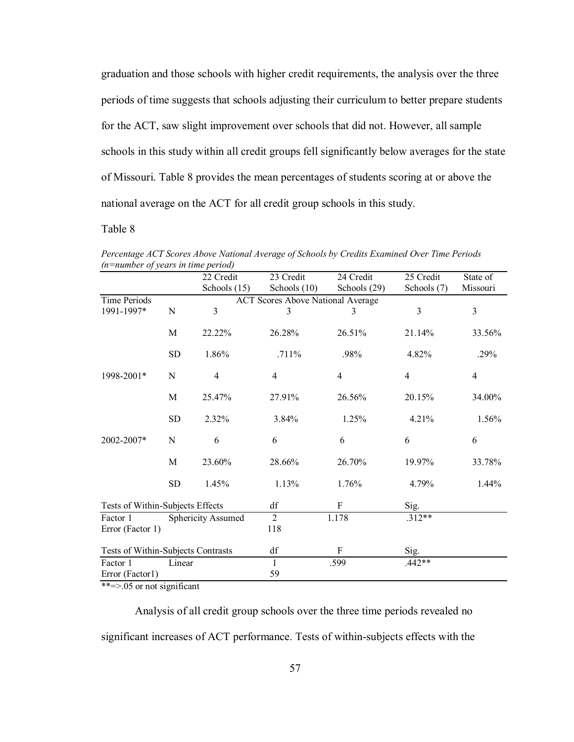graduation and those schools with higher credit requirements, the analysis over the three periods of time suggests that schools adjusting their curriculum to better prepare students for the ACT, saw slight improvement over schools that did not. However, all sample schools in this study within all credit groups fell significantly below averages for the state of Missouri. Table 8 provides the mean percentages of students scoring at or above the national average on the ACT for all credit group schools in this study.

# Table 8

| (n=number of years in time pertou) |           |                           |                                          |              |                |                |
|------------------------------------|-----------|---------------------------|------------------------------------------|--------------|----------------|----------------|
|                                    |           | 22 Credit                 | 23 Credit                                | 24 Credit    | 25 Credit      | State of       |
|                                    |           | Schools $(15)$            | Schools (10)                             | Schools (29) | Schools (7)    | Missouri       |
| Time Periods                       |           |                           | <b>ACT Scores Above National Average</b> |              |                |                |
| 1991-1997*                         | N         | $\overline{3}$            | 3                                        | 3            | $\overline{3}$ | $\overline{3}$ |
|                                    | M         | 22.22%                    | 26.28%                                   | 26.51%       | 21.14%         | 33.56%         |
|                                    | <b>SD</b> | 1.86%                     | $.711\%$                                 | .98%         | 4.82%          | .29%           |
| 1998-2001*                         | N         | $\overline{4}$            | $\overline{4}$                           | 4            | $\overline{4}$ | $\overline{4}$ |
|                                    | M         | 25.47%                    | 27.91%                                   | 26.56%       | 20.15%         | 34.00%         |
|                                    | <b>SD</b> | 2.32%                     | 3.84%                                    | 1.25%        | 4.21%          | 1.56%          |
| 2002-2007*                         | N         | 6                         | 6                                        | 6            | 6              | 6              |
|                                    | M         | 23.60%                    | 28.66%                                   | 26.70%       | 19.97%         | 33.78%         |
|                                    | <b>SD</b> | 1.45%                     | 1.13%                                    | 1.76%        | 4.79%          | $1.44\%$       |
| Tests of Within-Subjects Effects   |           |                           | df                                       | F            | Sig.           |                |
| Factor 1<br>Error (Factor 1)       |           | <b>Sphericity Assumed</b> | $\overline{2}$<br>118                    | 1.178        | $.312**$       |                |
| Tests of Within-Subjects Contrasts |           |                           | df                                       | F            | Sig.           |                |
| Factor 1                           | Linear    |                           | $\mathbf{1}$                             | .599         | $.442**$       |                |
| Error (Factor1)                    |           |                           | 59                                       |              |                |                |
|                                    |           |                           |                                          |              |                |                |

*Percentage ACT Scores Above National Average of Schools by Credits Examined Over Time Periods (n=number of years in time period)* 

\*\*=>.05 or not significant

Analysis of all credit group schools over the three time periods revealed no significant increases of ACT performance. Tests of within-subjects effects with the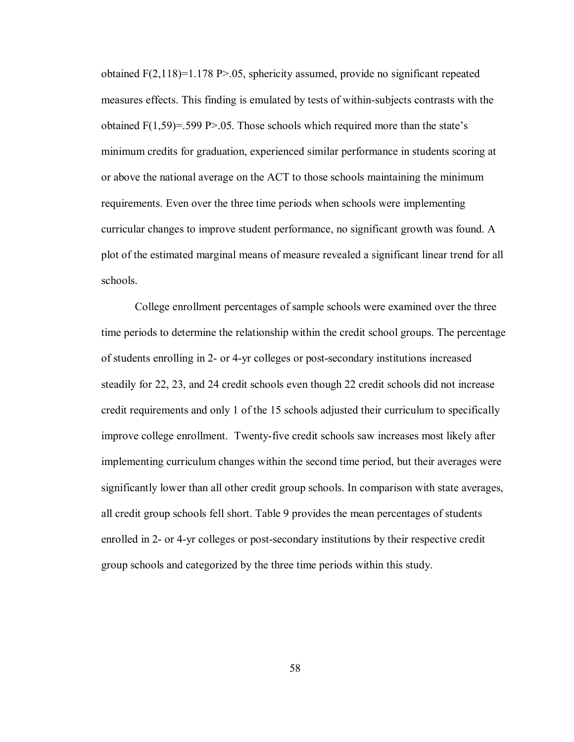obtained F(2,118)=1.178 P>.05, sphericity assumed, provide no significant repeated measures effects. This finding is emulated by tests of within-subjects contrasts with the obtained  $F(1,59)=.599 P>0.05$ . Those schools which required more than the state's minimum credits for graduation, experienced similar performance in students scoring at or above the national average on the ACT to those schools maintaining the minimum requirements. Even over the three time periods when schools were implementing curricular changes to improve student performance, no significant growth was found. A plot of the estimated marginal means of measure revealed a significant linear trend for all schools.

 College enrollment percentages of sample schools were examined over the three time periods to determine the relationship within the credit school groups. The percentage of students enrolling in 2- or 4-yr colleges or post-secondary institutions increased steadily for 22, 23, and 24 credit schools even though 22 credit schools did not increase credit requirements and only 1 of the 15 schools adjusted their curriculum to specifically improve college enrollment. Twenty-five credit schools saw increases most likely after implementing curriculum changes within the second time period, but their averages were significantly lower than all other credit group schools. In comparison with state averages, all credit group schools fell short. Table 9 provides the mean percentages of students enrolled in 2- or 4-yr colleges or post-secondary institutions by their respective credit group schools and categorized by the three time periods within this study.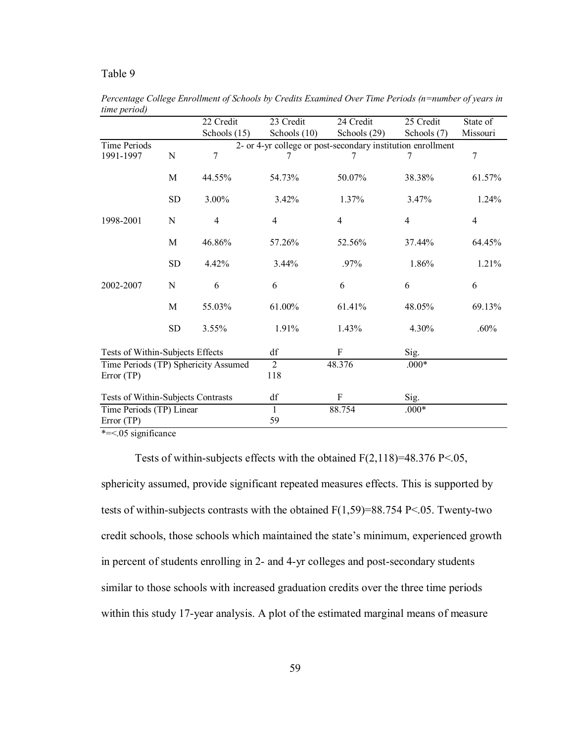## Table 9

|                                                                                                    |             | 22 Credit      | 23 Credit      | 24 Credit                                                   | 25 Credit      | State of       |
|----------------------------------------------------------------------------------------------------|-------------|----------------|----------------|-------------------------------------------------------------|----------------|----------------|
|                                                                                                    |             | Schools (15)   | Schools (10)   | Schools (29)                                                | Schools (7)    | Missouri       |
| <b>Time Periods</b>                                                                                |             |                |                | 2- or 4-yr college or post-secondary institution enrollment |                |                |
| 1991-1997                                                                                          | $\mathbf N$ | 7              | 7              | 7                                                           | 7              | 7              |
|                                                                                                    | M           | 44.55%         | 54.73%         | 50.07%                                                      | 38.38%         | 61.57%         |
|                                                                                                    | ${\rm SD}$  | 3.00%          | 3.42%          | 1.37%                                                       | 3.47%          | 1.24%          |
| 1998-2001                                                                                          | N           | $\overline{4}$ | 4              | 4                                                           | $\overline{4}$ | $\overline{4}$ |
|                                                                                                    | M           | 46.86%         | 57.26%         | 52.56%                                                      | 37.44%         | 64.45%         |
|                                                                                                    | <b>SD</b>   | 4.42%          | $3.44\%$       | $.97\%$                                                     | 1.86%          | 1.21%          |
| 2002-2007                                                                                          | N           | 6              | 6              | 6                                                           | 6              | 6              |
|                                                                                                    | M           | 55.03%         | 61.00%         | 61.41%                                                      | 48.05%         | 69.13%         |
|                                                                                                    | <b>SD</b>   | 3.55%          | 1.91%          | 1.43%                                                       | 4.30%          | .60%           |
| Tests of Within-Subjects Effects                                                                   |             |                | df             | $\boldsymbol{\mathrm{F}}$                                   | Sig.           |                |
| Time Periods (TP) Sphericity Assumed                                                               |             |                | $\overline{2}$ | 48.376                                                      | $.000*$        |                |
| Error(TP)                                                                                          |             |                | 118            |                                                             |                |                |
| Tests of Within-Subjects Contrasts                                                                 |             |                | df             | F                                                           | Sig.           |                |
| Time Periods (TP) Linear                                                                           |             |                | 1              | 88.754                                                      | $.000*$        |                |
| Error (TP)                                                                                         |             |                | 59             |                                                             |                |                |
| $\ddot{v}$ $\ddot{v}$ $\ddot{v}$ $\ddot{v}$ $\ddot{v}$ $\ddot{v}$ $\ddot{v}$ $\ddot{v}$ $\ddot{v}$ |             |                |                |                                                             |                |                |

*Percentage College Enrollment of Schools by Credits Examined Over Time Periods (n=number of years in time period)* 

\*=<.05 significance

Tests of within-subjects effects with the obtained  $F(2,118)=48.376 \text{ P} < 0.05$ , sphericity assumed, provide significant repeated measures effects. This is supported by tests of within-subjects contrasts with the obtained  $F(1,59)=88.754 \text{ P} \le 0.05$ . Twenty-two credit schools, those schools which maintained the state's minimum, experienced growth in percent of students enrolling in 2- and 4-yr colleges and post-secondary students similar to those schools with increased graduation credits over the three time periods within this study 17-year analysis. A plot of the estimated marginal means of measure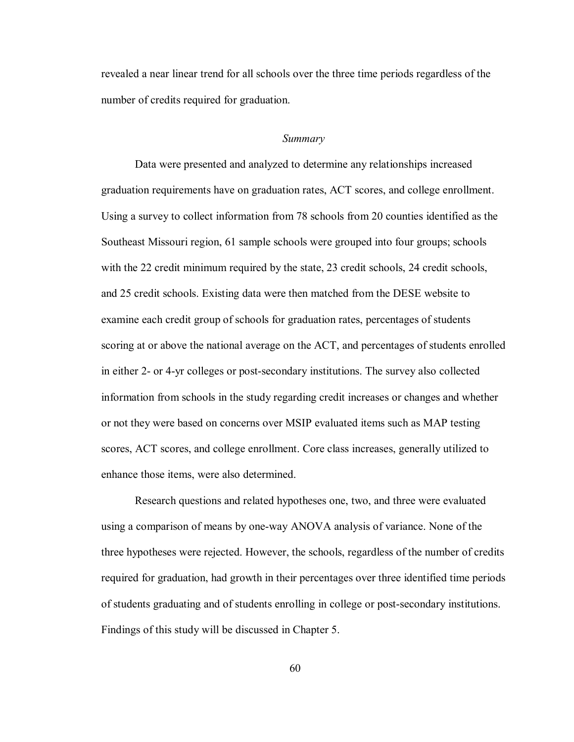revealed a near linear trend for all schools over the three time periods regardless of the number of credits required for graduation.

#### *Summary*

 Data were presented and analyzed to determine any relationships increased graduation requirements have on graduation rates, ACT scores, and college enrollment. Using a survey to collect information from 78 schools from 20 counties identified as the Southeast Missouri region, 61 sample schools were grouped into four groups; schools with the 22 credit minimum required by the state, 23 credit schools, 24 credit schools, and 25 credit schools. Existing data were then matched from the DESE website to examine each credit group of schools for graduation rates, percentages of students scoring at or above the national average on the ACT, and percentages of students enrolled in either 2- or 4-yr colleges or post-secondary institutions. The survey also collected information from schools in the study regarding credit increases or changes and whether or not they were based on concerns over MSIP evaluated items such as MAP testing scores, ACT scores, and college enrollment. Core class increases, generally utilized to enhance those items, were also determined.

Research questions and related hypotheses one, two, and three were evaluated using a comparison of means by one-way ANOVA analysis of variance. None of the three hypotheses were rejected. However, the schools, regardless of the number of credits required for graduation, had growth in their percentages over three identified time periods of students graduating and of students enrolling in college or post-secondary institutions. Findings of this study will be discussed in Chapter 5.

60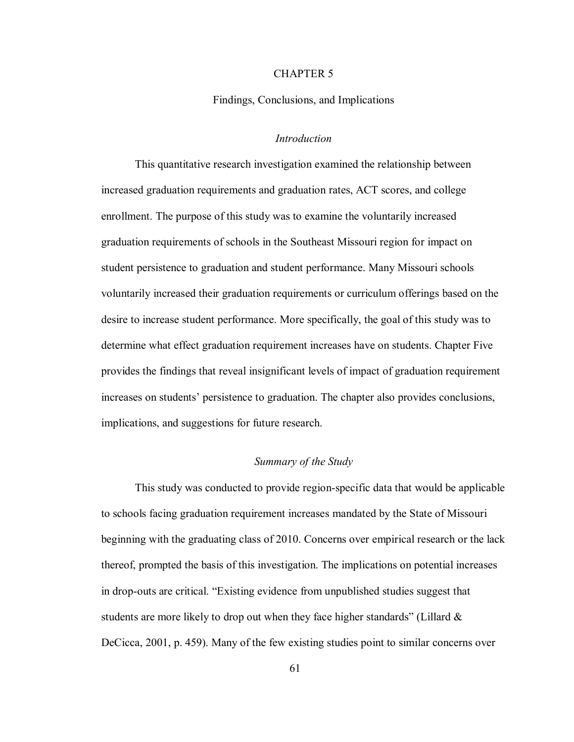## CHAPTER 5

Findings, Conclusions, and Implications

### *Introduction*

 This quantitative research investigation examined the relationship between increased graduation requirements and graduation rates, ACT scores, and college enrollment. The purpose of this study was to examine the voluntarily increased graduation requirements of schools in the Southeast Missouri region for impact on student persistence to graduation and student performance. Many Missouri schools voluntarily increased their graduation requirements or curriculum offerings based on the desire to increase student performance. More specifically, the goal of this study was to determine what effect graduation requirement increases have on students. Chapter Five provides the findings that reveal insignificant levels of impact of graduation requirement increases on students' persistence to graduation. The chapter also provides conclusions, implications, and suggestions for future research.

## *Summary of the Study*

 This study was conducted to provide region-specific data that would be applicable to schools facing graduation requirement increases mandated by the State of Missouri beginning with the graduating class of 2010. Concerns over empirical research or the lack thereof, prompted the basis of this investigation. The implications on potential increases in drop-outs are critical. "Existing evidence from unpublished studies suggest that students are more likely to drop out when they face higher standards" (Lillard  $\&$ DeCicca, 2001, p. 459). Many of the few existing studies point to similar concerns over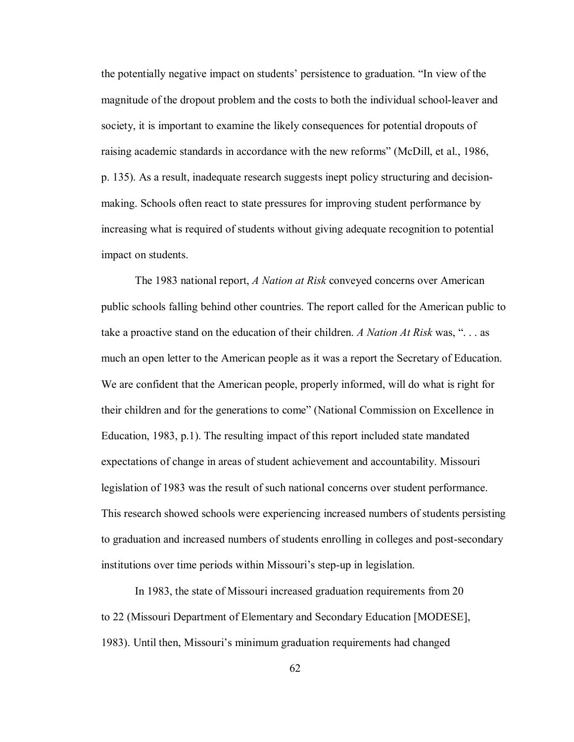the potentially negative impact on students' persistence to graduation. "In view of the magnitude of the dropout problem and the costs to both the individual school-leaver and society, it is important to examine the likely consequences for potential dropouts of raising academic standards in accordance with the new reforms" (McDill, et al., 1986, p. 135). As a result, inadequate research suggests inept policy structuring and decisionmaking. Schools often react to state pressures for improving student performance by increasing what is required of students without giving adequate recognition to potential impact on students.

The 1983 national report, *A Nation at Risk* conveyed concerns over American public schools falling behind other countries. The report called for the American public to take a proactive stand on the education of their children. *A Nation At Risk* was, ". . . as much an open letter to the American people as it was a report the Secretary of Education. We are confident that the American people, properly informed, will do what is right for their children and for the generations to come" (National Commission on Excellence in Education, 1983, p.1). The resulting impact of this report included state mandated expectations of change in areas of student achievement and accountability. Missouri legislation of 1983 was the result of such national concerns over student performance. This research showed schools were experiencing increased numbers of students persisting to graduation and increased numbers of students enrolling in colleges and post-secondary institutions over time periods within Missouri's step-up in legislation.

In 1983, the state of Missouri increased graduation requirements from 20 to 22 (Missouri Department of Elementary and Secondary Education [MODESE], 1983). Until then, Missouri's minimum graduation requirements had changed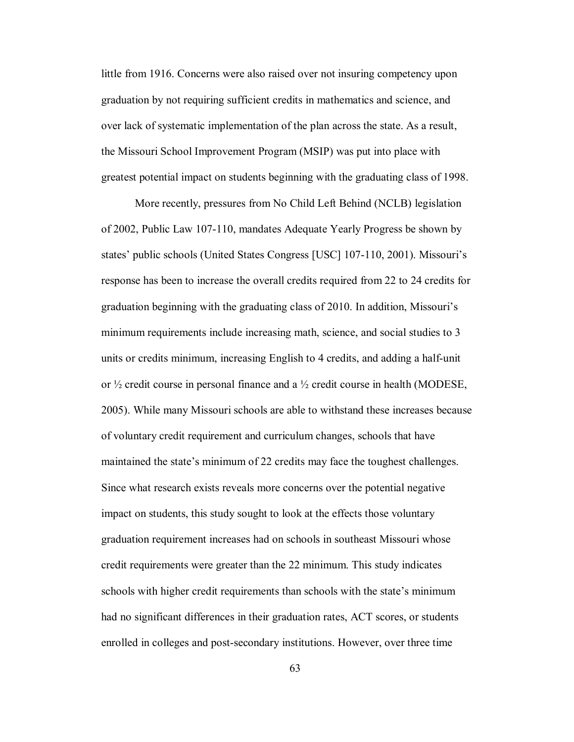little from 1916. Concerns were also raised over not insuring competency upon graduation by not requiring sufficient credits in mathematics and science, and over lack of systematic implementation of the plan across the state. As a result, the Missouri School Improvement Program (MSIP) was put into place with greatest potential impact on students beginning with the graduating class of 1998.

More recently, pressures from No Child Left Behind (NCLB) legislation of 2002, Public Law 107-110, mandates Adequate Yearly Progress be shown by states' public schools (United States Congress [USC] 107-110, 2001). Missouri's response has been to increase the overall credits required from 22 to 24 credits for graduation beginning with the graduating class of 2010. In addition, Missouri's minimum requirements include increasing math, science, and social studies to 3 units or credits minimum, increasing English to 4 credits, and adding a half-unit or  $\frac{1}{2}$  credit course in personal finance and a  $\frac{1}{2}$  credit course in health (MODESE, 2005). While many Missouri schools are able to withstand these increases because of voluntary credit requirement and curriculum changes, schools that have maintained the state's minimum of 22 credits may face the toughest challenges. Since what research exists reveals more concerns over the potential negative impact on students, this study sought to look at the effects those voluntary graduation requirement increases had on schools in southeast Missouri whose credit requirements were greater than the 22 minimum. This study indicates schools with higher credit requirements than schools with the state's minimum had no significant differences in their graduation rates, ACT scores, or students enrolled in colleges and post-secondary institutions. However, over three time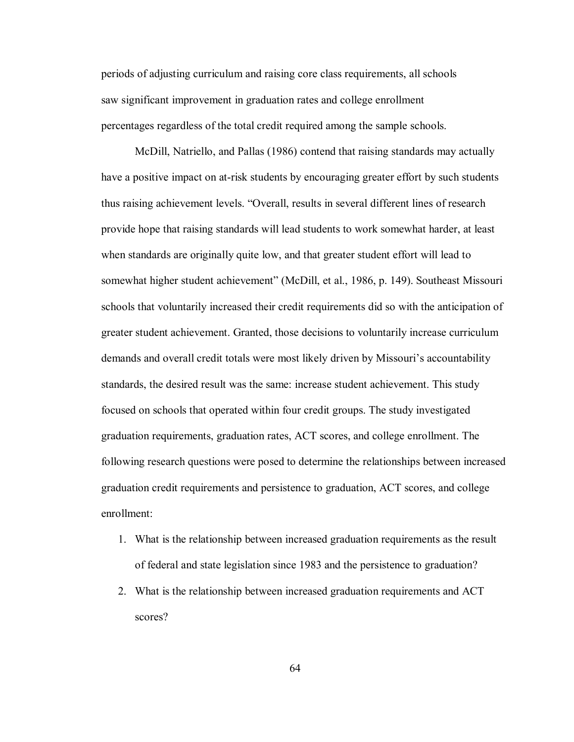periods of adjusting curriculum and raising core class requirements, all schools saw significant improvement in graduation rates and college enrollment percentages regardless of the total credit required among the sample schools.

McDill, Natriello, and Pallas (1986) contend that raising standards may actually have a positive impact on at-risk students by encouraging greater effort by such students thus raising achievement levels. "Overall, results in several different lines of research provide hope that raising standards will lead students to work somewhat harder, at least when standards are originally quite low, and that greater student effort will lead to somewhat higher student achievement" (McDill, et al., 1986, p. 149). Southeast Missouri schools that voluntarily increased their credit requirements did so with the anticipation of greater student achievement. Granted, those decisions to voluntarily increase curriculum demands and overall credit totals were most likely driven by Missouri's accountability standards, the desired result was the same: increase student achievement. This study focused on schools that operated within four credit groups. The study investigated graduation requirements, graduation rates, ACT scores, and college enrollment. The following research questions were posed to determine the relationships between increased graduation credit requirements and persistence to graduation, ACT scores, and college enrollment:

- 1. What is the relationship between increased graduation requirements as the result of federal and state legislation since 1983 and the persistence to graduation?
- 2. What is the relationship between increased graduation requirements and ACT scores?

64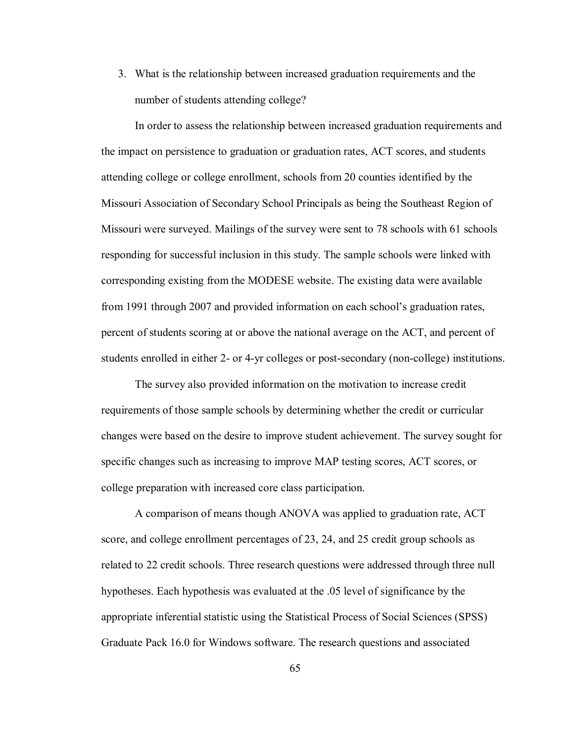3. What is the relationship between increased graduation requirements and the number of students attending college?

In order to assess the relationship between increased graduation requirements and the impact on persistence to graduation or graduation rates, ACT scores, and students attending college or college enrollment, schools from 20 counties identified by the Missouri Association of Secondary School Principals as being the Southeast Region of Missouri were surveyed. Mailings of the survey were sent to 78 schools with 61 schools responding for successful inclusion in this study. The sample schools were linked with corresponding existing from the MODESE website. The existing data were available from 1991 through 2007 and provided information on each school's graduation rates, percent of students scoring at or above the national average on the ACT, and percent of students enrolled in either 2- or 4-yr colleges or post-secondary (non-college) institutions.

 The survey also provided information on the motivation to increase credit requirements of those sample schools by determining whether the credit or curricular changes were based on the desire to improve student achievement. The survey sought for specific changes such as increasing to improve MAP testing scores, ACT scores, or college preparation with increased core class participation.

 A comparison of means though ANOVA was applied to graduation rate, ACT score, and college enrollment percentages of 23, 24, and 25 credit group schools as related to 22 credit schools. Three research questions were addressed through three null hypotheses. Each hypothesis was evaluated at the .05 level of significance by the appropriate inferential statistic using the Statistical Process of Social Sciences (SPSS) Graduate Pack 16.0 for Windows software. The research questions and associated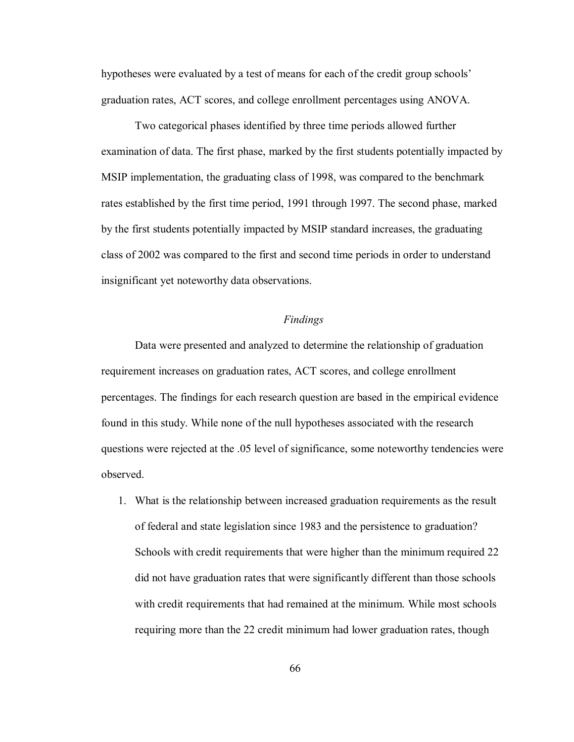hypotheses were evaluated by a test of means for each of the credit group schools' graduation rates, ACT scores, and college enrollment percentages using ANOVA.

 Two categorical phases identified by three time periods allowed further examination of data. The first phase, marked by the first students potentially impacted by MSIP implementation, the graduating class of 1998, was compared to the benchmark rates established by the first time period, 1991 through 1997. The second phase, marked by the first students potentially impacted by MSIP standard increases, the graduating class of 2002 was compared to the first and second time periods in order to understand insignificant yet noteworthy data observations.

## *Findings*

 Data were presented and analyzed to determine the relationship of graduation requirement increases on graduation rates, ACT scores, and college enrollment percentages. The findings for each research question are based in the empirical evidence found in this study. While none of the null hypotheses associated with the research questions were rejected at the .05 level of significance, some noteworthy tendencies were observed.

1. What is the relationship between increased graduation requirements as the result of federal and state legislation since 1983 and the persistence to graduation? Schools with credit requirements that were higher than the minimum required 22 did not have graduation rates that were significantly different than those schools with credit requirements that had remained at the minimum. While most schools requiring more than the 22 credit minimum had lower graduation rates, though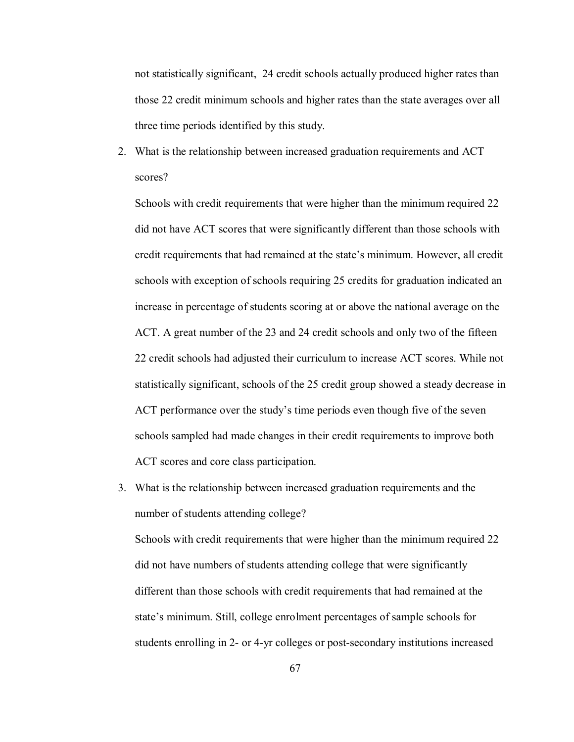not statistically significant, 24 credit schools actually produced higher rates than those 22 credit minimum schools and higher rates than the state averages over all three time periods identified by this study.

2. What is the relationship between increased graduation requirements and ACT scores?

Schools with credit requirements that were higher than the minimum required 22 did not have ACT scores that were significantly different than those schools with credit requirements that had remained at the state's minimum. However, all credit schools with exception of schools requiring 25 credits for graduation indicated an increase in percentage of students scoring at or above the national average on the ACT. A great number of the 23 and 24 credit schools and only two of the fifteen 22 credit schools had adjusted their curriculum to increase ACT scores. While not statistically significant, schools of the 25 credit group showed a steady decrease in ACT performance over the study's time periods even though five of the seven schools sampled had made changes in their credit requirements to improve both ACT scores and core class participation.

3. What is the relationship between increased graduation requirements and the number of students attending college?

Schools with credit requirements that were higher than the minimum required 22 did not have numbers of students attending college that were significantly different than those schools with credit requirements that had remained at the state's minimum. Still, college enrolment percentages of sample schools for students enrolling in 2- or 4-yr colleges or post-secondary institutions increased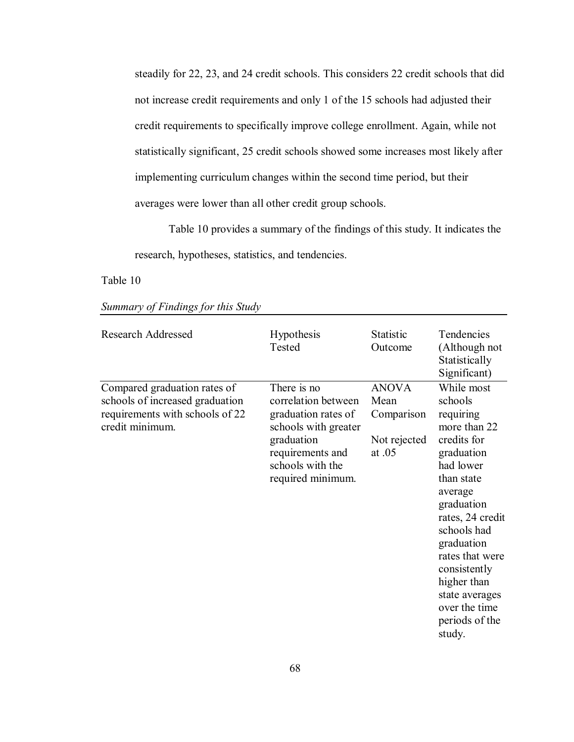steadily for 22, 23, and 24 credit schools. This considers 22 credit schools that did not increase credit requirements and only 1 of the 15 schools had adjusted their credit requirements to specifically improve college enrollment. Again, while not statistically significant, 25 credit schools showed some increases most likely after implementing curriculum changes within the second time period, but their averages were lower than all other credit group schools.

 Table 10 provides a summary of the findings of this study. It indicates the research, hypotheses, statistics, and tendencies.

Table 10

| <b>Research Addressed</b>                                                                                             | Hypothesis<br>Tested                                                                                                                                         | <b>Statistic</b><br>Outcome                                    | Tendencies<br>(Although not<br>Statistically<br>Significant)                                                                                                                                                                                                                                          |
|-----------------------------------------------------------------------------------------------------------------------|--------------------------------------------------------------------------------------------------------------------------------------------------------------|----------------------------------------------------------------|-------------------------------------------------------------------------------------------------------------------------------------------------------------------------------------------------------------------------------------------------------------------------------------------------------|
| Compared graduation rates of<br>schools of increased graduation<br>requirements with schools of 22<br>credit minimum. | There is no<br>correlation between<br>graduation rates of<br>schools with greater<br>graduation<br>requirements and<br>schools with the<br>required minimum. | <b>ANOVA</b><br>Mean<br>Comparison<br>Not rejected<br>at $.05$ | While most<br>schools<br>requiring<br>more than 22<br>credits for<br>graduation<br>had lower<br>than state<br>average<br>graduation<br>rates, 24 credit<br>schools had<br>graduation<br>rates that were<br>consistently<br>higher than<br>state averages<br>over the time<br>periods of the<br>study. |

*Summary of Findings for this Study*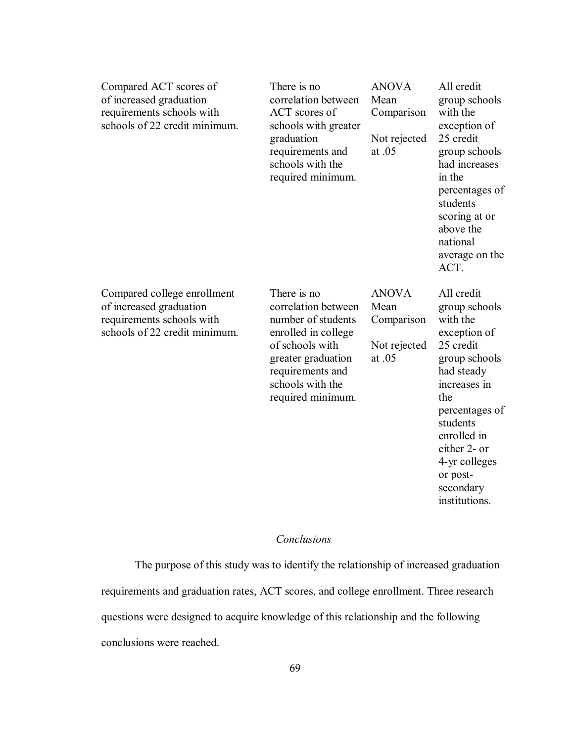| Compared ACT scores of<br>of increased graduation<br>requirements schools with<br>schools of 22 credit minimum.      | There is no<br>correlation between<br>ACT scores of<br>schools with greater<br>graduation<br>requirements and<br>schools with the<br>required minimum.                                | <b>ANOVA</b><br>Mean<br>Comparison<br>Not rejected<br>at .05 | All credit<br>group schools<br>with the<br>exception of<br>25 credit<br>group schools<br>had increases<br>in the<br>percentages of<br>students<br>scoring at or<br>above the<br>national<br>average on the<br>ACT.                                 |
|----------------------------------------------------------------------------------------------------------------------|---------------------------------------------------------------------------------------------------------------------------------------------------------------------------------------|--------------------------------------------------------------|----------------------------------------------------------------------------------------------------------------------------------------------------------------------------------------------------------------------------------------------------|
| Compared college enrollment<br>of increased graduation<br>requirements schools with<br>schools of 22 credit minimum. | There is no<br>correlation between<br>number of students<br>enrolled in college<br>of schools with<br>greater graduation<br>requirements and<br>schools with the<br>required minimum. | <b>ANOVA</b><br>Mean<br>Comparison<br>Not rejected<br>at .05 | All credit<br>group schools<br>with the<br>exception of<br>25 credit<br>group schools<br>had steady<br>increases in<br>the<br>percentages of<br>students<br>enrolled in<br>either 2- or<br>4-yr colleges<br>or post-<br>secondary<br>institutions. |

# *Conclusions*

 The purpose of this study was to identify the relationship of increased graduation requirements and graduation rates, ACT scores, and college enrollment. Three research questions were designed to acquire knowledge of this relationship and the following conclusions were reached.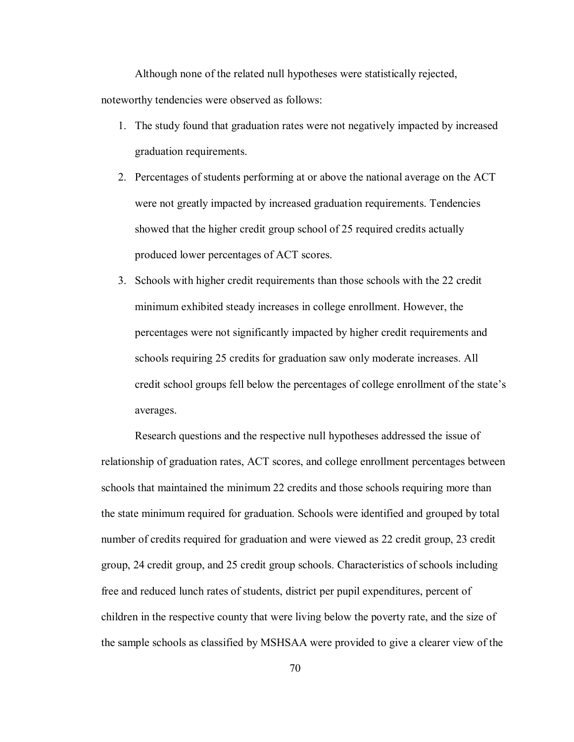Although none of the related null hypotheses were statistically rejected, noteworthy tendencies were observed as follows:

- 1. The study found that graduation rates were not negatively impacted by increased graduation requirements.
- 2. Percentages of students performing at or above the national average on the ACT were not greatly impacted by increased graduation requirements. Tendencies showed that the higher credit group school of 25 required credits actually produced lower percentages of ACT scores.
- 3. Schools with higher credit requirements than those schools with the 22 credit minimum exhibited steady increases in college enrollment. However, the percentages were not significantly impacted by higher credit requirements and schools requiring 25 credits for graduation saw only moderate increases. All credit school groups fell below the percentages of college enrollment of the state's averages.

Research questions and the respective null hypotheses addressed the issue of relationship of graduation rates, ACT scores, and college enrollment percentages between schools that maintained the minimum 22 credits and those schools requiring more than the state minimum required for graduation. Schools were identified and grouped by total number of credits required for graduation and were viewed as 22 credit group, 23 credit group, 24 credit group, and 25 credit group schools. Characteristics of schools including free and reduced lunch rates of students, district per pupil expenditures, percent of children in the respective county that were living below the poverty rate, and the size of the sample schools as classified by MSHSAA were provided to give a clearer view of the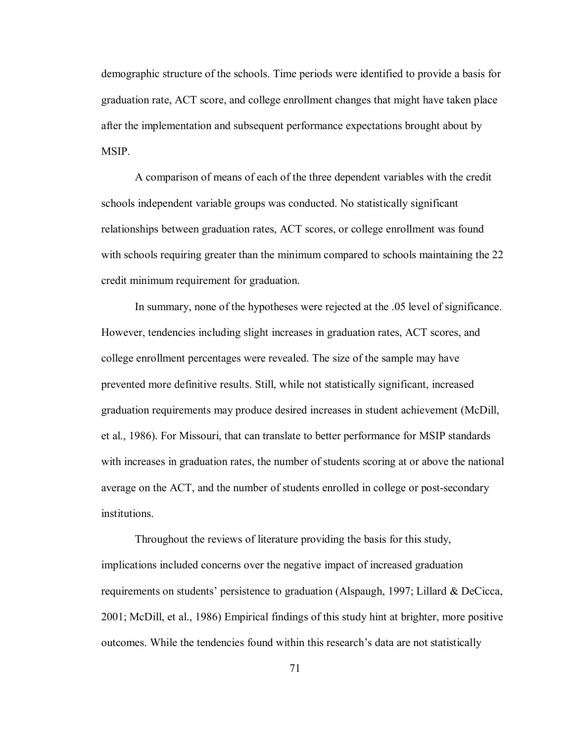demographic structure of the schools. Time periods were identified to provide a basis for graduation rate, ACT score, and college enrollment changes that might have taken place after the implementation and subsequent performance expectations brought about by **MSIP** 

A comparison of means of each of the three dependent variables with the credit schools independent variable groups was conducted. No statistically significant relationships between graduation rates, ACT scores, or college enrollment was found with schools requiring greater than the minimum compared to schools maintaining the 22 credit minimum requirement for graduation.

In summary, none of the hypotheses were rejected at the .05 level of significance. However, tendencies including slight increases in graduation rates, ACT scores, and college enrollment percentages were revealed. The size of the sample may have prevented more definitive results. Still, while not statistically significant, increased graduation requirements may produce desired increases in student achievement (McDill, et al., 1986). For Missouri, that can translate to better performance for MSIP standards with increases in graduation rates, the number of students scoring at or above the national average on the ACT, and the number of students enrolled in college or post-secondary institutions.

 Throughout the reviews of literature providing the basis for this study, implications included concerns over the negative impact of increased graduation requirements on students' persistence to graduation (Alspaugh, 1997; Lillard & DeCicca, 2001; McDill, et al., 1986) Empirical findings of this study hint at brighter, more positive outcomes. While the tendencies found within this research's data are not statistically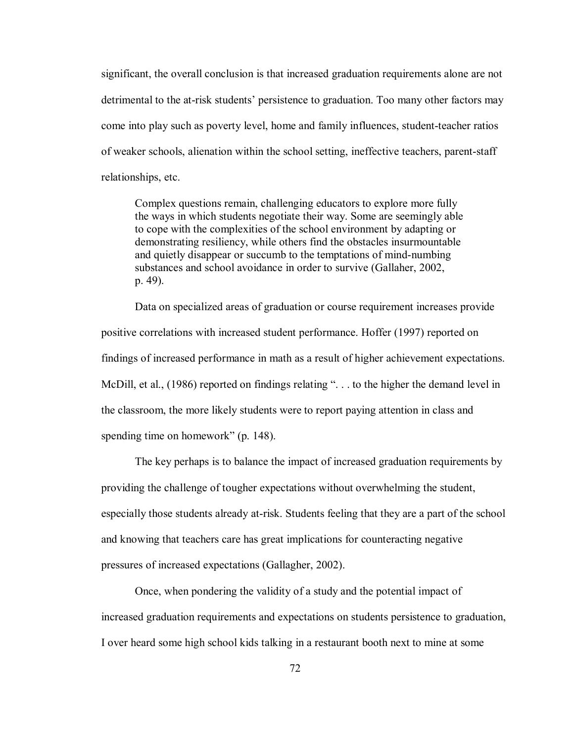significant, the overall conclusion is that increased graduation requirements alone are not detrimental to the at-risk students' persistence to graduation. Too many other factors may come into play such as poverty level, home and family influences, student-teacher ratios of weaker schools, alienation within the school setting, ineffective teachers, parent-staff relationships, etc.

Complex questions remain, challenging educators to explore more fully the ways in which students negotiate their way. Some are seemingly able to cope with the complexities of the school environment by adapting or demonstrating resiliency, while others find the obstacles insurmountable and quietly disappear or succumb to the temptations of mind-numbing substances and school avoidance in order to survive (Gallaher, 2002, p. 49).

 Data on specialized areas of graduation or course requirement increases provide positive correlations with increased student performance. Hoffer (1997) reported on findings of increased performance in math as a result of higher achievement expectations. McDill, et al., (1986) reported on findings relating "... to the higher the demand level in the classroom, the more likely students were to report paying attention in class and spending time on homework" (p. 148).

 The key perhaps is to balance the impact of increased graduation requirements by providing the challenge of tougher expectations without overwhelming the student, especially those students already at-risk. Students feeling that they are a part of the school and knowing that teachers care has great implications for counteracting negative pressures of increased expectations (Gallagher, 2002).

 Once, when pondering the validity of a study and the potential impact of increased graduation requirements and expectations on students persistence to graduation, I over heard some high school kids talking in a restaurant booth next to mine at some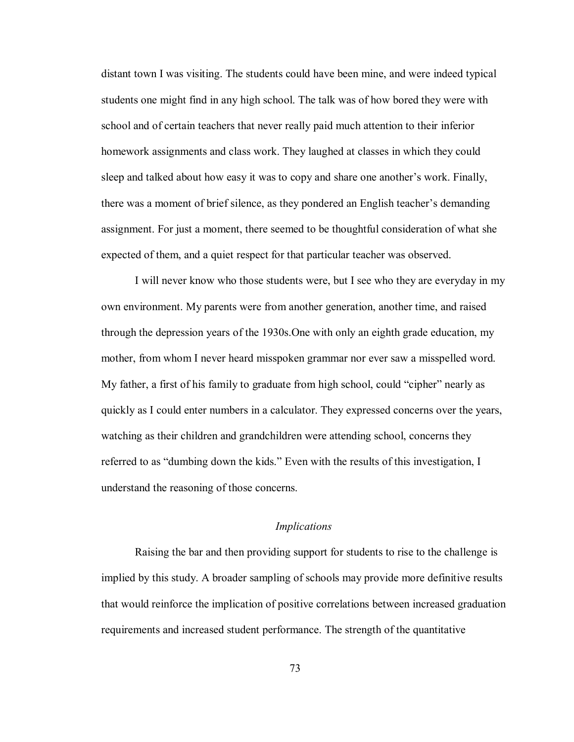distant town I was visiting. The students could have been mine, and were indeed typical students one might find in any high school. The talk was of how bored they were with school and of certain teachers that never really paid much attention to their inferior homework assignments and class work. They laughed at classes in which they could sleep and talked about how easy it was to copy and share one another's work. Finally, there was a moment of brief silence, as they pondered an English teacher's demanding assignment. For just a moment, there seemed to be thoughtful consideration of what she expected of them, and a quiet respect for that particular teacher was observed.

 I will never know who those students were, but I see who they are everyday in my own environment. My parents were from another generation, another time, and raised through the depression years of the 1930s.One with only an eighth grade education, my mother, from whom I never heard misspoken grammar nor ever saw a misspelled word. My father, a first of his family to graduate from high school, could "cipher" nearly as quickly as I could enter numbers in a calculator. They expressed concerns over the years, watching as their children and grandchildren were attending school, concerns they referred to as "dumbing down the kids." Even with the results of this investigation, I understand the reasoning of those concerns.

#### *Implications*

Raising the bar and then providing support for students to rise to the challenge is implied by this study. A broader sampling of schools may provide more definitive results that would reinforce the implication of positive correlations between increased graduation requirements and increased student performance. The strength of the quantitative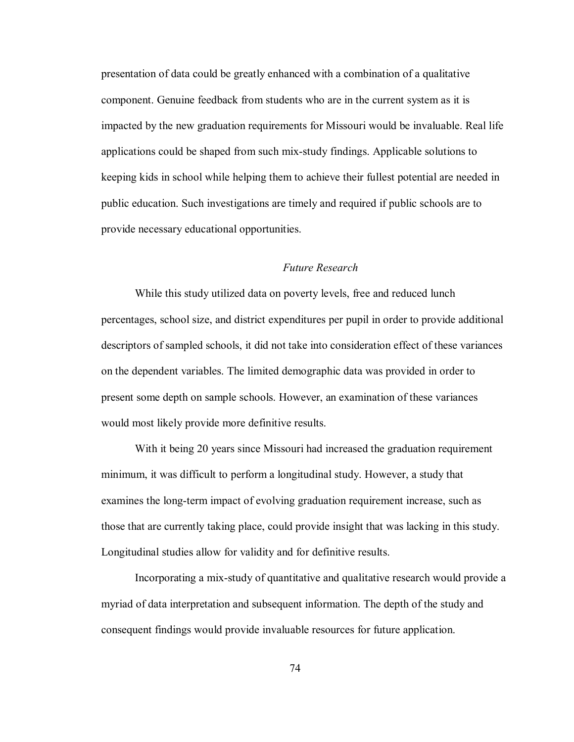presentation of data could be greatly enhanced with a combination of a qualitative component. Genuine feedback from students who are in the current system as it is impacted by the new graduation requirements for Missouri would be invaluable. Real life applications could be shaped from such mix-study findings. Applicable solutions to keeping kids in school while helping them to achieve their fullest potential are needed in public education. Such investigations are timely and required if public schools are to provide necessary educational opportunities.

## *Future Research*

 While this study utilized data on poverty levels, free and reduced lunch percentages, school size, and district expenditures per pupil in order to provide additional descriptors of sampled schools, it did not take into consideration effect of these variances on the dependent variables. The limited demographic data was provided in order to present some depth on sample schools. However, an examination of these variances would most likely provide more definitive results.

 With it being 20 years since Missouri had increased the graduation requirement minimum, it was difficult to perform a longitudinal study. However, a study that examines the long-term impact of evolving graduation requirement increase, such as those that are currently taking place, could provide insight that was lacking in this study. Longitudinal studies allow for validity and for definitive results.

 Incorporating a mix-study of quantitative and qualitative research would provide a myriad of data interpretation and subsequent information. The depth of the study and consequent findings would provide invaluable resources for future application.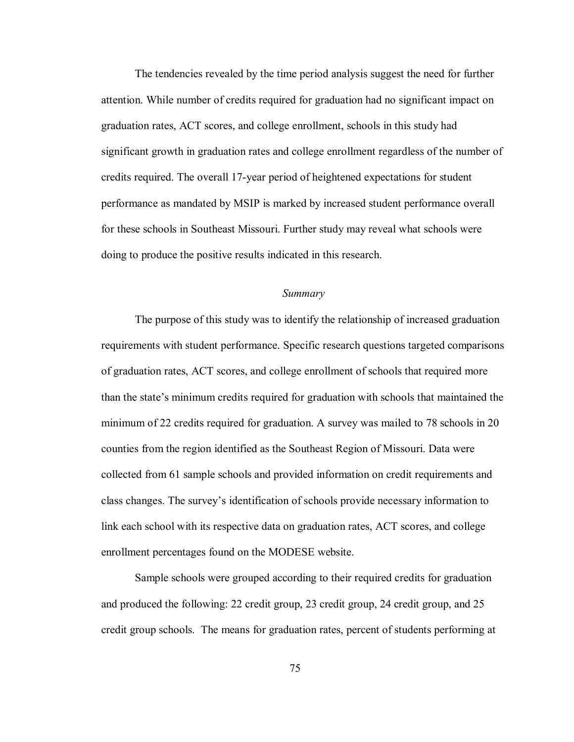The tendencies revealed by the time period analysis suggest the need for further attention. While number of credits required for graduation had no significant impact on graduation rates, ACT scores, and college enrollment, schools in this study had significant growth in graduation rates and college enrollment regardless of the number of credits required. The overall 17-year period of heightened expectations for student performance as mandated by MSIP is marked by increased student performance overall for these schools in Southeast Missouri. Further study may reveal what schools were doing to produce the positive results indicated in this research.

## *Summary*

 The purpose of this study was to identify the relationship of increased graduation requirements with student performance. Specific research questions targeted comparisons of graduation rates, ACT scores, and college enrollment of schools that required more than the state's minimum credits required for graduation with schools that maintained the minimum of 22 credits required for graduation. A survey was mailed to 78 schools in 20 counties from the region identified as the Southeast Region of Missouri. Data were collected from 61 sample schools and provided information on credit requirements and class changes. The survey's identification of schools provide necessary information to link each school with its respective data on graduation rates, ACT scores, and college enrollment percentages found on the MODESE website.

 Sample schools were grouped according to their required credits for graduation and produced the following: 22 credit group, 23 credit group, 24 credit group, and 25 credit group schools. The means for graduation rates, percent of students performing at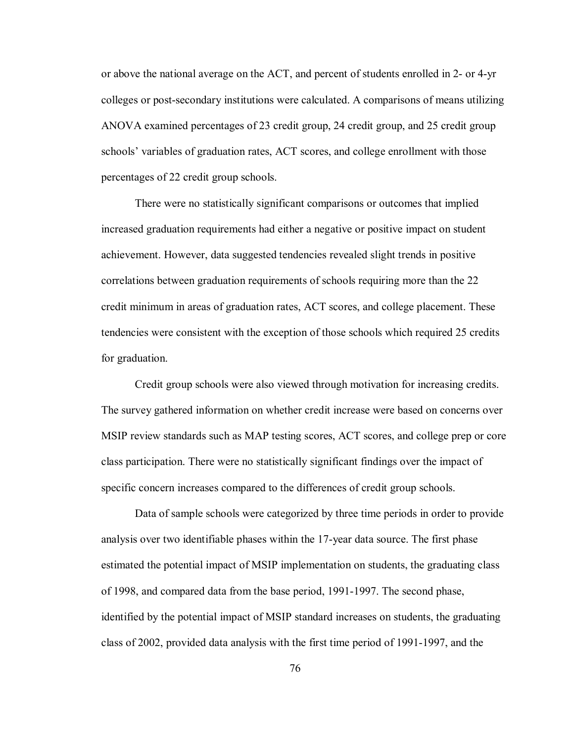or above the national average on the ACT, and percent of students enrolled in 2- or 4-yr colleges or post-secondary institutions were calculated. A comparisons of means utilizing ANOVA examined percentages of 23 credit group, 24 credit group, and 25 credit group schools' variables of graduation rates, ACT scores, and college enrollment with those percentages of 22 credit group schools.

 There were no statistically significant comparisons or outcomes that implied increased graduation requirements had either a negative or positive impact on student achievement. However, data suggested tendencies revealed slight trends in positive correlations between graduation requirements of schools requiring more than the 22 credit minimum in areas of graduation rates, ACT scores, and college placement. These tendencies were consistent with the exception of those schools which required 25 credits for graduation.

 Credit group schools were also viewed through motivation for increasing credits. The survey gathered information on whether credit increase were based on concerns over MSIP review standards such as MAP testing scores, ACT scores, and college prep or core class participation. There were no statistically significant findings over the impact of specific concern increases compared to the differences of credit group schools.

 Data of sample schools were categorized by three time periods in order to provide analysis over two identifiable phases within the 17-year data source. The first phase estimated the potential impact of MSIP implementation on students, the graduating class of 1998, and compared data from the base period, 1991-1997. The second phase, identified by the potential impact of MSIP standard increases on students, the graduating class of 2002, provided data analysis with the first time period of 1991-1997, and the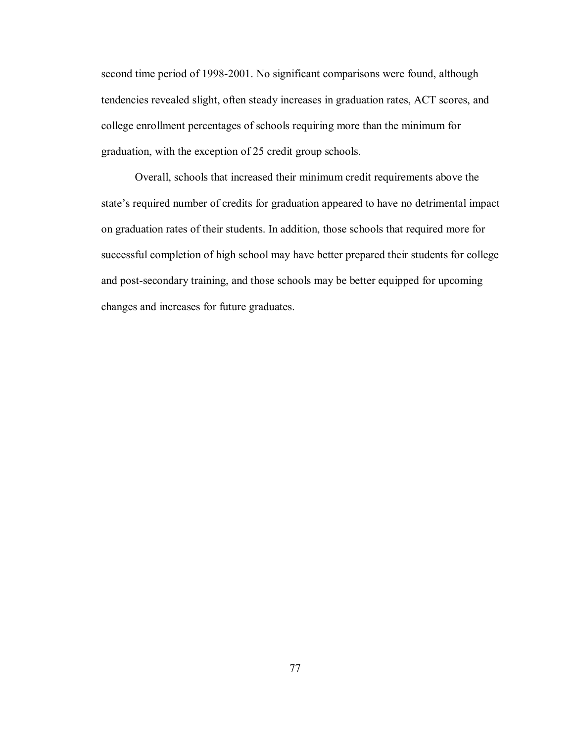second time period of 1998-2001. No significant comparisons were found, although tendencies revealed slight, often steady increases in graduation rates, ACT scores, and college enrollment percentages of schools requiring more than the minimum for graduation, with the exception of 25 credit group schools.

 Overall, schools that increased their minimum credit requirements above the state's required number of credits for graduation appeared to have no detrimental impact on graduation rates of their students. In addition, those schools that required more for successful completion of high school may have better prepared their students for college and post-secondary training, and those schools may be better equipped for upcoming changes and increases for future graduates.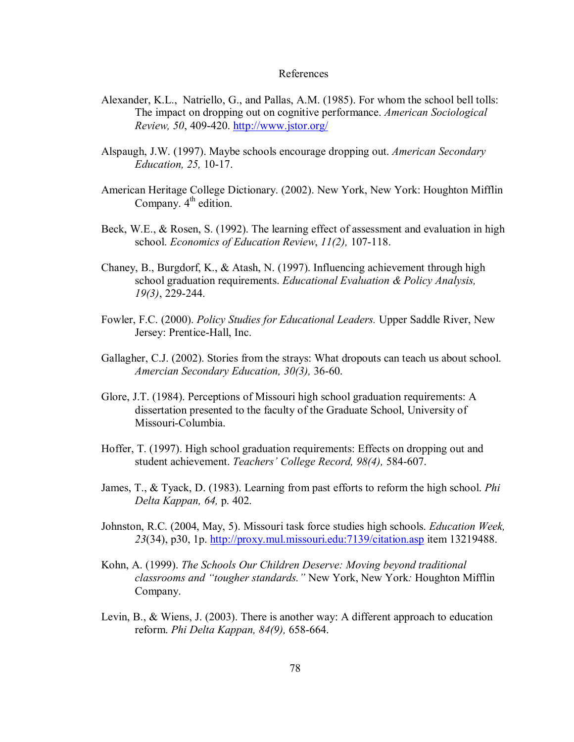#### References

- Alexander, K.L., Natriello, G., and Pallas, A.M. (1985). For whom the school bell tolls: The impact on dropping out on cognitive performance. *American Sociological Review, 50*, 409-420. http://www.jstor.org/
- Alspaugh, J.W. (1997). Maybe schools encourage dropping out. *American Secondary Education, 25,* 10-17.
- American Heritage College Dictionary. (2002). New York, New York: Houghton Mifflin Company.  $4<sup>th</sup>$  edition.
- Beck, W.E., & Rosen, S. (1992). The learning effect of assessment and evaluation in high school. *Economics of Education Review*, *11(2),* 107-118.
- Chaney, B., Burgdorf, K., & Atash, N. (1997). Influencing achievement through high school graduation requirements. *Educational Evaluation & Policy Analysis, 19(3)*, 229-244.
- Fowler, F.C. (2000). *Policy Studies for Educational Leaders.* Upper Saddle River, New Jersey: Prentice-Hall, Inc.
- Gallagher, C.J. (2002). Stories from the strays: What dropouts can teach us about school. *Amercian Secondary Education, 30(3),* 36-60.
- Glore, J.T. (1984). Perceptions of Missouri high school graduation requirements: A dissertation presented to the faculty of the Graduate School, University of Missouri-Columbia.
- Hoffer, T. (1997). High school graduation requirements: Effects on dropping out and student achievement. *Teachers' College Record, 98(4),* 584-607.
- James, T., & Tyack, D. (1983). Learning from past efforts to reform the high school. *Phi Delta Kappan, 64,* p. 402.
- Johnston, R.C. (2004, May, 5). Missouri task force studies high schools. *Education Week, 23*(34), p30, 1p. http://proxy.mul.missouri.edu:7139/citation.asp item 13219488.
- Kohn, A. (1999). *The Schools Our Children Deserve: Moving beyond traditional classrooms and "tougher standards."* New York, New York*:* Houghton Mifflin Company.
- Levin, B., & Wiens, J. (2003). There is another way: A different approach to education reform. *Phi Delta Kappan, 84(9),* 658-664.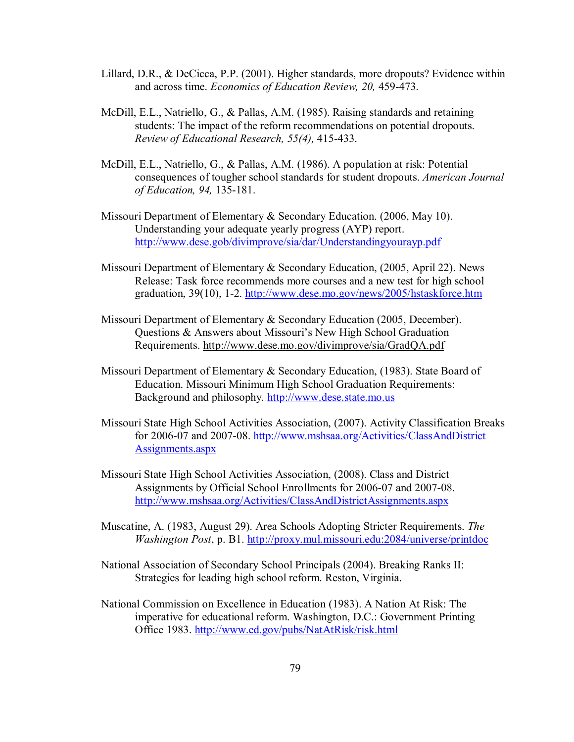- Lillard, D.R., & DeCicca, P.P. (2001). Higher standards, more dropouts? Evidence within and across time. *Economics of Education Review, 20,* 459-473.
- McDill, E.L., Natriello, G., & Pallas, A.M. (1985). Raising standards and retaining students: The impact of the reform recommendations on potential dropouts. *Review of Educational Research, 55(4),* 415-433.
- McDill, E.L., Natriello, G., & Pallas, A.M. (1986). A population at risk: Potential consequences of tougher school standards for student dropouts. *American Journal of Education, 94,* 135-181.
- Missouri Department of Elementary & Secondary Education. (2006, May 10). Understanding your adequate yearly progress (AYP) report. http://www.dese.gob/divimprove/sia/dar/Understandingyourayp.pdf
- Missouri Department of Elementary & Secondary Education, (2005, April 22). News Release: Task force recommends more courses and a new test for high school graduation, 39(10), 1-2. http://www.dese.mo.gov/news/2005/hstaskforce.htm
- Missouri Department of Elementary & Secondary Education (2005, December). Questions & Answers about Missouri's New High School Graduation Requirements. http://www.dese.mo.gov/divimprove/sia/GradQA.pdf
- Missouri Department of Elementary & Secondary Education, (1983). State Board of Education. Missouri Minimum High School Graduation Requirements: Background and philosophy. http://www.dese.state.mo.us
- Missouri State High School Activities Association, (2007). Activity Classification Breaks for 2006-07 and 2007-08. http://www.mshsaa.org/Activities/ClassAndDistrict Assignments.aspx
- Missouri State High School Activities Association, (2008). Class and District Assignments by Official School Enrollments for 2006-07 and 2007-08. http://www.mshsaa.org/Activities/ClassAndDistrictAssignments.aspx
- Muscatine, A. (1983, August 29). Area Schools Adopting Stricter Requirements. *The Washington Post*, p. B1. http://proxy.mul.missouri.edu:2084/universe/printdoc
- National Association of Secondary School Principals (2004). Breaking Ranks II: Strategies for leading high school reform. Reston, Virginia.
- National Commission on Excellence in Education (1983). A Nation At Risk: The imperative for educational reform. Washington, D.C.: Government Printing Office 1983. http://www.ed.gov/pubs/NatAtRisk/risk.html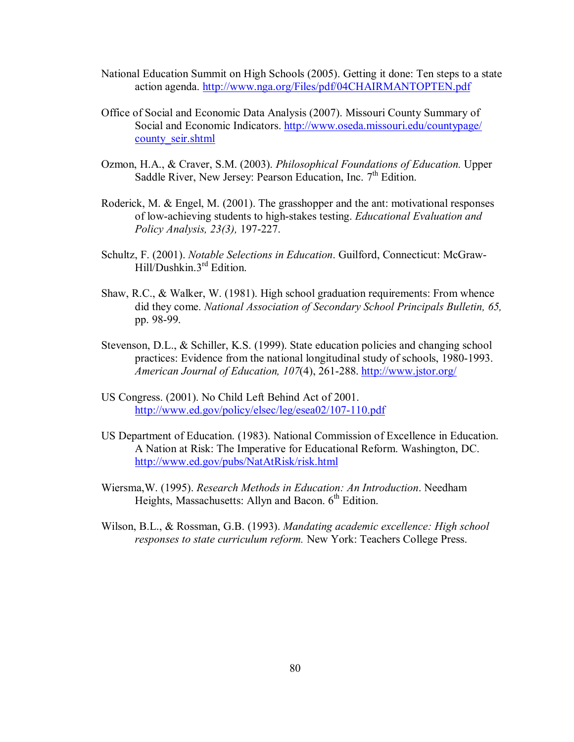- National Education Summit on High Schools (2005). Getting it done: Ten steps to a state action agenda. http://www.nga.org/Files/pdf/04CHAIRMANTOPTEN.pdf
- Office of Social and Economic Data Analysis (2007). Missouri County Summary of Social and Economic Indicators. http://www.oseda.missouri.edu/countypage/ county\_seir.shtml
- Ozmon, H.A., & Craver, S.M. (2003). *Philosophical Foundations of Education.* Upper Saddle River, New Jersey: Pearson Education, Inc.  $7<sup>th</sup>$  Edition.
- Roderick, M. & Engel, M. (2001). The grasshopper and the ant: motivational responses of low-achieving students to high-stakes testing. *Educational Evaluation and Policy Analysis, 23(3),* 197-227.
- Schultz, F. (2001). *Notable Selections in Education*. Guilford, Connecticut: McGraw-Hill/Dushkin.3rd Edition.
- Shaw, R.C., & Walker, W. (1981). High school graduation requirements: From whence did they come. *National Association of Secondary School Principals Bulletin, 65,* pp. 98-99.
- Stevenson, D.L., & Schiller, K.S. (1999). State education policies and changing school practices: Evidence from the national longitudinal study of schools, 1980-1993. *American Journal of Education, 107*(4), 261-288. http://www.jstor.org/
- US Congress. (2001). No Child Left Behind Act of 2001. http://www.ed.gov/policy/elsec/leg/esea02/107-110.pdf
- US Department of Education. (1983). National Commission of Excellence in Education. A Nation at Risk: The Imperative for Educational Reform. Washington, DC. http://www.ed.gov/pubs/NatAtRisk/risk.html
- Wiersma,W. (1995). *Research Methods in Education: An Introduction*. Needham Heights, Massachusetts: Allyn and Bacon.  $6<sup>th</sup>$  Edition.
- Wilson, B.L., & Rossman, G.B. (1993). *Mandating academic excellence: High school responses to state curriculum reform.* New York: Teachers College Press.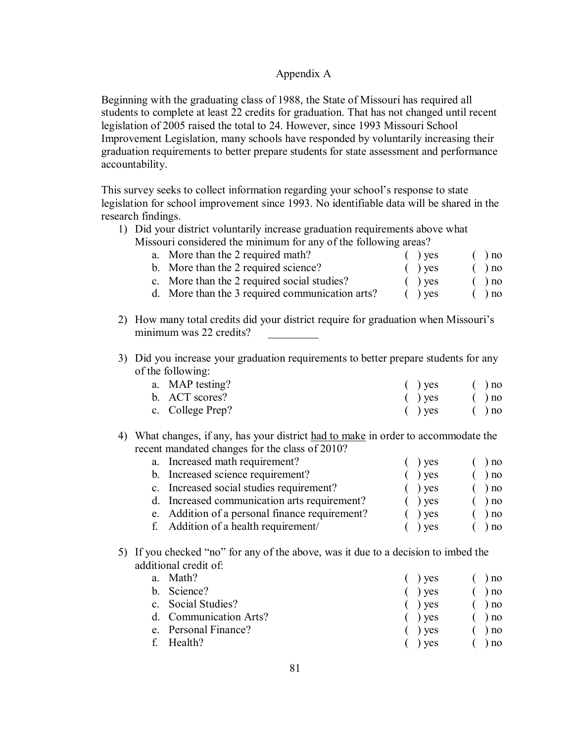# Appendix A

Beginning with the graduating class of 1988, the State of Missouri has required all students to complete at least 22 credits for graduation. That has not changed until recent legislation of 2005 raised the total to 24. However, since 1993 Missouri School Improvement Legislation, many schools have responded by voluntarily increasing their graduation requirements to better prepare students for state assessment and performance accountability.

This survey seeks to collect information regarding your school's response to state legislation for school improvement since 1993. No identifiable data will be shared in the research findings.

1) Did your district voluntarily increase graduation requirements above what Missouri considered the minimum for any of the following areas?

| $550$ and considered the imminimum for any of the following areas. |           |          |
|--------------------------------------------------------------------|-----------|----------|
| a. More than the 2 required math?                                  | $()$ ves  | $( )$ no |
| b. More than the 2 required science?                               | $( )$ yes | $()$ no  |
| c. More than the 2 required social studies?                        | $()$ ves  | $( )$ no |
| d. More than the 3 required communication arts?                    | $( )$ ves | ) no     |

- 2) How many total credits did your district require for graduation when Missouri's minimum was 22 credits?
- 3) Did you increase your graduation requirements to better prepare students for any of the following:

| a. MAP testing?  | $(y)$ yes | $\left( \quad \right)$ no |
|------------------|-----------|---------------------------|
| b. ACT scores?   | $(y)$ yes | $\left( \quad \right)$ no |
| c. College Prep? | $(y)$ yes | $\left( \quad \right)$ no |

4) What changes, if any, has your district had to make in order to accommodate the recent mandated changes for the class of 2010?

| a. Increased math requirement?                 | $)$ ves           | ) no |
|------------------------------------------------|-------------------|------|
| b. Increased science requirement?              | $\rightarrow$ yes | ) no |
| c. Increased social studies requirement?       | $()$ yes          | ) no |
| d. Increased communication arts requirement?   | $\int$ ) yes      | ) no |
| e. Addition of a personal finance requirement? | $\int$ ) yes      | ) no |
| f. Addition of a health requirement/           | $\cdot$ ) yes     | ) no |

5) If you checked "no" for any of the above, was it due to a decision to imbed the additional credit of:

| a. | Math?                  | $()$ yes | ) no     |
|----|------------------------|----------|----------|
|    | b. Science?            | $()$ yes | ) no     |
|    | c. Social Studies?     | $()$ yes | $( )$ no |
|    | d. Communication Arts? | $()$ ves | $( )$ no |
|    | e. Personal Finance?   | $()$ ves | $( )$ no |
|    | f Health?              | $()$ yes | ) no     |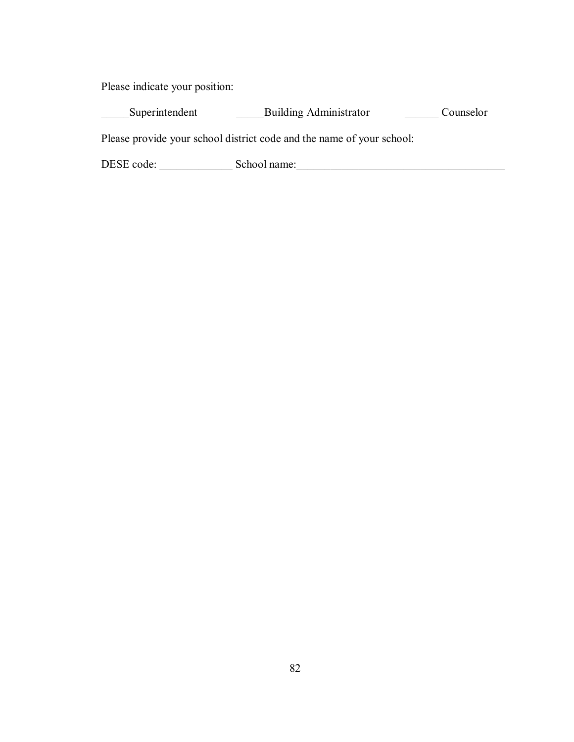Please indicate your position:

\_\_\_\_\_Superintendent \_\_\_\_\_\_\_\_\_\_\_\_\_\_\_Building Administrator \_\_\_\_\_\_\_\_\_\_\_\_\_ Counselor

Please provide your school district code and the name of your school:

DESE code: \_\_\_\_\_\_\_\_\_\_\_\_\_ School name:\_\_\_\_\_\_\_\_\_\_\_\_\_\_\_\_\_\_\_\_\_\_\_\_\_\_\_\_\_\_\_\_\_\_\_\_\_